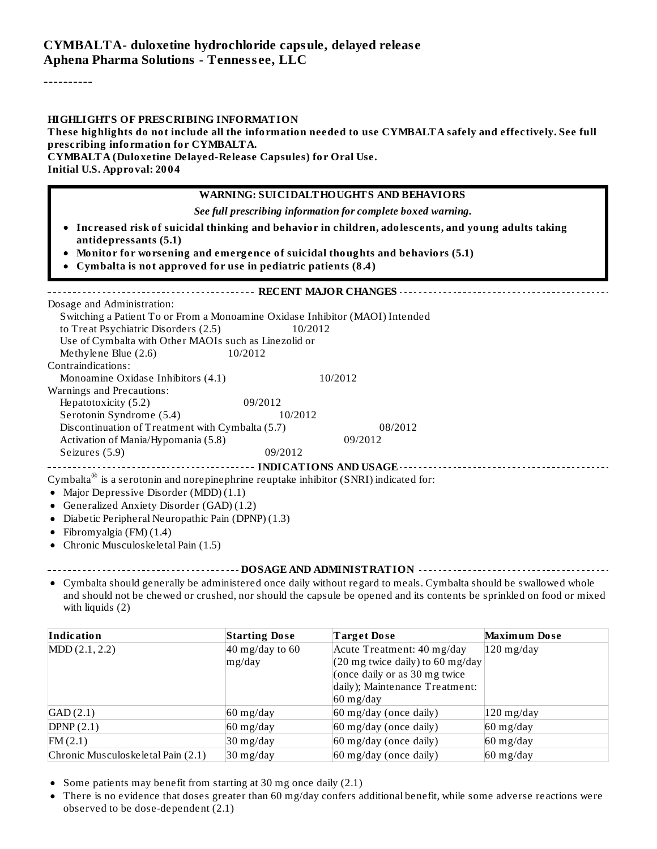#### **CYMBALTA- duloxetine hydrochloride capsule, delayed releas e Aphena Pharma Solutions - Tenness ee, LLC**

----------

| See full prescribing information for complete boxed warning.<br>• Increased risk of suicidal thinking and behavior in children, adolescents, and young adults taking<br>antidepressants (5.1)<br>• Monitor for worsening and emergence of suicidal thoughts and behaviors (5.1)<br>Cymbalta is not approved for use in pediatric patients (8.4)<br>Dosage and Administration:<br>Switching a Patient To or From a Monoamine Oxidase Inhibitor (MAOI) Intended<br>to Treat Psychiatric Disorders (2.5)<br>10/2012<br>Use of Cymbalta with Other MAOIs such as Linezolid or<br>Methylene Blue (2.6)<br>10/2012<br>Contraindications:<br>Monoamine Oxidase Inhibitors (4.1)<br>10/2012<br>Warnings and Precautions:<br>Hepatotoxicity (5.2)<br>09/2012<br>Serotonin Syndrome (5.4)<br>10/2012<br>Discontinuation of Treatment with Cymbalta (5.7)<br>08/2012<br>Activation of Mania/Hypomania (5.8)<br>09/2012<br>Seizures (5.9)<br>09/2012<br>Cymbalta <sup>®</sup> is a serotonin and norepinephrine reuptake inhibitor (SNRI) indicated for:<br>• Major Depressive Disorder (MDD) (1.1)<br>• Generalized Anxiety Disorder (GAD) (1.2)<br>• Diabetic Peripheral Neuropathic Pain (DPNP) (1.3)<br>• Fibromyalgia (FM) $(1.4)$ | <b>WARNING: SUICIDALTHOUGHTS AND BEHAVIORS</b> |  |  |  |
|-----------------------------------------------------------------------------------------------------------------------------------------------------------------------------------------------------------------------------------------------------------------------------------------------------------------------------------------------------------------------------------------------------------------------------------------------------------------------------------------------------------------------------------------------------------------------------------------------------------------------------------------------------------------------------------------------------------------------------------------------------------------------------------------------------------------------------------------------------------------------------------------------------------------------------------------------------------------------------------------------------------------------------------------------------------------------------------------------------------------------------------------------------------------------------------------------------------------------------|------------------------------------------------|--|--|--|
|                                                                                                                                                                                                                                                                                                                                                                                                                                                                                                                                                                                                                                                                                                                                                                                                                                                                                                                                                                                                                                                                                                                                                                                                                             |                                                |  |  |  |
|                                                                                                                                                                                                                                                                                                                                                                                                                                                                                                                                                                                                                                                                                                                                                                                                                                                                                                                                                                                                                                                                                                                                                                                                                             |                                                |  |  |  |
|                                                                                                                                                                                                                                                                                                                                                                                                                                                                                                                                                                                                                                                                                                                                                                                                                                                                                                                                                                                                                                                                                                                                                                                                                             |                                                |  |  |  |
|                                                                                                                                                                                                                                                                                                                                                                                                                                                                                                                                                                                                                                                                                                                                                                                                                                                                                                                                                                                                                                                                                                                                                                                                                             |                                                |  |  |  |
|                                                                                                                                                                                                                                                                                                                                                                                                                                                                                                                                                                                                                                                                                                                                                                                                                                                                                                                                                                                                                                                                                                                                                                                                                             |                                                |  |  |  |
|                                                                                                                                                                                                                                                                                                                                                                                                                                                                                                                                                                                                                                                                                                                                                                                                                                                                                                                                                                                                                                                                                                                                                                                                                             |                                                |  |  |  |
|                                                                                                                                                                                                                                                                                                                                                                                                                                                                                                                                                                                                                                                                                                                                                                                                                                                                                                                                                                                                                                                                                                                                                                                                                             |                                                |  |  |  |
| • Chronic Musculoskeletal Pain (1.5)                                                                                                                                                                                                                                                                                                                                                                                                                                                                                                                                                                                                                                                                                                                                                                                                                                                                                                                                                                                                                                                                                                                                                                                        |                                                |  |  |  |
| ---------------------------------DOSAGE AND ADMINISTRATION ---------------------------------<br>• Cymbalta should generally be administered once daily without regard to meals. Cymbalta should be swallowed whole                                                                                                                                                                                                                                                                                                                                                                                                                                                                                                                                                                                                                                                                                                                                                                                                                                                                                                                                                                                                          |                                                |  |  |  |

and should not be chewed or crushed, nor should the capsule be opened and its contents be sprinkled on food or mixed with liquids (2)

| Indication                          | <b>Starting Dose</b>              | Target Dose                        | <b>Maximum Dose</b> |
|-------------------------------------|-----------------------------------|------------------------------------|---------------------|
| MDD(2.1, 2.2)                       | $40$ mg/day to 60                 | Acute Treatment: 40 mg/day         | $120$ mg/day        |
|                                     | mg/day                            | $(20$ mg twice daily) to 60 mg/day |                     |
|                                     |                                   | (once daily or as 30 mg twice      |                     |
|                                     |                                   | daily); Maintenance Treatment:     |                     |
|                                     |                                   | $60$ mg/day                        |                     |
| GAD(2.1)                            | $60$ mg/day                       | 60 mg/day (once daily)             | $120$ mg/day        |
| DPNP(2.1)                           | $60$ mg/day                       | 60 mg/day (once daily)             | $60$ mg/day         |
| FM(2.1)                             | $30 \frac{\text{mg}}{\text{day}}$ | 60 mg/day (once daily)             | $60$ mg/day         |
| Chronic Musculoske letal Pain (2.1) | $30$ mg/day                       | 60 mg/day (once daily)             | $60$ mg/day         |

- Some patients may benefit from starting at 30 mg once daily (2.1)
- There is no evidence that doses greater than 60 mg/day confers additional benefit, while some adverse reactions were  $\bullet$ observed to be dose-dependent  $(2.1)$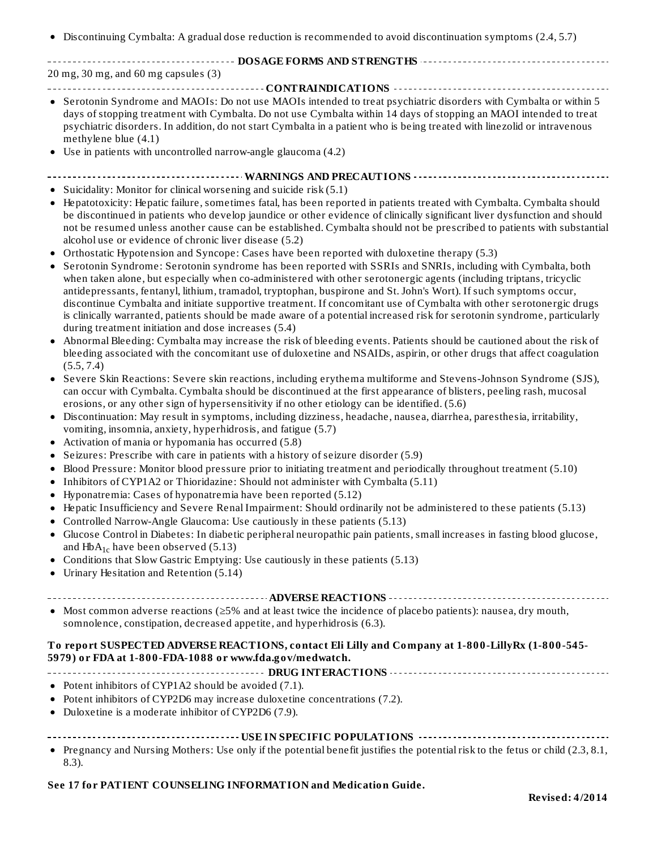Discontinuing Cymbalta: A gradual dose reduction is recommended to avoid discontinuation symptoms (2.4, 5.7)

#### **DOSAGE FORMS AND STRENGTHS**

20 mg, 30 mg, and 60 mg capsules (3)

#### **CONTRAINDICATIONS**

- Serotonin Syndrome and MAOIs: Do not use MAOIs intended to treat psychiatric disorders with Cymbalta or within 5 days of stopping treatment with Cymbalta. Do not use Cymbalta within 14 days of stopping an MAOI intended to treat psychiatric disorders. In addition, do not start Cymbalta in a patient who is being treated with linezolid or intravenous methylene blue (4.1)
- Use in patients with uncontrolled narrow-angle glaucoma (4.2)

#### **WARNINGS AND PRECAUTIONS**

- Suicidality: Monitor for clinical worsening and suicide risk  $(5.1)$
- Hepatotoxicity: Hepatic failure, sometimes fatal, has been reported in patients treated with Cymbalta. Cymbalta should be discontinued in patients who develop jaundice or other evidence of clinically significant liver dysfunction and should not be resumed unless another cause can be established. Cymbalta should not be prescribed to patients with substantial alcohol use or evidence of chronic liver disease (5.2)
- Orthostatic Hypotension and Syncope: Cases have been reported with duloxetine therapy (5.3)
- Serotonin Syndrome: Serotonin syndrome has been reported with SSRIs and SNRIs, including with Cymbalta, both when taken alone, but especially when co-administered with other serotonergic agents (including triptans, tricyclic antidepressants, fentanyl, lithium, tramadol, tryptophan, buspirone and St. John's Wort). If such symptoms occur, discontinue Cymbalta and initiate supportive treatment. If concomitant use of Cymbalta with other serotonergic drugs is clinically warranted, patients should be made aware of a potential increased risk for serotonin syndrome, particularly during treatment initiation and dose increases (5.4)
- Abnormal Bleeding: Cymbalta may increase the risk of bleeding events. Patients should be cautioned about the risk of bleeding associated with the concomitant use of duloxetine and NSAIDs, aspirin, or other drugs that affect coagulation (5.5, 7.4)
- Severe Skin Reactions: Severe skin reactions, including erythema multiforme and Stevens-Johnson Syndrome (SJS),  $\bullet$ can occur with Cymbalta. Cymbalta should be discontinued at the first appearance of blisters, peeling rash, mucosal erosions, or any other sign of hypersensitivity if no other etiology can be identified. (5.6)
- Discontinuation: May result in symptoms, including dizziness, headache, nausea, diarrhea, paresthesia, irritability,  $\bullet$ vomiting, insomnia, anxiety, hyperhidrosis, and fatigue (5.7)
- Activation of mania or hypomania has occurred (5.8)
- Seizures: Prescribe with care in patients with a history of seizure disorder (5.9)
- Blood Pressure: Monitor blood pressure prior to initiating treatment and periodically throughout treatment (5.10)  $\bullet$
- $\bullet$ Inhibitors of CYP1A2 or Thioridazine: Should not administer with Cymbalta (5.11)
- Hyponatremia: Cases of hyponatremia have been reported (5.12)  $\bullet$
- Hepatic Insufficiency and Severe Renal Impairment: Should ordinarily not be administered to these patients (5.13)
- Controlled Narrow-Angle Glaucoma: Use cautiously in these patients (5.13)  $\bullet$
- Glucose Control in Diabetes: In diabetic peripheral neuropathic pain patients, small increases in fasting blood glucose,  $\bullet$ and  $HbA_{1c}$  have been observed (5.13)
- Conditions that Slow Gastric Emptying: Use cautiously in these patients (5.13)
- Urinary Hesitation and Retention (5.14)  $\bullet$

#### **ADVERSE REACTIONS**

Most common adverse reactions (≥5% and at least twice the incidence of placebo patients): nausea, dry mouth, somnolence, constipation, decreased appetite, and hyperhidrosis (6.3).

#### **To report SUSPECTED ADVERSE REACTIONS, contact Eli Lilly and Company at 1-800-LillyRx (1-800-545- 5979) or FDA at 1-800-FDA-1088 or www.fda.gov/medwatch.**

- **DRUG INTERACTIONS**
- Potent inhibitors of CYP1A2 should be avoided (7.1).
- Potent inhibitors of CYP2D6 may increase duloxetine concentrations (7.2).
- Duloxetine is a moderate inhibitor of CYP2D6 (7.9).
- **USE IN SPECIFIC POPULATIONS**
- Pregnancy and Nursing Mothers: Use only if the potential benefit justifies the potential risk to the fetus or child (2.3, 8.1, 8.3).

#### **See 17 for PATIENT COUNSELING INFORMATION and Medication Guide.**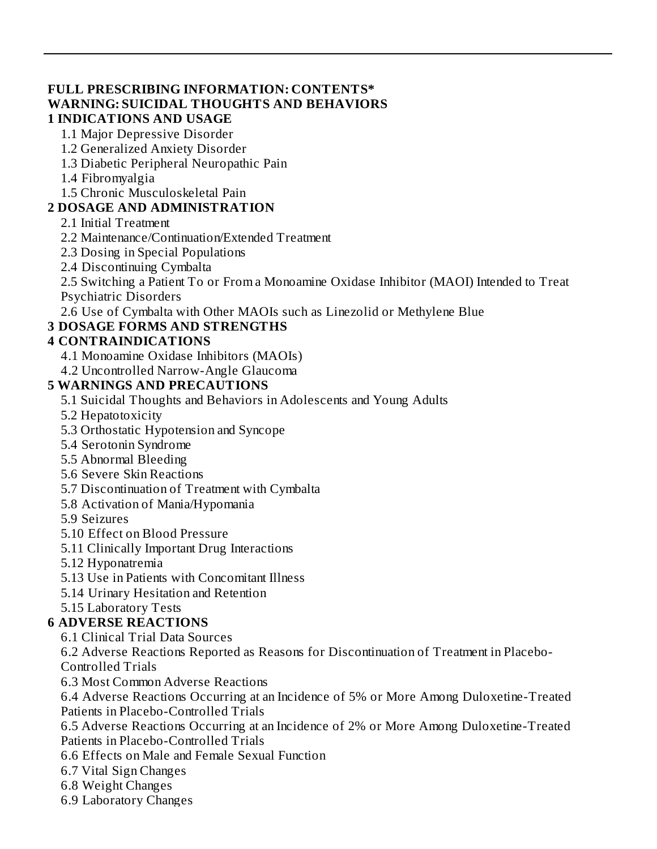#### **FULL PRESCRIBING INFORMATION: CONTENTS\* WARNING: SUICIDAL THOUGHTS AND BEHAVIORS 1 INDICATIONS AND USAGE**

1.1 Major Depressive Disorder

- 1.2 Generalized Anxiety Disorder
- 1.3 Diabetic Peripheral Neuropathic Pain
- 1.4 Fibromyalgia
- 1.5 Chronic Musculoskeletal Pain

#### **2 DOSAGE AND ADMINISTRATION**

#### 2.1 Initial Treatment

2.2 Maintenance/Continuation/Extended Treatment

2.3 Dosing in Special Populations

2.4 Discontinuing Cymbalta

2.5 Switching a Patient To or From a Monoamine Oxidase Inhibitor (MAOI) Intended to Treat Psychiatric Disorders

2.6 Use of Cymbalta with Other MAOIs such as Linezolid or Methylene Blue

#### **3 DOSAGE FORMS AND STRENGTHS**

#### **4 CONTRAINDICATIONS**

4.1 Monoamine Oxidase Inhibitors (MAOIs)

4.2 Uncontrolled Narrow-Angle Glaucoma

#### **5 WARNINGS AND PRECAUTIONS**

5.1 Suicidal Thoughts and Behaviors in Adolescents and Young Adults

- 5.2 Hepatotoxicity
- 5.3 Orthostatic Hypotension and Syncope
- 5.4 Serotonin Syndrome
- 5.5 Abnormal Bleeding
- 5.6 Severe Skin Reactions
- 5.7 Discontinuation of Treatment with Cymbalta
- 5.8 Activation of Mania/Hypomania

5.9 Seizures

- 5.10 Effect on Blood Pressure
- 5.11 Clinically Important Drug Interactions
- 5.12 Hyponatremia
- 5.13 Use in Patients with Concomitant Illness
- 5.14 Urinary Hesitation and Retention
- 5.15 Laboratory Tests

#### **6 ADVERSE REACTIONS**

6.1 Clinical Trial Data Sources

6.2 Adverse Reactions Reported as Reasons for Discontinuation of Treatment in Placebo-Controlled Trials

6.3 Most Common Adverse Reactions

6.4 Adverse Reactions Occurring at an Incidence of 5% or More Among Duloxetine-Treated Patients in Placebo-Controlled Trials

6.5 Adverse Reactions Occurring at an Incidence of 2% or More Among Duloxetine-Treated Patients in Placebo-Controlled Trials

6.6 Effects on Male and Female Sexual Function

- 6.7 Vital Sign Changes
- 6.8 Weight Changes
- 6.9 Laboratory Changes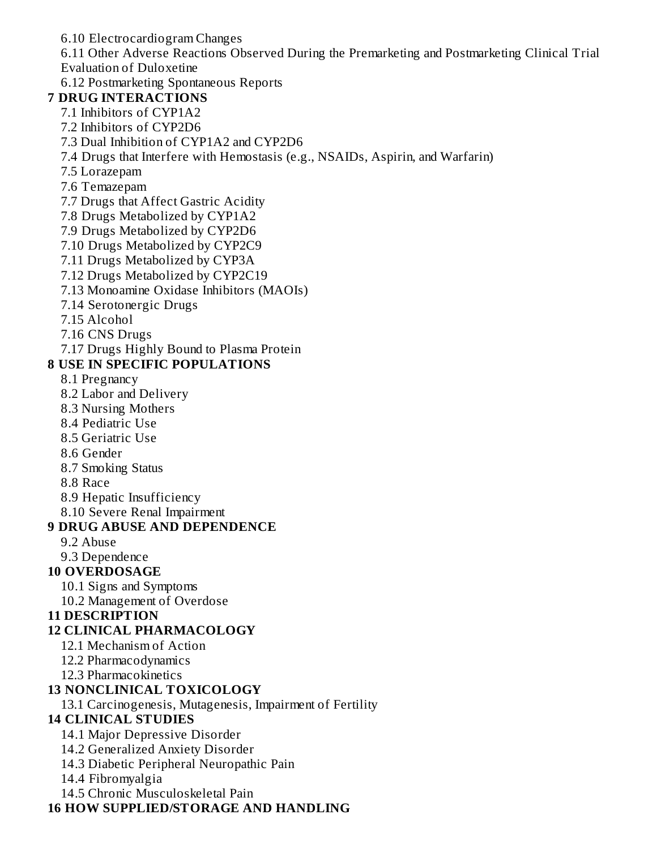6.10 Electrocardiogram Changes

6.11 Other Adverse Reactions Observed During the Premarketing and Postmarketing Clinical Trial Evaluation of Duloxetine

6.12 Postmarketing Spontaneous Reports

#### **7 DRUG INTERACTIONS**

7.1 Inhibitors of CYP1A2

7.2 Inhibitors of CYP2D6

7.3 Dual Inhibition of CYP1A2 and CYP2D6

7.4 Drugs that Interfere with Hemostasis (e.g., NSAIDs, Aspirin, and Warfarin)

7.5 Lorazepam

7.6 Temazepam

7.7 Drugs that Affect Gastric Acidity

7.8 Drugs Metabolized by CYP1A2

7.9 Drugs Metabolized by CYP2D6

- 7.10 Drugs Metabolized by CYP2C9
- 7.11 Drugs Metabolized by CYP3A
- 7.12 Drugs Metabolized by CYP2C19
- 7.13 Monoamine Oxidase Inhibitors (MAOIs)
- 7.14 Serotonergic Drugs
- 7.15 Alcohol

7.16 CNS Drugs

7.17 Drugs Highly Bound to Plasma Protein

### **8 USE IN SPECIFIC POPULATIONS**

8.1 Pregnancy

- 8.2 Labor and Delivery
- 8.3 Nursing Mothers
- 8.4 Pediatric Use
- 8.5 Geriatric Use
- 8.6 Gender
- 8.7 Smoking Status

8.8 Race

8.9 Hepatic Insufficiency

8.10 Severe Renal Impairment

### **9 DRUG ABUSE AND DEPENDENCE**

9.2 Abuse

9.3 Dependence

## **10 OVERDOSAGE**

10.1 Signs and Symptoms

10.2 Management of Overdose

### **11 DESCRIPTION**

### **12 CLINICAL PHARMACOLOGY**

12.1 Mechanism of Action

- 12.2 Pharmacodynamics
- 12.3 Pharmacokinetics

### **13 NONCLINICAL TOXICOLOGY**

13.1 Carcinogenesis, Mutagenesis, Impairment of Fertility

### **14 CLINICAL STUDIES**

14.1 Major Depressive Disorder

- 14.2 Generalized Anxiety Disorder
- 14.3 Diabetic Peripheral Neuropathic Pain
- 14.4 Fibromyalgia
- 14.5 Chronic Musculoskeletal Pain

### **16 HOW SUPPLIED/STORAGE AND HANDLING**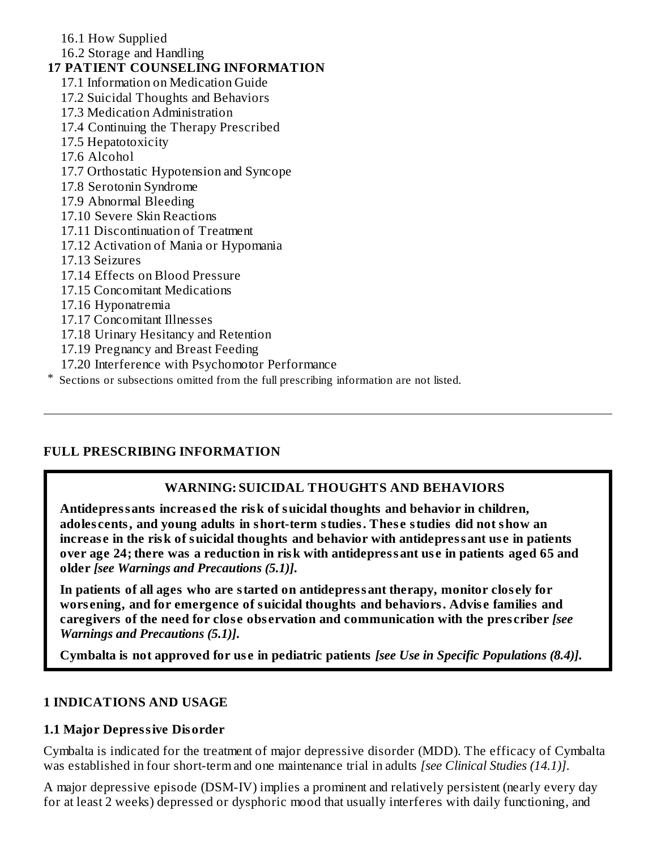- 16.1 How Supplied
- 16.2 Storage and Handling

### **17 PATIENT COUNSELING INFORMATION**

- 17.1 Information on Medication Guide
- 17.2 Suicidal Thoughts and Behaviors
- 17.3 Medication Administration
- 17.4 Continuing the Therapy Prescribed
- 17.5 Hepatotoxicity
- 17.6 Alcohol
- 17.7 Orthostatic Hypotension and Syncope
- 17.8 Serotonin Syndrome
- 17.9 Abnormal Bleeding
- 17.10 Severe Skin Reactions
- 17.11 Discontinuation of Treatment
- 17.12 Activation of Mania or Hypomania
- 17.13 Seizures
- 17.14 Effects on Blood Pressure
- 17.15 Concomitant Medications
- 17.16 Hyponatremia
- 17.17 Concomitant Illnesses
- 17.18 Urinary Hesitancy and Retention
- 17.19 Pregnancy and Breast Feeding
- 17.20 Interference with Psychomotor Performance
- \* Sections or subsections omitted from the full prescribing information are not listed.

### **FULL PRESCRIBING INFORMATION**

### **WARNING: SUICIDAL THOUGHTS AND BEHAVIORS**

**Antidepressants increas ed the risk of suicidal thoughts and behavior in children, adoles cents, and young adults in short-term studies. Thes e studies did not show an increas e in the risk of suicidal thoughts and behavior with antidepressant us e in patients over age 24; there was a reduction in risk with antidepressant us e in patients aged 65 and older** *[see Warnings and Precautions (5.1)]***.**

**In patients of all ages who are started on antidepressant therapy, monitor clos ely for wors ening, and for emergence of suicidal thoughts and behaviors. Advis e families and caregivers of the need for clos e obs ervation and communication with the pres criber** *[see Warnings and Precautions (5.1)]***.**

**Cymbalta is not approved for us e in pediatric patients** *[see Use in Specific Populations (8.4)]***.**

### **1 INDICATIONS AND USAGE**

### **1.1 Major Depressive Disorder**

Cymbalta is indicated for the treatment of major depressive disorder (MDD). The efficacy of Cymbalta was established in four short-term and one maintenance trial in adults *[see Clinical Studies (14.1)]*.

A major depressive episode (DSM-IV) implies a prominent and relatively persistent (nearly every day for at least 2 weeks) depressed or dysphoric mood that usually interferes with daily functioning, and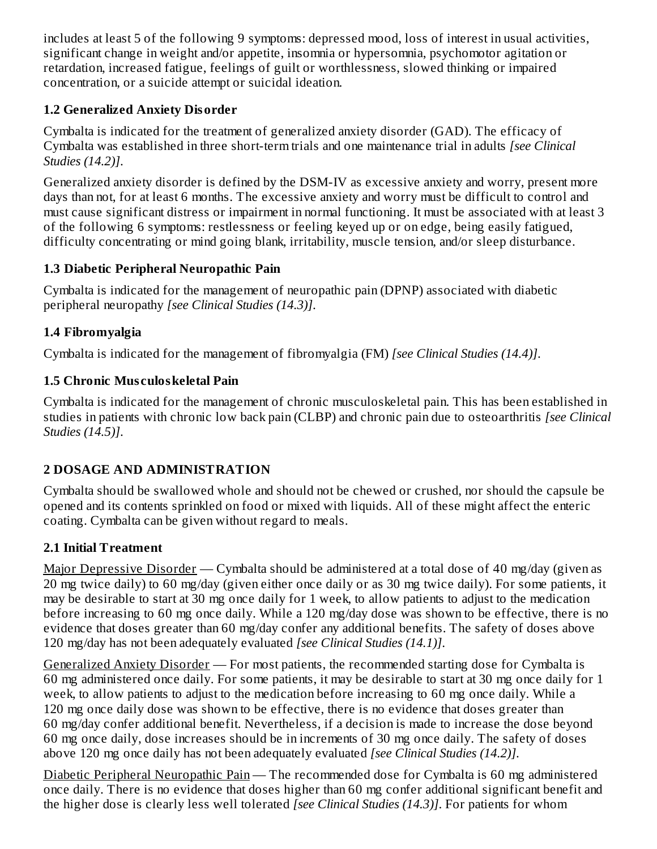includes at least 5 of the following 9 symptoms: depressed mood, loss of interest in usual activities, significant change in weight and/or appetite, insomnia or hypersomnia, psychomotor agitation or retardation, increased fatigue, feelings of guilt or worthlessness, slowed thinking or impaired concentration, or a suicide attempt or suicidal ideation.

### **1.2 Generalized Anxiety Disorder**

Cymbalta is indicated for the treatment of generalized anxiety disorder (GAD). The efficacy of Cymbalta was established in three short-term trials and one maintenance trial in adults *[see Clinical Studies (14.2)]*.

Generalized anxiety disorder is defined by the DSM-IV as excessive anxiety and worry, present more days than not, for at least 6 months. The excessive anxiety and worry must be difficult to control and must cause significant distress or impairment in normal functioning. It must be associated with at least 3 of the following 6 symptoms: restlessness or feeling keyed up or on edge, being easily fatigued, difficulty concentrating or mind going blank, irritability, muscle tension, and/or sleep disturbance.

### **1.3 Diabetic Peripheral Neuropathic Pain**

Cymbalta is indicated for the management of neuropathic pain (DPNP) associated with diabetic peripheral neuropathy *[see Clinical Studies (14.3)]*.

## **1.4 Fibromyalgia**

Cymbalta is indicated for the management of fibromyalgia (FM) *[see Clinical Studies (14.4)]*.

## **1.5 Chronic Mus culoskeletal Pain**

Cymbalta is indicated for the management of chronic musculoskeletal pain. This has been established in studies in patients with chronic low back pain (CLBP) and chronic pain due to osteoarthritis *[see Clinical Studies (14.5)]*.

## **2 DOSAGE AND ADMINISTRATION**

Cymbalta should be swallowed whole and should not be chewed or crushed, nor should the capsule be opened and its contents sprinkled on food or mixed with liquids. All of these might affect the enteric coating. Cymbalta can be given without regard to meals.

## **2.1 Initial Treatment**

Major Depressive Disorder — Cymbalta should be administered at a total dose of 40 mg/day (given as 20 mg twice daily) to 60 mg/day (given either once daily or as 30 mg twice daily). For some patients, it may be desirable to start at 30 mg once daily for 1 week, to allow patients to adjust to the medication before increasing to 60 mg once daily. While a 120 mg/day dose was shown to be effective, there is no evidence that doses greater than 60 mg/day confer any additional benefits. The safety of doses above 120 mg/day has not been adequately evaluated *[see Clinical Studies (14.1)]*.

Generalized Anxiety Disorder — For most patients, the recommended starting dose for Cymbalta is 60 mg administered once daily. For some patients, it may be desirable to start at 30 mg once daily for 1 week, to allow patients to adjust to the medication before increasing to 60 mg once daily. While a 120 mg once daily dose was shown to be effective, there is no evidence that doses greater than 60 mg/day confer additional benefit. Nevertheless, if a decision is made to increase the dose beyond 60 mg once daily, dose increases should be in increments of 30 mg once daily. The safety of doses above 120 mg once daily has not been adequately evaluated *[see Clinical Studies (14.2)]*.

Diabetic Peripheral Neuropathic Pain — The recommended dose for Cymbalta is 60 mg administered once daily. There is no evidence that doses higher than 60 mg confer additional significant benefit and the higher dose is clearly less well tolerated *[see Clinical Studies (14.3)]*. For patients for whom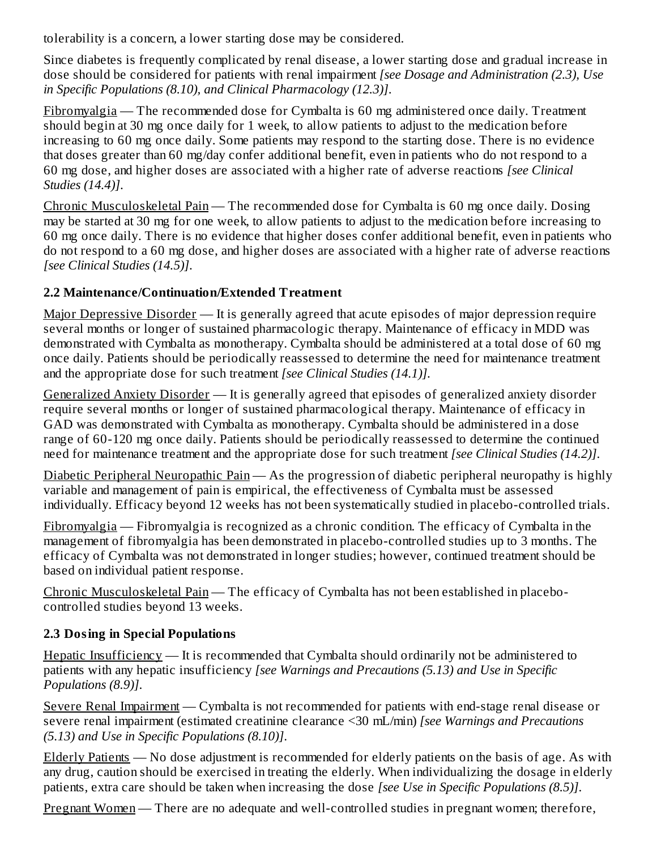tolerability is a concern, a lower starting dose may be considered.

Since diabetes is frequently complicated by renal disease, a lower starting dose and gradual increase in dose should be considered for patients with renal impairment *[see Dosage and Administration (2.3), Use in Specific Populations (8.10), and Clinical Pharmacology (12.3)]*.

Fibromyalgia — The recommended dose for Cymbalta is 60 mg administered once daily. Treatment should begin at 30 mg once daily for 1 week, to allow patients to adjust to the medication before increasing to 60 mg once daily. Some patients may respond to the starting dose. There is no evidence that doses greater than 60 mg/day confer additional benefit, even in patients who do not respond to a 60 mg dose, and higher doses are associated with a higher rate of adverse reactions *[see Clinical Studies (14.4)]*.

Chronic Musculoskeletal Pain — The recommended dose for Cymbalta is 60 mg once daily. Dosing may be started at 30 mg for one week, to allow patients to adjust to the medication before increasing to 60 mg once daily. There is no evidence that higher doses confer additional benefit, even in patients who do not respond to a 60 mg dose, and higher doses are associated with a higher rate of adverse reactions *[see Clinical Studies (14.5)]*.

#### **2.2 Maintenance/Continuation/Extended Treatment**

Major Depressive Disorder — It is generally agreed that acute episodes of major depression require several months or longer of sustained pharmacologic therapy. Maintenance of efficacy in MDD was demonstrated with Cymbalta as monotherapy. Cymbalta should be administered at a total dose of 60 mg once daily. Patients should be periodically reassessed to determine the need for maintenance treatment and the appropriate dose for such treatment *[see Clinical Studies (14.1)]*.

Generalized Anxiety Disorder — It is generally agreed that episodes of generalized anxiety disorder require several months or longer of sustained pharmacological therapy. Maintenance of efficacy in GAD was demonstrated with Cymbalta as monotherapy. Cymbalta should be administered in a dose range of 60-120 mg once daily. Patients should be periodically reassessed to determine the continued need for maintenance treatment and the appropriate dose for such treatment *[see Clinical Studies (14.2)]*.

Diabetic Peripheral Neuropathic Pain — As the progression of diabetic peripheral neuropathy is highly variable and management of pain is empirical, the effectiveness of Cymbalta must be assessed individually. Efficacy beyond 12 weeks has not been systematically studied in placebo-controlled trials.

Fibromyalgia — Fibromyalgia is recognized as a chronic condition. The efficacy of Cymbalta in the management of fibromyalgia has been demonstrated in placebo-controlled studies up to 3 months. The efficacy of Cymbalta was not demonstrated in longer studies; however, continued treatment should be based on individual patient response.

Chronic Musculoskeletal Pain — The efficacy of Cymbalta has not been established in placebocontrolled studies beyond 13 weeks.

### **2.3 Dosing in Special Populations**

Hepatic Insufficiency — It is recommended that Cymbalta should ordinarily not be administered to patients with any hepatic insufficiency *[see Warnings and Precautions (5.13) and Use in Specific Populations (8.9)]*.

Severe Renal Impairment — Cymbalta is not recommended for patients with end-stage renal disease or severe renal impairment (estimated creatinine clearance <30 mL/min) *[see Warnings and Precautions (5.13) and Use in Specific Populations (8.10)]*.

Elderly Patients — No dose adjustment is recommended for elderly patients on the basis of age. As with any drug, caution should be exercised in treating the elderly. When individualizing the dosage in elderly patients, extra care should be taken when increasing the dose *[see Use in Specific Populations (8.5)]*.

Pregnant Women — There are no adequate and well-controlled studies in pregnant women; therefore,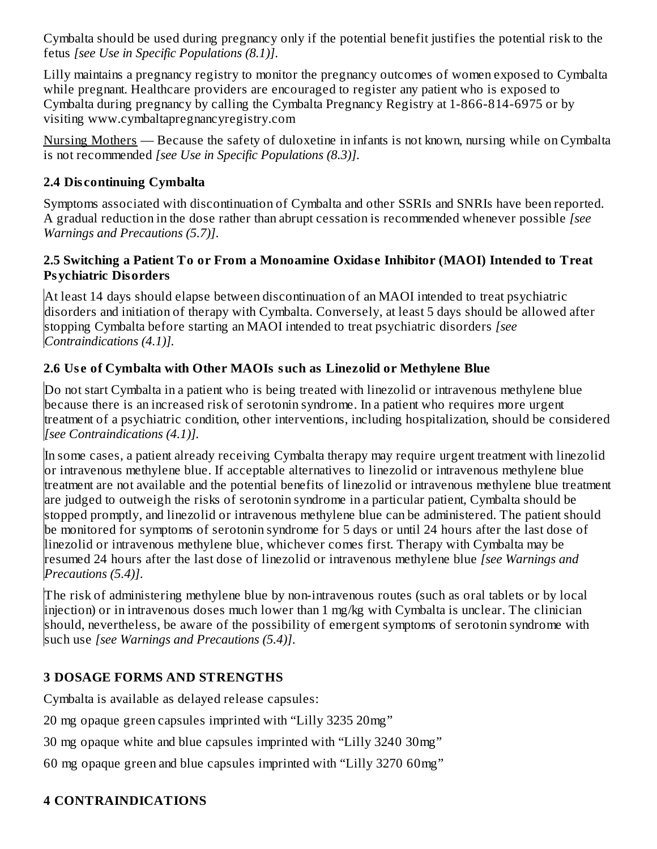Cymbalta should be used during pregnancy only if the potential benefit justifies the potential risk to the fetus *[see Use in Specific Populations (8.1)]*.

Lilly maintains a pregnancy registry to monitor the pregnancy outcomes of women exposed to Cymbalta while pregnant. Healthcare providers are encouraged to register any patient who is exposed to Cymbalta during pregnancy by calling the Cymbalta Pregnancy Registry at 1-866-814-6975 or by visiting www.cymbaltapregnancyregistry.com

Nursing Mothers — Because the safety of duloxetine in infants is not known, nursing while on Cymbalta is not recommended *[see Use in Specific Populations (8.3)]*.

### **2.4 Dis continuing Cymbalta**

Symptoms associated with discontinuation of Cymbalta and other SSRIs and SNRIs have been reported. A gradual reduction in the dose rather than abrupt cessation is recommended whenever possible *[see Warnings and Precautions (5.7)]*.

#### **2.5 Switching a Patient To or From a Monoamine Oxidas e Inhibitor (MAOI) Intended to Treat Psychiatric Disorders**

At least 14 days should elapse between discontinuation of an MAOI intended to treat psychiatric disorders and initiation of therapy with Cymbalta. Conversely, at least 5 days should be allowed after stopping Cymbalta before starting an MAOI intended to treat psychiatric disorders *[see Contraindications (4.1)].*

### **2.6 Us e of Cymbalta with Other MAOIs such as Linezolid or Methylene Blue**

Do not start Cymbalta in a patient who is being treated with linezolid or intravenous methylene blue because there is an increased risk of serotonin syndrome. In a patient who requires more urgent treatment of a psychiatric condition, other interventions, including hospitalization, should be considered *[see Contraindications (4.1)].*

In some cases, a patient already receiving Cymbalta therapy may require urgent treatment with linezolid or intravenous methylene blue. If acceptable alternatives to linezolid or intravenous methylene blue treatment are not available and the potential benefits of linezolid or intravenous methylene blue treatment are judged to outweigh the risks of serotonin syndrome in a particular patient, Cymbalta should be stopped promptly, and linezolid or intravenous methylene blue can be administered. The patient should be monitored for symptoms of serotonin syndrome for 5 days or until 24 hours after the last dose of linezolid or intravenous methylene blue, whichever comes first. Therapy with Cymbalta may be resumed 24 hours after the last dose of linezolid or intravenous methylene blue *[see Warnings and Precautions (5.4)]*.

The risk of administering methylene blue by non-intravenous routes (such as oral tablets or by local injection) or in intravenous doses much lower than 1 mg/kg with Cymbalta is unclear. The clinician should, nevertheless, be aware of the possibility of emergent symptoms of serotonin syndrome with such use *[see Warnings and Precautions (5.4)]*.

## **3 DOSAGE FORMS AND STRENGTHS**

Cymbalta is available as delayed release capsules:

20 mg opaque green capsules imprinted with "Lilly 3235 20mg"

30 mg opaque white and blue capsules imprinted with "Lilly 3240 30mg"

60 mg opaque green and blue capsules imprinted with "Lilly 3270 60mg"

## **4 CONTRAINDICATIONS**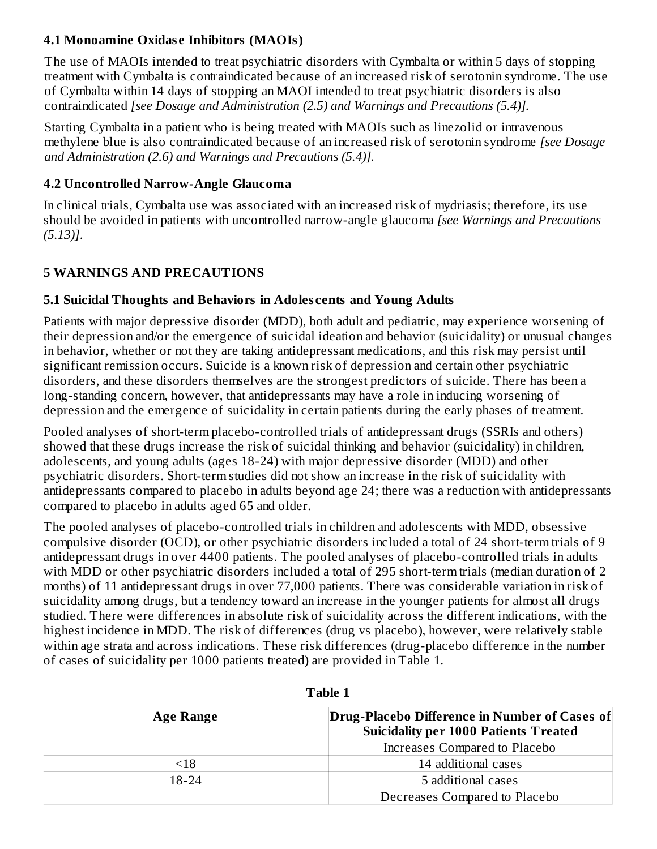#### **4.1 Monoamine Oxidas e Inhibitors (MAOIs)**

The use of MAOIs intended to treat psychiatric disorders with Cymbalta or within 5 days of stopping treatment with Cymbalta is contraindicated because of an increased risk of serotonin syndrome. The use of Cymbalta within 14 days of stopping an MAOI intended to treat psychiatric disorders is also contraindicated *[see Dosage and Administration (2.5) and Warnings and Precautions (5.4)].*

Starting Cymbalta in a patient who is being treated with MAOIs such as linezolid or intravenous methylene blue is also contraindicated because of an increased risk of serotonin syndrome *[see Dosage and Administration (2.6) and Warnings and Precautions (5.4)].*

#### **4.2 Uncontrolled Narrow-Angle Glaucoma**

In clinical trials, Cymbalta use was associated with an increased risk of mydriasis; therefore, its use should be avoided in patients with uncontrolled narrow-angle glaucoma *[see Warnings and Precautions (5.13)]*.

### **5 WARNINGS AND PRECAUTIONS**

### **5.1 Suicidal Thoughts and Behaviors in Adoles cents and Young Adults**

Patients with major depressive disorder (MDD), both adult and pediatric, may experience worsening of their depression and/or the emergence of suicidal ideation and behavior (suicidality) or unusual changes in behavior, whether or not they are taking antidepressant medications, and this risk may persist until significant remission occurs. Suicide is a known risk of depression and certain other psychiatric disorders, and these disorders themselves are the strongest predictors of suicide. There has been a long-standing concern, however, that antidepressants may have a role in inducing worsening of depression and the emergence of suicidality in certain patients during the early phases of treatment.

Pooled analyses of short-term placebo-controlled trials of antidepressant drugs (SSRIs and others) showed that these drugs increase the risk of suicidal thinking and behavior (suicidality) in children, adolescents, and young adults (ages 18-24) with major depressive disorder (MDD) and other psychiatric disorders. Short-term studies did not show an increase in the risk of suicidality with antidepressants compared to placebo in adults beyond age 24; there was a reduction with antidepressants compared to placebo in adults aged 65 and older.

The pooled analyses of placebo-controlled trials in children and adolescents with MDD, obsessive compulsive disorder (OCD), or other psychiatric disorders included a total of 24 short-term trials of 9 antidepressant drugs in over 4400 patients. The pooled analyses of placebo-controlled trials in adults with MDD or other psychiatric disorders included a total of 295 short-term trials (median duration of 2 months) of 11 antidepressant drugs in over 77,000 patients. There was considerable variation in risk of suicidality among drugs, but a tendency toward an increase in the younger patients for almost all drugs studied. There were differences in absolute risk of suicidality across the different indications, with the highest incidence in MDD. The risk of differences (drug vs placebo), however, were relatively stable within age strata and across indications. These risk differences (drug-placebo difference in the number of cases of suicidality per 1000 patients treated) are provided in Table 1.

| <b>Age Range</b> | Drug-Placebo Difference in Number of Cases of<br><b>Suicidality per 1000 Patients Treated</b> |
|------------------|-----------------------------------------------------------------------------------------------|
|                  | Increases Compared to Placebo                                                                 |
| <18              | 14 additional cases                                                                           |
| $18 - 24$        | 5 additional cases                                                                            |
|                  | Decreases Compared to Placebo                                                                 |

| anıe |  |
|------|--|
|------|--|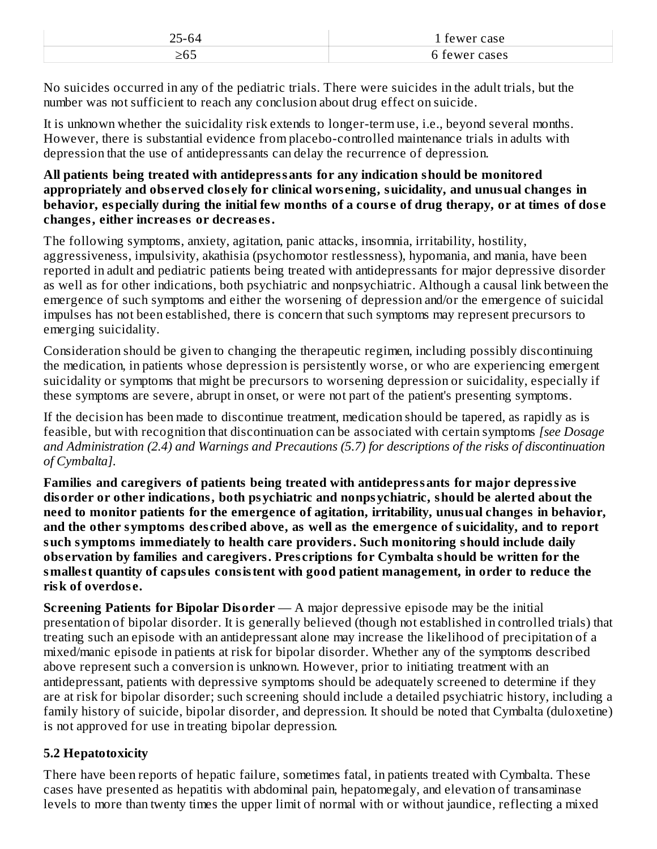| $\sim$ $-$<br>.<br>$-$<br>__ | $\sim$ $\sim$<br>w<br>.<br>.<br>______ |
|------------------------------|----------------------------------------|
| <u>_ v L</u>                 | ∽<br>$\sim$ $\sim$                     |

No suicides occurred in any of the pediatric trials. There were suicides in the adult trials, but the number was not sufficient to reach any conclusion about drug effect on suicide.

It is unknown whether the suicidality risk extends to longer-term use, i.e., beyond several months. However, there is substantial evidence from placebo-controlled maintenance trials in adults with depression that the use of antidepressants can delay the recurrence of depression.

#### **All patients being treated with antidepressants for any indication should be monitored appropriately and obs erved clos ely for clinical wors ening, suicidality, and unusual changes in** behavior, especially during the initial few months of a course of drug therapy, or at times of dose **changes, either increas es or decreas es.**

The following symptoms, anxiety, agitation, panic attacks, insomnia, irritability, hostility, aggressiveness, impulsivity, akathisia (psychomotor restlessness), hypomania, and mania, have been reported in adult and pediatric patients being treated with antidepressants for major depressive disorder as well as for other indications, both psychiatric and nonpsychiatric. Although a causal link between the emergence of such symptoms and either the worsening of depression and/or the emergence of suicidal impulses has not been established, there is concern that such symptoms may represent precursors to emerging suicidality.

Consideration should be given to changing the therapeutic regimen, including possibly discontinuing the medication, in patients whose depression is persistently worse, or who are experiencing emergent suicidality or symptoms that might be precursors to worsening depression or suicidality, especially if these symptoms are severe, abrupt in onset, or were not part of the patient's presenting symptoms.

If the decision has been made to discontinue treatment, medication should be tapered, as rapidly as is feasible, but with recognition that discontinuation can be associated with certain symptoms *[see Dosage and Administration (2.4) and Warnings and Precautions (5.7) for descriptions of the risks of discontinuation of Cymbalta]*.

**Families and caregivers of patients being treated with antidepressants for major depressive disorder or other indications, both psychiatric and nonpsychiatric, should be alerted about the need to monitor patients for the emergence of agitation, irritability, unusual changes in behavior, and the other symptoms des cribed above, as well as the emergence of suicidality, and to report such symptoms immediately to health care providers. Such monitoring should include daily obs ervation by families and caregivers. Pres criptions for Cymbalta should be written for the smallest quantity of capsules consistent with good patient management, in order to reduce the risk of overdos e.**

**Screening Patients for Bipolar Disorder** — A major depressive episode may be the initial presentation of bipolar disorder. It is generally believed (though not established in controlled trials) that treating such an episode with an antidepressant alone may increase the likelihood of precipitation of a mixed/manic episode in patients at risk for bipolar disorder. Whether any of the symptoms described above represent such a conversion is unknown. However, prior to initiating treatment with an antidepressant, patients with depressive symptoms should be adequately screened to determine if they are at risk for bipolar disorder; such screening should include a detailed psychiatric history, including a family history of suicide, bipolar disorder, and depression. It should be noted that Cymbalta (duloxetine) is not approved for use in treating bipolar depression.

### **5.2 Hepatotoxicity**

There have been reports of hepatic failure, sometimes fatal, in patients treated with Cymbalta. These cases have presented as hepatitis with abdominal pain, hepatomegaly, and elevation of transaminase levels to more than twenty times the upper limit of normal with or without jaundice, reflecting a mixed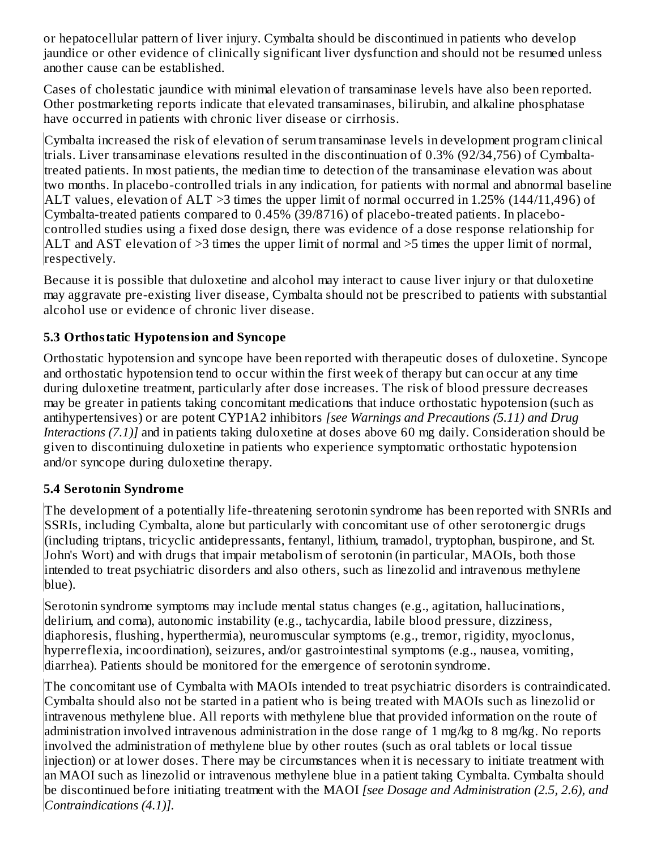or hepatocellular pattern of liver injury. Cymbalta should be discontinued in patients who develop jaundice or other evidence of clinically significant liver dysfunction and should not be resumed unless another cause can be established.

Cases of cholestatic jaundice with minimal elevation of transaminase levels have also been reported. Other postmarketing reports indicate that elevated transaminases, bilirubin, and alkaline phosphatase have occurred in patients with chronic liver disease or cirrhosis.

Cymbalta increased the risk of elevation of serum transaminase levels in development program clinical trials. Liver transaminase elevations resulted in the discontinuation of 0.3% (92/34,756) of Cymbaltatreated patients. In most patients, the median time to detection of the transaminase elevation was about two months. In placebo-controlled trials in any indication, for patients with normal and abnormal baseline ALT values, elevation of ALT >3 times the upper limit of normal occurred in 1.25% (144/11,496) of Cymbalta-treated patients compared to 0.45% (39/8716) of placebo-treated patients. In placebocontrolled studies using a fixed dose design, there was evidence of a dose response relationship for ALT and AST elevation of  $>3$  times the upper limit of normal and  $>5$  times the upper limit of normal, respectively.

Because it is possible that duloxetine and alcohol may interact to cause liver injury or that duloxetine may aggravate pre-existing liver disease, Cymbalta should not be prescribed to patients with substantial alcohol use or evidence of chronic liver disease.

### **5.3 Orthostatic Hypotension and Syncope**

Orthostatic hypotension and syncope have been reported with therapeutic doses of duloxetine. Syncope and orthostatic hypotension tend to occur within the first week of therapy but can occur at any time during duloxetine treatment, particularly after dose increases. The risk of blood pressure decreases may be greater in patients taking concomitant medications that induce orthostatic hypotension (such as antihypertensives) or are potent CYP1A2 inhibitors *[see Warnings and Precautions (5.11) and Drug Interactions (7.1)]* and in patients taking duloxetine at doses above 60 mg daily. Consideration should be given to discontinuing duloxetine in patients who experience symptomatic orthostatic hypotension and/or syncope during duloxetine therapy.

### **5.4 Serotonin Syndrome**

The development of a potentially life-threatening serotonin syndrome has been reported with SNRIs and SSRIs, including Cymbalta, alone but particularly with concomitant use of other serotonergic drugs (including triptans, tricyclic antidepressants, fentanyl, lithium, tramadol, tryptophan, buspirone, and St. John's Wort) and with drugs that impair metabolism of serotonin (in particular, MAOIs, both those intended to treat psychiatric disorders and also others, such as linezolid and intravenous methylene blue).

Serotonin syndrome symptoms may include mental status changes (e.g., agitation, hallucinations, delirium, and coma), autonomic instability (e.g., tachycardia, labile blood pressure, dizziness, diaphoresis, flushing, hyperthermia), neuromuscular symptoms (e.g., tremor, rigidity, myoclonus, hyperreflexia, incoordination), seizures, and/or gastrointestinal symptoms (e.g., nausea, vomiting, diarrhea). Patients should be monitored for the emergence of serotonin syndrome.

The concomitant use of Cymbalta with MAOIs intended to treat psychiatric disorders is contraindicated. Cymbalta should also not be started in a patient who is being treated with MAOIs such as linezolid or intravenous methylene blue. All reports with methylene blue that provided information on the route of administration involved intravenous administration in the dose range of 1 mg/kg to 8 mg/kg. No reports involved the administration of methylene blue by other routes (such as oral tablets or local tissue injection) or at lower doses. There may be circumstances when it is necessary to initiate treatment with an MAOI such as linezolid or intravenous methylene blue in a patient taking Cymbalta. Cymbalta should be discontinued before initiating treatment with the MAOI *[see Dosage and Administration (2.5, 2.6), and Contraindications (4.1)].*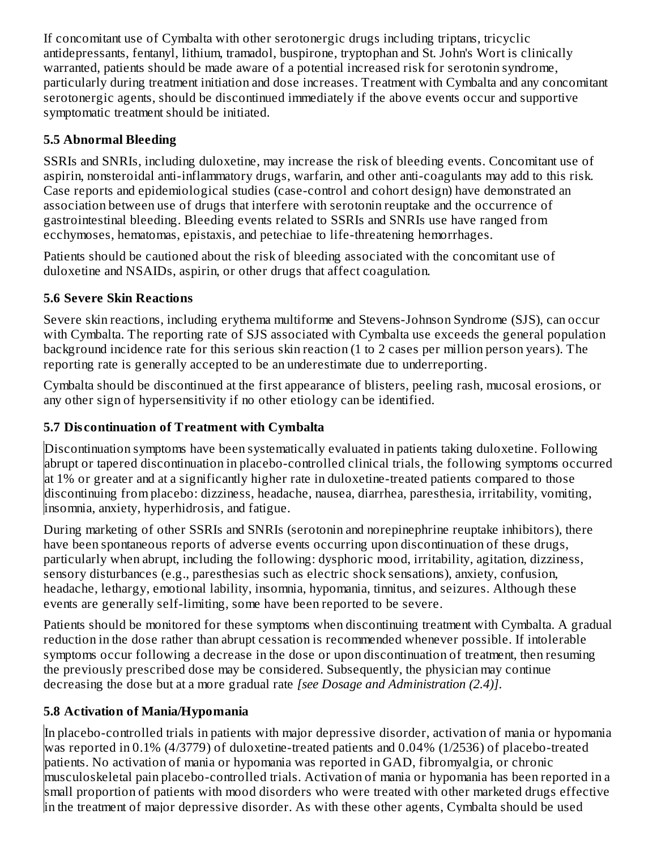If concomitant use of Cymbalta with other serotonergic drugs including triptans, tricyclic antidepressants, fentanyl, lithium, tramadol, buspirone, tryptophan and St. John's Wort is clinically warranted, patients should be made aware of a potential increased risk for serotonin syndrome, particularly during treatment initiation and dose increases. Treatment with Cymbalta and any concomitant serotonergic agents, should be discontinued immediately if the above events occur and supportive symptomatic treatment should be initiated.

### **5.5 Abnormal Bleeding**

SSRIs and SNRIs, including duloxetine, may increase the risk of bleeding events. Concomitant use of aspirin, nonsteroidal anti-inflammatory drugs, warfarin, and other anti-coagulants may add to this risk. Case reports and epidemiological studies (case-control and cohort design) have demonstrated an association between use of drugs that interfere with serotonin reuptake and the occurrence of gastrointestinal bleeding. Bleeding events related to SSRIs and SNRIs use have ranged from ecchymoses, hematomas, epistaxis, and petechiae to life-threatening hemorrhages.

Patients should be cautioned about the risk of bleeding associated with the concomitant use of duloxetine and NSAIDs, aspirin, or other drugs that affect coagulation.

### **5.6 Severe Skin Reactions**

Severe skin reactions, including erythema multiforme and Stevens-Johnson Syndrome (SJS), can occur with Cymbalta. The reporting rate of SJS associated with Cymbalta use exceeds the general population background incidence rate for this serious skin reaction (1 to 2 cases per million person years). The reporting rate is generally accepted to be an underestimate due to underreporting.

Cymbalta should be discontinued at the first appearance of blisters, peeling rash, mucosal erosions, or any other sign of hypersensitivity if no other etiology can be identified.

## **5.7 Dis continuation of Treatment with Cymbalta**

Discontinuation symptoms have been systematically evaluated in patients taking duloxetine. Following abrupt or tapered discontinuation in placebo-controlled clinical trials, the following symptoms occurred at 1% or greater and at a significantly higher rate in duloxetine-treated patients compared to those discontinuing from placebo: dizziness, headache, nausea, diarrhea, paresthesia, irritability, vomiting, insomnia, anxiety, hyperhidrosis, and fatigue.

During marketing of other SSRIs and SNRIs (serotonin and norepinephrine reuptake inhibitors), there have been spontaneous reports of adverse events occurring upon discontinuation of these drugs, particularly when abrupt, including the following: dysphoric mood, irritability, agitation, dizziness, sensory disturbances (e.g., paresthesias such as electric shock sensations), anxiety, confusion, headache, lethargy, emotional lability, insomnia, hypomania, tinnitus, and seizures. Although these events are generally self-limiting, some have been reported to be severe.

Patients should be monitored for these symptoms when discontinuing treatment with Cymbalta. A gradual reduction in the dose rather than abrupt cessation is recommended whenever possible. If intolerable symptoms occur following a decrease in the dose or upon discontinuation of treatment, then resuming the previously prescribed dose may be considered. Subsequently, the physician may continue decreasing the dose but at a more gradual rate *[see Dosage and Administration (2.4)]*.

### **5.8 Activation of Mania/Hypomania**

In placebo-controlled trials in patients with major depressive disorder, activation of mania or hypomania was reported in 0.1% (4/3779) of duloxetine-treated patients and 0.04% (1/2536) of placebo-treated patients. No activation of mania or hypomania was reported in GAD, fibromyalgia, or chronic musculoskeletal pain placebo-controlled trials. Activation of mania or hypomania has been reported in a small proportion of patients with mood disorders who were treated with other marketed drugs effective in the treatment of major depressive disorder. As with these other agents, Cymbalta should be used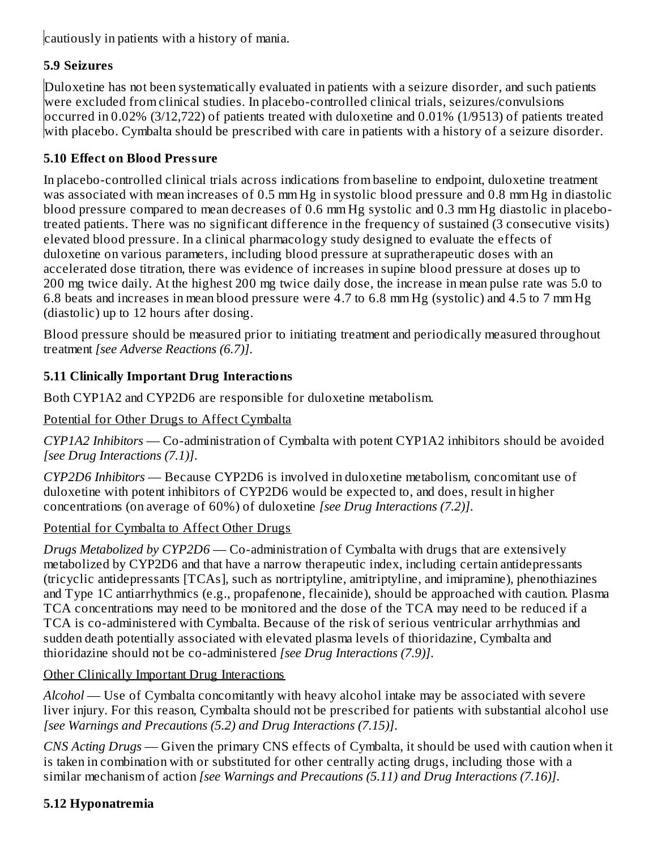cautiously in patients with a history of mania.

# **5.9 Seizures**

Duloxetine has not been systematically evaluated in patients with a seizure disorder, and such patients were excluded from clinical studies. In placebo-controlled clinical trials, seizures/convulsions occurred in 0.02% (3/12,722) of patients treated with duloxetine and 0.01% (1/9513) of patients treated with placebo. Cymbalta should be prescribed with care in patients with a history of a seizure disorder.

## **5.10 Effect on Blood Pressure**

In placebo-controlled clinical trials across indications from baseline to endpoint, duloxetine treatment was associated with mean increases of 0.5 mm Hg in systolic blood pressure and 0.8 mm Hg in diastolic blood pressure compared to mean decreases of 0.6 mm Hg systolic and 0.3 mm Hg diastolic in placebotreated patients. There was no significant difference in the frequency of sustained (3 consecutive visits) elevated blood pressure. In a clinical pharmacology study designed to evaluate the effects of duloxetine on various parameters, including blood pressure at supratherapeutic doses with an accelerated dose titration, there was evidence of increases in supine blood pressure at doses up to 200 mg twice daily. At the highest 200 mg twice daily dose, the increase in mean pulse rate was 5.0 to 6.8 beats and increases in mean blood pressure were 4.7 to 6.8 mm Hg (systolic) and 4.5 to 7 mm Hg (diastolic) up to 12 hours after dosing.

Blood pressure should be measured prior to initiating treatment and periodically measured throughout treatment *[see Adverse Reactions (6.7)]*.

# **5.11 Clinically Important Drug Interactions**

Both CYP1A2 and CYP2D6 are responsible for duloxetine metabolism.

Potential for Other Drugs to Affect Cymbalta

*CYP1A2 Inhibitors* — Co-administration of Cymbalta with potent CYP1A2 inhibitors should be avoided *[see Drug Interactions (7.1)]*.

*CYP2D6 Inhibitors* — Because CYP2D6 is involved in duloxetine metabolism, concomitant use of duloxetine with potent inhibitors of CYP2D6 would be expected to, and does, result in higher concentrations (on average of 60%) of duloxetine *[see Drug Interactions (7.2)]*.

## Potential for Cymbalta to Affect Other Drugs

*Drugs Metabolized by CYP2D6* — Co-administration of Cymbalta with drugs that are extensively metabolized by CYP2D6 and that have a narrow therapeutic index, including certain antidepressants (tricyclic antidepressants [TCAs], such as nortriptyline, amitriptyline, and imipramine), phenothiazines and Type 1C antiarrhythmics (e.g., propafenone, flecainide), should be approached with caution. Plasma TCA concentrations may need to be monitored and the dose of the TCA may need to be reduced if a TCA is co-administered with Cymbalta. Because of the risk of serious ventricular arrhythmias and sudden death potentially associated with elevated plasma levels of thioridazine, Cymbalta and thioridazine should not be co-administered *[see Drug Interactions (7.9)]*.

## Other Clinically Important Drug Interactions

*Alcohol* — Use of Cymbalta concomitantly with heavy alcohol intake may be associated with severe liver injury. For this reason, Cymbalta should not be prescribed for patients with substantial alcohol use *[see Warnings and Precautions (5.2) and Drug Interactions (7.15)]*.

*CNS Acting Drugs* — Given the primary CNS effects of Cymbalta, it should be used with caution when it is taken in combination with or substituted for other centrally acting drugs, including those with a similar mechanism of action *[see Warnings and Precautions (5.11) and Drug Interactions (7.16)]*.

### **5.12 Hyponatremia**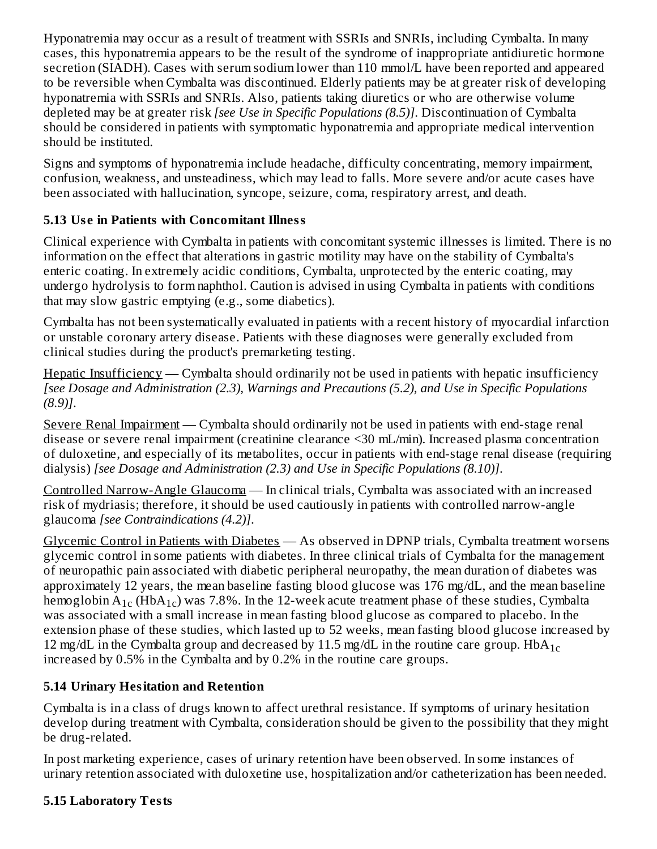Hyponatremia may occur as a result of treatment with SSRIs and SNRIs, including Cymbalta. In many cases, this hyponatremia appears to be the result of the syndrome of inappropriate antidiuretic hormone secretion (SIADH). Cases with serum sodium lower than 110 mmol/L have been reported and appeared to be reversible when Cymbalta was discontinued. Elderly patients may be at greater risk of developing hyponatremia with SSRIs and SNRIs. Also, patients taking diuretics or who are otherwise volume depleted may be at greater risk *[see Use in Specific Populations (8.5)]*. Discontinuation of Cymbalta should be considered in patients with symptomatic hyponatremia and appropriate medical intervention should be instituted.

Signs and symptoms of hyponatremia include headache, difficulty concentrating, memory impairment, confusion, weakness, and unsteadiness, which may lead to falls. More severe and/or acute cases have been associated with hallucination, syncope, seizure, coma, respiratory arrest, and death.

### **5.13 Us e in Patients with Concomitant Illness**

Clinical experience with Cymbalta in patients with concomitant systemic illnesses is limited. There is no information on the effect that alterations in gastric motility may have on the stability of Cymbalta's enteric coating. In extremely acidic conditions, Cymbalta, unprotected by the enteric coating, may undergo hydrolysis to form naphthol. Caution is advised in using Cymbalta in patients with conditions that may slow gastric emptying (e.g., some diabetics).

Cymbalta has not been systematically evaluated in patients with a recent history of myocardial infarction or unstable coronary artery disease. Patients with these diagnoses were generally excluded from clinical studies during the product's premarketing testing.

Hepatic Insufficiency — Cymbalta should ordinarily not be used in patients with hepatic insufficiency *[see Dosage and Administration (2.3), Warnings and Precautions (5.2), and Use in Specific Populations (8.9)]*.

Severe Renal Impairment — Cymbalta should ordinarily not be used in patients with end-stage renal disease or severe renal impairment (creatinine clearance <30 mL/min). Increased plasma concentration of duloxetine, and especially of its metabolites, occur in patients with end-stage renal disease (requiring dialysis) *[see Dosage and Administration (2.3) and Use in Specific Populations (8.10)]*.

Controlled Narrow-Angle Glaucoma — In clinical trials, Cymbalta was associated with an increased risk of mydriasis; therefore, it should be used cautiously in patients with controlled narrow-angle glaucoma *[see Contraindications (4.2)]*.

Glycemic Control in Patients with Diabetes — As observed in DPNP trials, Cymbalta treatment worsens glycemic control in some patients with diabetes. In three clinical trials of Cymbalta for the management of neuropathic pain associated with diabetic peripheral neuropathy, the mean duration of diabetes was approximately 12 years, the mean baseline fasting blood glucose was 176 mg/dL, and the mean baseline hemoglobin  $\rm A_{1c}$  (Hb $\rm A_{1c})$  was 7.8%. In the 12-week acute treatment phase of these studies, Cymbalta was associated with a small increase in mean fasting blood glucose as compared to placebo. In the extension phase of these studies, which lasted up to 52 weeks, mean fasting blood glucose increased by 12 mg/dL in the Cymbalta group and decreased by 11.5 mg/dL in the routine care group.  $HbA_{1c}$ increased by 0.5% in the Cymbalta and by 0.2% in the routine care groups.

## **5.14 Urinary Hesitation and Retention**

Cymbalta is in a class of drugs known to affect urethral resistance. If symptoms of urinary hesitation develop during treatment with Cymbalta, consideration should be given to the possibility that they might be drug-related.

In post marketing experience, cases of urinary retention have been observed. In some instances of urinary retention associated with duloxetine use, hospitalization and/or catheterization has been needed.

### **5.15 Laboratory Tests**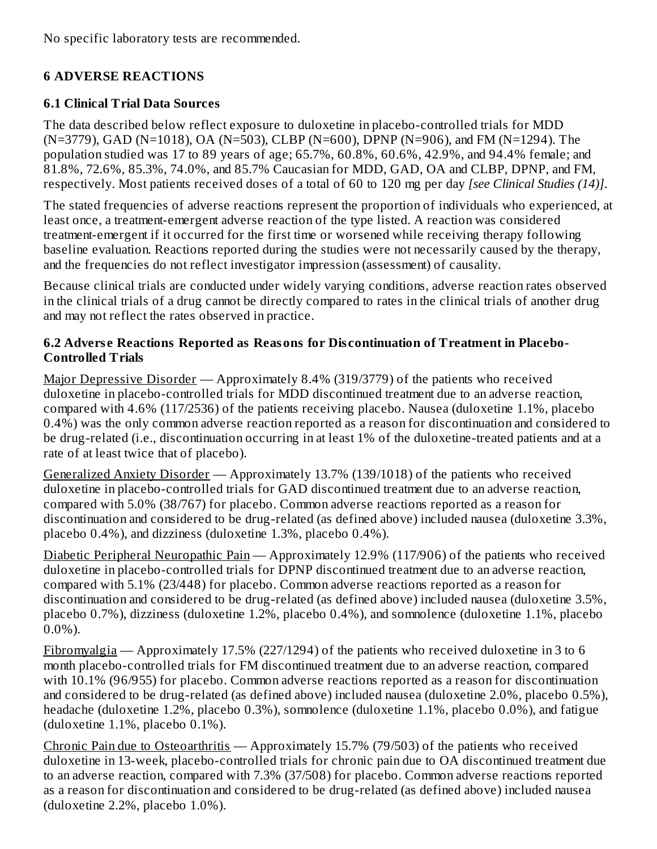No specific laboratory tests are recommended.

### **6 ADVERSE REACTIONS**

#### **6.1 Clinical Trial Data Sources**

The data described below reflect exposure to duloxetine in placebo-controlled trials for MDD (N=3779), GAD (N=1018), OA (N=503), CLBP (N=600), DPNP (N=906), and FM (N=1294). The population studied was 17 to 89 years of age; 65.7%, 60.8%, 60.6%, 42.9%, and 94.4% female; and 81.8%, 72.6%, 85.3%, 74.0%, and 85.7% Caucasian for MDD, GAD, OA and CLBP, DPNP, and FM, respectively. Most patients received doses of a total of 60 to 120 mg per day *[see Clinical Studies (14)]*.

The stated frequencies of adverse reactions represent the proportion of individuals who experienced, at least once, a treatment-emergent adverse reaction of the type listed. A reaction was considered treatment-emergent if it occurred for the first time or worsened while receiving therapy following baseline evaluation. Reactions reported during the studies were not necessarily caused by the therapy, and the frequencies do not reflect investigator impression (assessment) of causality.

Because clinical trials are conducted under widely varying conditions, adverse reaction rates observed in the clinical trials of a drug cannot be directly compared to rates in the clinical trials of another drug and may not reflect the rates observed in practice.

#### **6.2 Advers e Reactions Reported as Reasons for Dis continuation of Treatment in Placebo-Controlled Trials**

Major Depressive Disorder — Approximately 8.4% (319/3779) of the patients who received duloxetine in placebo-controlled trials for MDD discontinued treatment due to an adverse reaction, compared with 4.6% (117/2536) of the patients receiving placebo. Nausea (duloxetine 1.1%, placebo 0.4%) was the only common adverse reaction reported as a reason for discontinuation and considered to be drug-related (i.e., discontinuation occurring in at least 1% of the duloxetine-treated patients and at a rate of at least twice that of placebo).

Generalized Anxiety Disorder — Approximately 13.7% (139/1018) of the patients who received duloxetine in placebo-controlled trials for GAD discontinued treatment due to an adverse reaction, compared with 5.0% (38/767) for placebo. Common adverse reactions reported as a reason for discontinuation and considered to be drug-related (as defined above) included nausea (duloxetine 3.3%, placebo 0.4%), and dizziness (duloxetine 1.3%, placebo 0.4%).

Diabetic Peripheral Neuropathic Pain — Approximately 12.9% (117/906) of the patients who received duloxetine in placebo-controlled trials for DPNP discontinued treatment due to an adverse reaction, compared with 5.1% (23/448) for placebo. Common adverse reactions reported as a reason for discontinuation and considered to be drug-related (as defined above) included nausea (duloxetine 3.5%, placebo 0.7%), dizziness (duloxetine 1.2%, placebo 0.4%), and somnolence (duloxetine 1.1%, placebo 0.0%).

Fibromyalgia — Approximately 17.5% (227/1294) of the patients who received duloxetine in 3 to 6 month placebo-controlled trials for FM discontinued treatment due to an adverse reaction, compared with 10.1% (96/955) for placebo. Common adverse reactions reported as a reason for discontinuation and considered to be drug-related (as defined above) included nausea (duloxetine 2.0%, placebo 0.5%), headache (duloxetine 1.2%, placebo 0.3%), somnolence (duloxetine 1.1%, placebo 0.0%), and fatigue (duloxetine 1.1%, placebo 0.1%).

Chronic Pain due to Osteoarthritis — Approximately 15.7% (79/503) of the patients who received duloxetine in 13-week, placebo-controlled trials for chronic pain due to OA discontinued treatment due to an adverse reaction, compared with 7.3% (37/508) for placebo. Common adverse reactions reported as a reason for discontinuation and considered to be drug-related (as defined above) included nausea (duloxetine 2.2%, placebo 1.0%).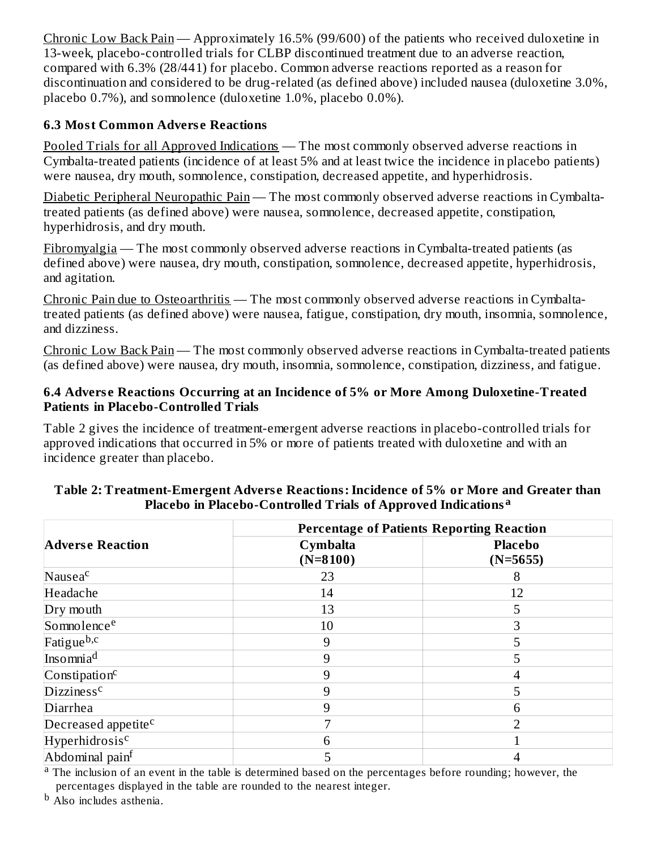Chronic Low Back Pain — Approximately 16.5% (99/600) of the patients who received duloxetine in 13-week, placebo-controlled trials for CLBP discontinued treatment due to an adverse reaction, compared with 6.3% (28/441) for placebo. Common adverse reactions reported as a reason for discontinuation and considered to be drug-related (as defined above) included nausea (duloxetine 3.0%, placebo 0.7%), and somnolence (duloxetine 1.0%, placebo 0.0%).

### **6.3 Most Common Advers e Reactions**

Pooled Trials for all Approved Indications — The most commonly observed adverse reactions in Cymbalta-treated patients (incidence of at least 5% and at least twice the incidence in placebo patients) were nausea, dry mouth, somnolence, constipation, decreased appetite, and hyperhidrosis.

Diabetic Peripheral Neuropathic Pain — The most commonly observed adverse reactions in Cymbaltatreated patients (as defined above) were nausea, somnolence, decreased appetite, constipation, hyperhidrosis, and dry mouth.

Fibromyalgia — The most commonly observed adverse reactions in Cymbalta-treated patients (as defined above) were nausea, dry mouth, constipation, somnolence, decreased appetite, hyperhidrosis, and agitation.

Chronic Pain due to Osteoarthritis — The most commonly observed adverse reactions in Cymbaltatreated patients (as defined above) were nausea, fatigue, constipation, dry mouth, insomnia, somnolence, and dizziness.

Chronic Low Back Pain — The most commonly observed adverse reactions in Cymbalta-treated patients (as defined above) were nausea, dry mouth, insomnia, somnolence, constipation, dizziness, and fatigue.

#### **6.4 Advers e Reactions Occurring at an Incidence of 5% or More Among Duloxetine-Treated Patients in Placebo-Controlled Trials**

Table 2 gives the incidence of treatment-emergent adverse reactions in placebo-controlled trials for approved indications that occurred in 5% or more of patients treated with duloxetine and with an incidence greater than placebo.

|                                 | <b>Percentage of Patients Reporting Reaction</b> |                              |  |  |
|---------------------------------|--------------------------------------------------|------------------------------|--|--|
| <b>Adverse Reaction</b>         | Cymbalta<br>$(N=8100)$                           | <b>Placebo</b><br>$(N=5655)$ |  |  |
| Nausea <sup>c</sup>             | 23                                               | 8                            |  |  |
| Headache                        | 14                                               | 12                           |  |  |
| Dry mouth                       | 13                                               | 5                            |  |  |
| Somnolence <sup>e</sup>         | 10                                               | З                            |  |  |
| Fatigue <sup>b,c</sup>          | 9                                                |                              |  |  |
| Insomnia <sup>d</sup>           | 9                                                | 5                            |  |  |
| Constitution <sup>c</sup>       | 9                                                |                              |  |  |
| Dizziness <sup>c</sup>          | 9                                                | 5                            |  |  |
| Diarrhea                        | 9                                                | 6                            |  |  |
| Decreased appetite <sup>c</sup> |                                                  | ר                            |  |  |
| Hyperhidrosisc                  | 6                                                |                              |  |  |
| Abdominal pain <sup>f</sup>     | 5                                                |                              |  |  |

#### **Table 2: Treatment-Emergent Advers e Reactions:Incidence of 5% or More and Greater than Placebo in Placebo-Controlled Trials of Approved Indications a**

<sup>a</sup> The inclusion of an event in the table is determined based on the percentages before rounding; however, the percentages displayed in the table are rounded to the nearest integer.

<sup>b</sup> Also includes asthenia.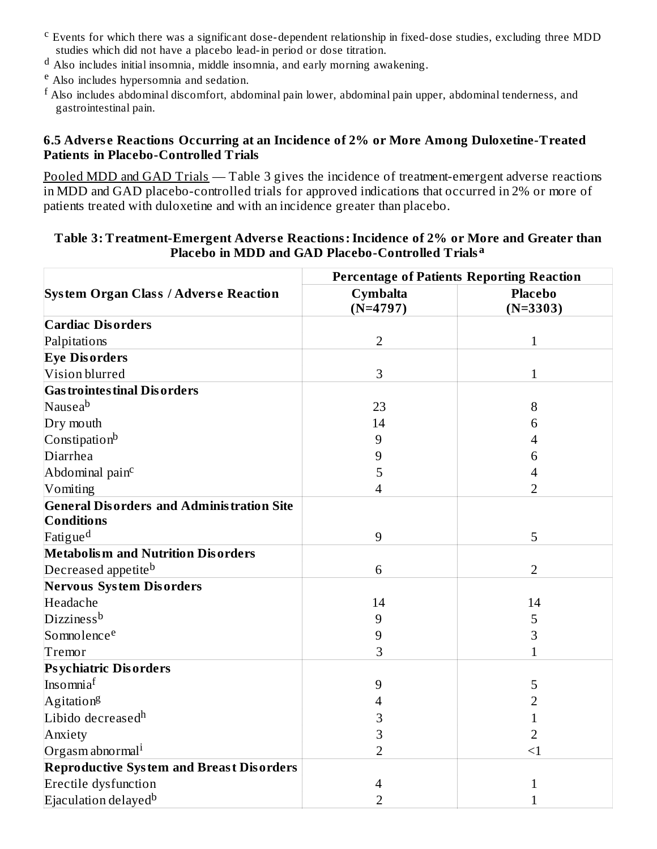- <sup>c</sup> Events for which there was a significant dose-dependent relationship in fixed-dose studies, excluding three MDD studies which did not have a placebo lead-in period or dose titration.
- <sup>d</sup> Also includes initial insomnia, middle insomnia, and early morning awakening.
- <sup>e</sup> Also includes hypersomnia and sedation.
- $^{\rm f}$  Also includes abdominal discomfort, abdominal pain lower, abdominal pain upper, abdominal tenderness, and gastrointestinal pain.

#### **6.5 Advers e Reactions Occurring at an Incidence of 2% or More Among Duloxetine-Treated Patients in Placebo-Controlled Trials**

Pooled MDD and GAD Trials — Table 3 gives the incidence of treatment-emergent adverse reactions in MDD and GAD placebo-controlled trials for approved indications that occurred in 2% or more of patients treated with duloxetine and with an incidence greater than placebo.

#### **Table 3: Treatment-Emergent Advers e Reactions:Incidence of 2% or More and Greater than Placebo in MDD and GAD Placebo-Controlled Trials a**

|                                                  | <b>Percentage of Patients Reporting Reaction</b> |                              |  |  |
|--------------------------------------------------|--------------------------------------------------|------------------------------|--|--|
| <b>System Organ Class / Adverse Reaction</b>     | <b>Cymbalta</b><br>$(N=4797)$                    | <b>Placebo</b><br>$(N=3303)$ |  |  |
| <b>Cardiac Disorders</b>                         |                                                  |                              |  |  |
| Palpitations                                     | $\overline{2}$                                   | $\mathbf{1}$                 |  |  |
| <b>Eye Disorders</b>                             |                                                  |                              |  |  |
| Vision blurred                                   | 3                                                | $\mathbf{1}$                 |  |  |
| <b>Gas trointes tinal Dis orders</b>             |                                                  |                              |  |  |
| Nausea <sup>b</sup>                              | 23                                               | 8                            |  |  |
| Dry mouth                                        | 14                                               | 6                            |  |  |
| Constipation <sup>b</sup>                        | 9                                                |                              |  |  |
| Diarrhea                                         | 9                                                | 6                            |  |  |
| Abdominal pain <sup>c</sup>                      | 5                                                | 4                            |  |  |
| Vomiting                                         | $\overline{4}$                                   | $\overline{2}$               |  |  |
| <b>General Disorders and Administration Site</b> |                                                  |                              |  |  |
| <b>Conditions</b>                                |                                                  |                              |  |  |
| Fatigue <sup>d</sup>                             | 9                                                | 5                            |  |  |
| <b>Metabolism and Nutrition Disorders</b>        |                                                  |                              |  |  |
| Decreased appetiteb                              | 6                                                | $\overline{2}$               |  |  |
| <b>Nervous System Disorders</b>                  |                                                  |                              |  |  |
| Headache                                         | 14                                               | 14                           |  |  |
| Dizziness <sup>b</sup>                           | 9                                                | 5                            |  |  |
| Somnolence <sup>e</sup>                          | 9                                                | 3                            |  |  |
| Tremor                                           | 3                                                | $\overline{1}$               |  |  |
| <b>Psychiatric Disorders</b>                     |                                                  |                              |  |  |
| Insomniaf                                        | 9                                                | 5                            |  |  |
| Agitation <sup>g</sup>                           | 4                                                | 2                            |  |  |
| Libido decreased <sup>h</sup>                    | 3                                                | 1                            |  |  |
| Anxiety                                          | 3                                                | $\overline{2}$               |  |  |
| Orgasm abnormal <sup>i</sup>                     | $\overline{2}$                                   | $\leq$ 1                     |  |  |
| <b>Reproductive System and Breast Disorders</b>  |                                                  |                              |  |  |
| Erectile dysfunction                             | 4                                                | 1                            |  |  |
| Ejaculation delayed <sup>b</sup>                 | $\overline{2}$                                   | 1                            |  |  |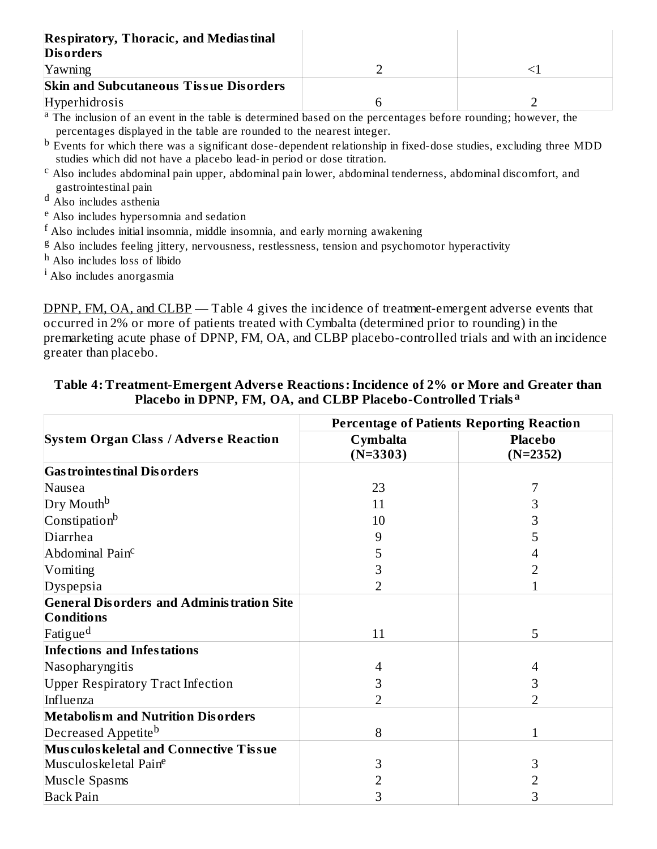| <b>Respiratory, Thoracic, and Mediastinal</b><br><b>Disorders</b> |  |
|-------------------------------------------------------------------|--|
| Yawning                                                           |  |
| <b>Skin and Subcutaneous Tissue Disorders</b>                     |  |
| Hyperhidrosis                                                     |  |

<sup>a</sup> The inclusion of an event in the table is determined based on the percentages before rounding; however, the percentages displayed in the table are rounded to the nearest integer.

- $^{\rm b}$  Events for which there was a significant dose-dependent relationship in fixed-dose studies, excluding three MDD studies which did not have a placebo lead-in period or dose titration.
- $\rm ^c$  Also includes abdominal pain upper, abdominal pain lower, abdominal tenderness, abdominal discomfort, and gastrointestinal pain

<sup>d</sup> Also includes asthenia

- <sup>e</sup> Also includes hypersomnia and sedation
- $^{\rm f}$  Also includes initial insomnia, middle insomnia, and early morning awakening
- $\frac{g}{g}$  Also includes feeling jittery, nervousness, restlessness, tension and psychomotor hyperactivity
- <sup>h</sup> Also includes loss of libido
- <sup>i</sup> Also includes anorgasmia

DPNP, FM, OA, and CLBP — Table 4 gives the incidence of treatment-emergent adverse events that occurred in 2% or more of patients treated with Cymbalta (determined prior to rounding) in the premarketing acute phase of DPNP, FM, OA, and CLBP placebo-controlled trials and with an incidence greater than placebo.

| Table 4: Treatment-Emergent Adverse Reactions: Incidence of 2% or More and Greater than |
|-----------------------------------------------------------------------------------------|
| Placebo in DPNP, FM, OA, and CLBP Placebo-Controlled Trials <sup>a</sup>                |

|                                                  | <b>Percentage of Patients Reporting Reaction</b> |                              |  |  |
|--------------------------------------------------|--------------------------------------------------|------------------------------|--|--|
| <b>System Organ Class / Adverse Reaction</b>     | Cymbalta<br>$(N=3303)$                           | <b>Placebo</b><br>$(N=2352)$ |  |  |
| <b>Gas trointes tinal Dis orders</b>             |                                                  |                              |  |  |
| Nausea                                           | 23                                               | 7                            |  |  |
| Dry Mouth <sup>b</sup>                           | 11                                               | 3                            |  |  |
| Constipationb                                    | 10                                               | З                            |  |  |
| Diarrhea                                         | 9                                                | 5                            |  |  |
| Abdominal Pain <sup>c</sup>                      | 5                                                |                              |  |  |
| Vomiting                                         | 3                                                |                              |  |  |
| Dyspepsia                                        | 2                                                | 1                            |  |  |
| <b>General Disorders and Administration Site</b> |                                                  |                              |  |  |
| <b>Conditions</b>                                |                                                  |                              |  |  |
| Fatigue <sup>d</sup>                             | 11                                               | 5                            |  |  |
| <b>Infections and Infestations</b>               |                                                  |                              |  |  |
| Nasopharyngitis                                  | 4                                                | 4                            |  |  |
| <b>Upper Respiratory Tract Infection</b>         | 3                                                | 3                            |  |  |
| Influenza                                        | 2                                                | $\overline{2}$               |  |  |
| <b>Metabolism and Nutrition Disorders</b>        |                                                  |                              |  |  |
| Decreased Appetite <sup>b</sup>                  | 8                                                | 1                            |  |  |
| Musculos keletal and Connective Tissue           |                                                  |                              |  |  |
| Musculoskeletal Paine                            | 3                                                | 3                            |  |  |
| Muscle Spasms                                    | 2                                                |                              |  |  |
| <b>Back Pain</b>                                 | 3                                                | З                            |  |  |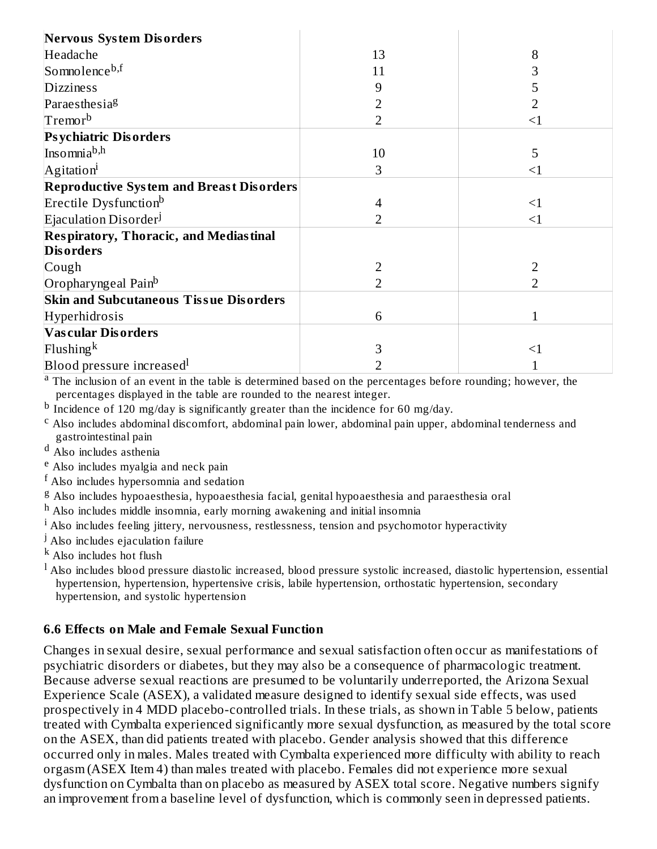| <b>Nervous System Disorders</b>                 |    |                |
|-------------------------------------------------|----|----------------|
| Headache                                        | 13 | 8              |
| Somnolenceb,f                                   | 11 | 3              |
| <b>Dizziness</b>                                | 9  | 5              |
| Paraesthesia <sup>g</sup>                       | 2  | 2              |
| Tremor <sup>b</sup>                             | 2  | $<$ 1          |
| <b>Psychiatric Disorders</b>                    |    |                |
| Insomnia <sup>b,h</sup>                         | 10 | 5              |
| Agitation <sup>1</sup>                          | 3  | $\leq$ 1       |
| <b>Reproductive System and Breast Disorders</b> |    |                |
| Erectile Dysfunction <sup>b</sup>               | 4  | $\leq$ 1       |
| Ejaculation Disorder <sup>j</sup>               | 2  | $\leq$ 1       |
| <b>Respiratory, Thoracic, and Mediastinal</b>   |    |                |
| <b>Disorders</b>                                |    |                |
| Cough                                           | 2  | 2              |
| Oropharyngeal Pain <sup>b</sup>                 | 2  | $\overline{2}$ |
| <b>Skin and Subcutaneous Tissue Disorders</b>   |    |                |
| Hyperhidrosis                                   | 6  | 1              |
| <b>Vascular Disorders</b>                       |    |                |
| Flushing <sup>k</sup>                           | 3  | $<$ 1          |
| Blood pressure increased <sup>l</sup>           |    | 1              |

The inclusion of an event in the table is determined based on the percentages before rounding; however, the percentages displayed in the table are rounded to the nearest integer. a

 $^{\rm b}$  Incidence of 120 mg/day is significantly greater than the incidence for 60 mg/day.

<sup>c</sup> Also includes abdominal discomfort, abdominal pain lower, abdominal pain upper, abdominal tenderness and gastrointestinal pain

<sup>d</sup> Also includes asthenia

<sup>e</sup> Also includes myalgia and neck pain

 $^{\rm f}$  Also includes hypersomnia and sedation

<sup>g</sup> Also includes hypoaesthesia, hypoaesthesia facial, genital hypoaesthesia and paraesthesia oral

<sup>h</sup> Also includes middle insomnia, early morning awakening and initial insomnia

 $^{\rm i}$  Also includes feeling jittery, nervousness, restlessness, tension and psychomotor hyperactivity

<sup>j</sup> Also includes ejaculation failure

<sup>k</sup> Also includes hot flush

 $^{\rm l}$  Also includes blood pressure diastolic increased, blood pressure systolic increased, diastolic hypertension, essential hypertension, hypertension, hypertensive crisis, labile hypertension, orthostatic hypertension, secondary hypertension, and systolic hypertension

#### **6.6 Effects on Male and Female Sexual Function**

Changes in sexual desire, sexual performance and sexual satisfaction often occur as manifestations of psychiatric disorders or diabetes, but they may also be a consequence of pharmacologic treatment. Because adverse sexual reactions are presumed to be voluntarily underreported, the Arizona Sexual Experience Scale (ASEX), a validated measure designed to identify sexual side effects, was used prospectively in 4 MDD placebo-controlled trials. In these trials, as shown in Table 5 below, patients treated with Cymbalta experienced significantly more sexual dysfunction, as measured by the total score on the ASEX, than did patients treated with placebo. Gender analysis showed that this difference occurred only in males. Males treated with Cymbalta experienced more difficulty with ability to reach orgasm (ASEX Item 4) than males treated with placebo. Females did not experience more sexual dysfunction on Cymbalta than on placebo as measured by ASEX total score. Negative numbers signify an improvement from a baseline level of dysfunction, which is commonly seen in depressed patients.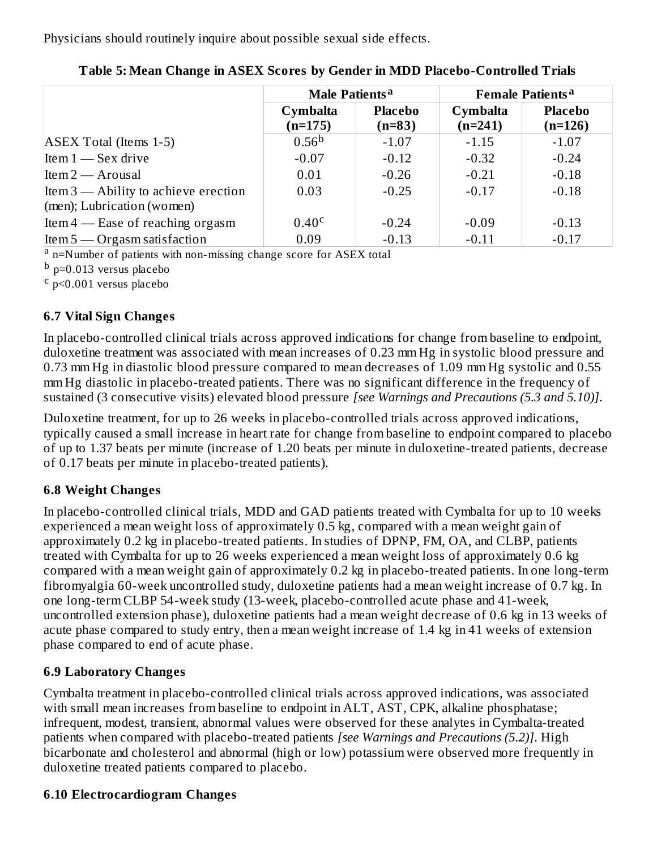Physicians should routinely inquire about possible sexual side effects.

|                                                                       | Male Patients <sup>a</sup> |                            | Female Patients <sup>a</sup> |                             |  |
|-----------------------------------------------------------------------|----------------------------|----------------------------|------------------------------|-----------------------------|--|
|                                                                       | Cymbalta<br>$(n=175)$      | <b>Placebo</b><br>$(n=83)$ | Cymbalta<br>$(n=241)$        | <b>Placebo</b><br>$(n=126)$ |  |
| $ {\rm ASEX\ Total\ (Items\ 1-5)} $                                   | 0.56 <sup>b</sup>          | $-1.07$                    | $-1.15$                      | $-1.07$                     |  |
| Item $1$ — Sex drive                                                  | $-0.07$                    | $-0.12$                    | $-0.32$                      | $-0.24$                     |  |
| Item $2 -$ Arousal                                                    | 0.01                       | $-0.26$                    | $-0.21$                      | $-0.18$                     |  |
| Item 3 — Ability to achieve erection<br>$(men)$ ; Lubrication (women) | 0.03                       | $-0.25$                    | $-0.17$                      | $-0.18$                     |  |
| Item $4$ — Ease of reaching orgasm                                    | 0.40 <sup>c</sup>          | $-0.24$                    | $-0.09$                      | $-0.13$                     |  |
| Item $5$ — Orgasm satisfaction                                        | 0.09                       | $-0.13$                    | $-0.11$                      | $-0.17$                     |  |

a n=Number of patients with non-missing change score for ASEX total

 $^{\rm b}$  p=0.013 versus placebo

<sup>c</sup> p<0.001 versus placebo

### **6.7 Vital Sign Changes**

In placebo-controlled clinical trials across approved indications for change from baseline to endpoint, duloxetine treatment was associated with mean increases of 0.23 mm Hg in systolic blood pressure and 0.73 mm Hg in diastolic blood pressure compared to mean decreases of 1.09 mm Hg systolic and 0.55 mm Hg diastolic in placebo-treated patients. There was no significant difference in the frequency of sustained (3 consecutive visits) elevated blood pressure *[see Warnings and Precautions (5.3 and 5.10)]*.

Duloxetine treatment, for up to 26 weeks in placebo-controlled trials across approved indications, typically caused a small increase in heart rate for change from baseline to endpoint compared to placebo of up to 1.37 beats per minute (increase of 1.20 beats per minute in duloxetine-treated patients, decrease of 0.17 beats per minute in placebo-treated patients).

### **6.8 Weight Changes**

In placebo-controlled clinical trials, MDD and GAD patients treated with Cymbalta for up to 10 weeks experienced a mean weight loss of approximately 0.5 kg, compared with a mean weight gain of approximately 0.2 kg in placebo-treated patients. In studies of DPNP, FM, OA, and CLBP, patients treated with Cymbalta for up to 26 weeks experienced a mean weight loss of approximately 0.6 kg compared with a mean weight gain of approximately 0.2 kg in placebo-treated patients. In one long-term fibromyalgia 60-week uncontrolled study, duloxetine patients had a mean weight increase of 0.7 kg. In one long-term CLBP 54-week study (13-week, placebo-controlled acute phase and 41-week, uncontrolled extension phase), duloxetine patients had a mean weight decrease of 0.6 kg in 13 weeks of acute phase compared to study entry, then a mean weight increase of 1.4 kg in 41 weeks of extension phase compared to end of acute phase.

## **6.9 Laboratory Changes**

Cymbalta treatment in placebo-controlled clinical trials across approved indications, was associated with small mean increases from baseline to endpoint in ALT, AST, CPK, alkaline phosphatase; infrequent, modest, transient, abnormal values were observed for these analytes in Cymbalta-treated patients when compared with placebo-treated patients *[see Warnings and Precautions (5.2)]*. High bicarbonate and cholesterol and abnormal (high or low) potassium were observed more frequently in duloxetine treated patients compared to placebo.

### **6.10 Electrocardiogram Changes**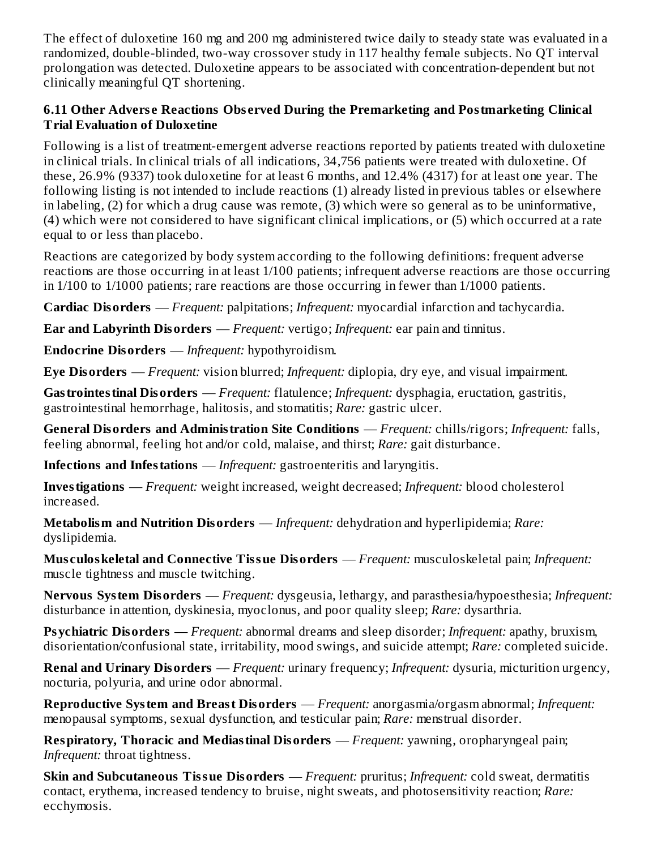The effect of duloxetine 160 mg and 200 mg administered twice daily to steady state was evaluated in a randomized, double-blinded, two-way crossover study in 117 healthy female subjects. No QT interval prolongation was detected. Duloxetine appears to be associated with concentration-dependent but not clinically meaningful QT shortening.

#### **6.11 Other Advers e Reactions Obs erved During the Premarketing and Postmarketing Clinical Trial Evaluation of Duloxetine**

Following is a list of treatment-emergent adverse reactions reported by patients treated with duloxetine in clinical trials. In clinical trials of all indications, 34,756 patients were treated with duloxetine. Of these, 26.9% (9337) took duloxetine for at least 6 months, and 12.4% (4317) for at least one year. The following listing is not intended to include reactions (1) already listed in previous tables or elsewhere in labeling, (2) for which a drug cause was remote, (3) which were so general as to be uninformative, (4) which were not considered to have significant clinical implications, or (5) which occurred at a rate equal to or less than placebo.

Reactions are categorized by body system according to the following definitions: frequent adverse reactions are those occurring in at least 1/100 patients; infrequent adverse reactions are those occurring in 1/100 to 1/1000 patients; rare reactions are those occurring in fewer than 1/1000 patients.

**Cardiac Disorders** — *Frequent:* palpitations; *Infrequent:* myocardial infarction and tachycardia.

**Ear and Labyrinth Disorders** — *Frequent:* vertigo; *Infrequent:* ear pain and tinnitus.

**Endocrine Disorders** — *Infrequent:* hypothyroidism.

**Eye Disorders** — *Frequent:* vision blurred; *Infrequent:* diplopia, dry eye, and visual impairment.

**Gastrointestinal Disorders** — *Frequent:* flatulence; *Infrequent:* dysphagia, eructation, gastritis, gastrointestinal hemorrhage, halitosis, and stomatitis; *Rare:* gastric ulcer.

**General Disorders and Administration Site Conditions** — *Frequent:* chills/rigors; *Infrequent:* falls, feeling abnormal, feeling hot and/or cold, malaise, and thirst; *Rare:* gait disturbance.

**Infections and Infestations** — *Infrequent:* gastroenteritis and laryngitis.

**Investigations** — *Frequent:* weight increased, weight decreased; *Infrequent:* blood cholesterol increased.

**Metabolism and Nutrition Disorders** — *Infrequent:* dehydration and hyperlipidemia; *Rare:* dyslipidemia.

**Mus culoskeletal and Connective Tissue Disorders** — *Frequent:* musculoskeletal pain; *Infrequent:* muscle tightness and muscle twitching.

**Nervous System Disorders** — *Frequent:* dysgeusia, lethargy, and parasthesia/hypoesthesia; *Infrequent:* disturbance in attention, dyskinesia, myoclonus, and poor quality sleep; *Rare:* dysarthria.

**Psychiatric Disorders** — *Frequent:* abnormal dreams and sleep disorder; *Infrequent:* apathy, bruxism, disorientation/confusional state, irritability, mood swings, and suicide attempt; *Rare:* completed suicide.

**Renal and Urinary Disorders** — *Frequent:* urinary frequency; *Infrequent:* dysuria, micturition urgency, nocturia, polyuria, and urine odor abnormal.

**Reproductive System and Breast Disorders** — *Frequent:* anorgasmia/orgasm abnormal; *Infrequent:* menopausal symptoms, sexual dysfunction, and testicular pain; *Rare:* menstrual disorder.

**Respiratory, Thoracic and Mediastinal Disorders** — *Frequent:* yawning, oropharyngeal pain; *Infrequent:* throat tightness.

**Skin and Subcutaneous Tissue Disorders** — *Frequent:* pruritus; *Infrequent:* cold sweat, dermatitis contact, erythema, increased tendency to bruise, night sweats, and photosensitivity reaction; *Rare:* ecchymosis.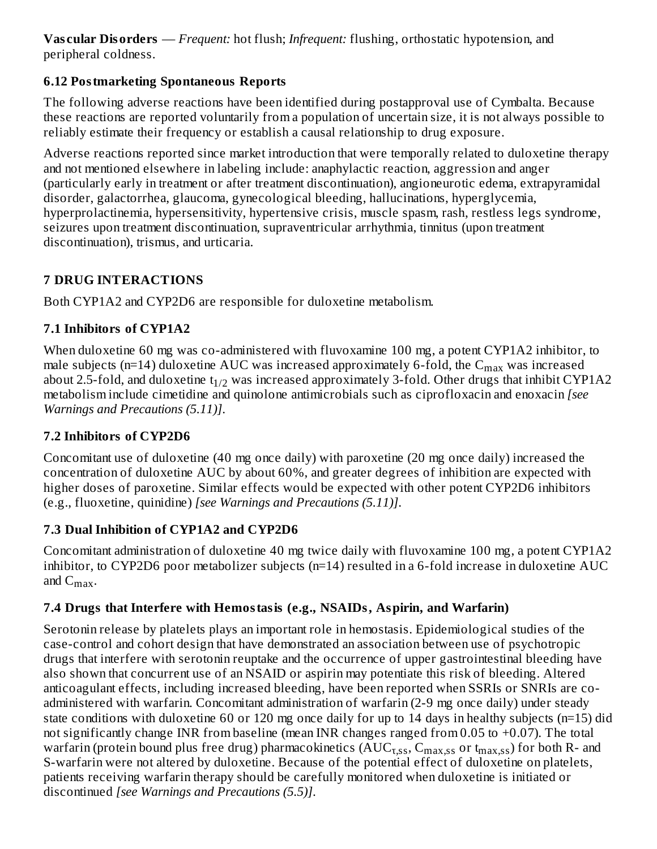**Vas cular Disorders** — *Frequent:* hot flush; *Infrequent:* flushing, orthostatic hypotension, and peripheral coldness.

### **6.12 Postmarketing Spontaneous Reports**

The following adverse reactions have been identified during postapproval use of Cymbalta. Because these reactions are reported voluntarily from a population of uncertain size, it is not always possible to reliably estimate their frequency or establish a causal relationship to drug exposure.

Adverse reactions reported since market introduction that were temporally related to duloxetine therapy and not mentioned elsewhere in labeling include: anaphylactic reaction, aggression and anger (particularly early in treatment or after treatment discontinuation), angioneurotic edema, extrapyramidal disorder, galactorrhea, glaucoma, gynecological bleeding, hallucinations, hyperglycemia, hyperprolactinemia, hypersensitivity, hypertensive crisis, muscle spasm, rash, restless legs syndrome, seizures upon treatment discontinuation, supraventricular arrhythmia, tinnitus (upon treatment discontinuation), trismus, and urticaria.

## **7 DRUG INTERACTIONS**

Both CYP1A2 and CYP2D6 are responsible for duloxetine metabolism.

## **7.1 Inhibitors of CYP1A2**

When duloxetine 60 mg was co-administered with fluvoxamine 100 mg, a potent CYP1A2 inhibitor, to male subjects (n=14) duloxetine AUC was increased approximately 6-fold, the  $\rm{C_{max}}$  was increased about 2.5-fold, and duloxetine  $t_{1/2}$  was increased approximately 3-fold. Other drugs that inhibit CYP1A2 metabolism include cimetidine and quinolone antimicrobials such as ciprofloxacin and enoxacin *[see Warnings and Precautions (5.11)]*.

## **7.2 Inhibitors of CYP2D6**

Concomitant use of duloxetine (40 mg once daily) with paroxetine (20 mg once daily) increased the concentration of duloxetine AUC by about 60%, and greater degrees of inhibition are expected with higher doses of paroxetine. Similar effects would be expected with other potent CYP2D6 inhibitors (e.g., fluoxetine, quinidine) *[see Warnings and Precautions (5.11)]*.

## **7.3 Dual Inhibition of CYP1A2 and CYP2D6**

Concomitant administration of duloxetine 40 mg twice daily with fluvoxamine 100 mg, a potent CYP1A2 inhibitor, to CYP2D6 poor metabolizer subjects (n=14) resulted in a 6-fold increase in duloxetine AUC and  $C_{max}$ .

## **7.4 Drugs that Interfere with Hemostasis (e.g., NSAIDs, Aspirin, and Warfarin)**

Serotonin release by platelets plays an important role in hemostasis. Epidemiological studies of the case-control and cohort design that have demonstrated an association between use of psychotropic drugs that interfere with serotonin reuptake and the occurrence of upper gastrointestinal bleeding have also shown that concurrent use of an NSAID or aspirin may potentiate this risk of bleeding. Altered anticoagulant effects, including increased bleeding, have been reported when SSRIs or SNRIs are coadministered with warfarin. Concomitant administration of warfarin (2-9 mg once daily) under steady state conditions with duloxetine 60 or 120 mg once daily for up to 14 days in healthy subjects ( $n=15$ ) did not significantly change INR from baseline (mean INR changes ranged from 0.05 to +0.07). The total warfarin (protein bound plus free drug) pharmacokinetics (AUC $_{\rm \tau, ss}$ , C $_{\rm max, ss}$  or t $_{\rm max, ss}$ ) for both R- and S-warfarin were not altered by duloxetine. Because of the potential effect of duloxetine on platelets, patients receiving warfarin therapy should be carefully monitored when duloxetine is initiated or discontinued *[see Warnings and Precautions (5.5)]*.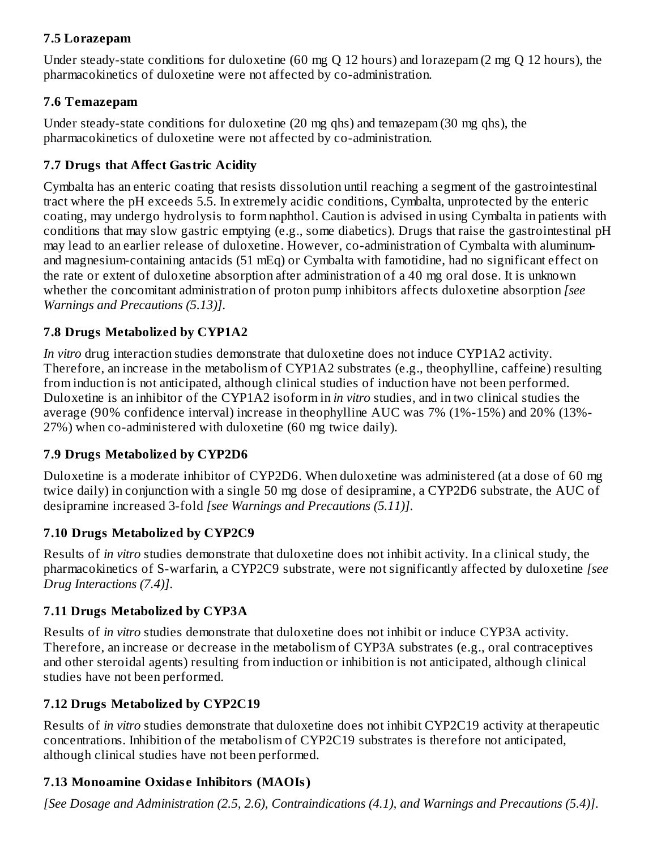### **7.5 Lorazepam**

Under steady-state conditions for duloxetine (60 mg Q 12 hours) and lorazepam (2 mg Q 12 hours), the pharmacokinetics of duloxetine were not affected by co-administration.

### **7.6 Temazepam**

Under steady-state conditions for duloxetine (20 mg qhs) and temazepam (30 mg qhs), the pharmacokinetics of duloxetine were not affected by co-administration.

### **7.7 Drugs that Affect Gastric Acidity**

Cymbalta has an enteric coating that resists dissolution until reaching a segment of the gastrointestinal tract where the pH exceeds 5.5. In extremely acidic conditions, Cymbalta, unprotected by the enteric coating, may undergo hydrolysis to form naphthol. Caution is advised in using Cymbalta in patients with conditions that may slow gastric emptying (e.g., some diabetics). Drugs that raise the gastrointestinal pH may lead to an earlier release of duloxetine. However, co-administration of Cymbalta with aluminumand magnesium-containing antacids (51 mEq) or Cymbalta with famotidine, had no significant effect on the rate or extent of duloxetine absorption after administration of a 40 mg oral dose. It is unknown whether the concomitant administration of proton pump inhibitors affects duloxetine absorption *[see Warnings and Precautions (5.13)]*.

### **7.8 Drugs Metabolized by CYP1A2**

*In vitro* drug interaction studies demonstrate that duloxetine does not induce CYP1A2 activity. Therefore, an increase in the metabolism of CYP1A2 substrates (e.g., theophylline, caffeine) resulting from induction is not anticipated, although clinical studies of induction have not been performed. Duloxetine is an inhibitor of the CYP1A2 isoform in *in vitro* studies, and in two clinical studies the average (90% confidence interval) increase in theophylline AUC was 7% (1%-15%) and 20% (13%- 27%) when co-administered with duloxetine (60 mg twice daily).

### **7.9 Drugs Metabolized by CYP2D6**

Duloxetine is a moderate inhibitor of CYP2D6. When duloxetine was administered (at a dose of 60 mg twice daily) in conjunction with a single 50 mg dose of desipramine, a CYP2D6 substrate, the AUC of desipramine increased 3-fold *[see Warnings and Precautions (5.11)]*.

### **7.10 Drugs Metabolized by CYP2C9**

Results of *in vitro* studies demonstrate that duloxetine does not inhibit activity. In a clinical study, the pharmacokinetics of S-warfarin, a CYP2C9 substrate, were not significantly affected by duloxetine *[see Drug Interactions (7.4)]*.

### **7.11 Drugs Metabolized by CYP3A**

Results of *in vitro* studies demonstrate that duloxetine does not inhibit or induce CYP3A activity. Therefore, an increase or decrease in the metabolism of CYP3A substrates (e.g., oral contraceptives and other steroidal agents) resulting from induction or inhibition is not anticipated, although clinical studies have not been performed.

## **7.12 Drugs Metabolized by CYP2C19**

Results of *in vitro* studies demonstrate that duloxetine does not inhibit CYP2C19 activity at therapeutic concentrations. Inhibition of the metabolism of CYP2C19 substrates is therefore not anticipated, although clinical studies have not been performed.

## **7.13 Monoamine Oxidas e Inhibitors (MAOIs)**

*[See Dosage and Administration (2.5, 2.6), Contraindications (4.1), and Warnings and Precautions (5.4)]*.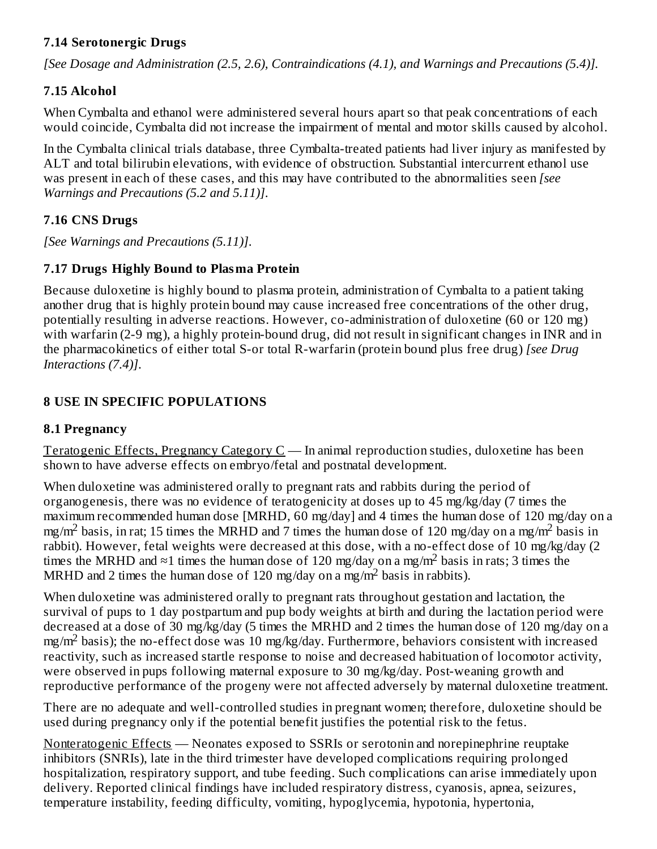#### **7.14 Serotonergic Drugs**

*[See Dosage and Administration (2.5, 2.6), Contraindications (4.1), and Warnings and Precautions (5.4)].*

## **7.15 Alcohol**

When Cymbalta and ethanol were administered several hours apart so that peak concentrations of each would coincide, Cymbalta did not increase the impairment of mental and motor skills caused by alcohol.

In the Cymbalta clinical trials database, three Cymbalta-treated patients had liver injury as manifested by ALT and total bilirubin elevations, with evidence of obstruction. Substantial intercurrent ethanol use was present in each of these cases, and this may have contributed to the abnormalities seen *[see Warnings and Precautions (5.2 and 5.11)]*.

## **7.16 CNS Drugs**

*[See Warnings and Precautions (5.11)]*.

# **7.17 Drugs Highly Bound to Plasma Protein**

Because duloxetine is highly bound to plasma protein, administration of Cymbalta to a patient taking another drug that is highly protein bound may cause increased free concentrations of the other drug, potentially resulting in adverse reactions. However, co-administration of duloxetine (60 or 120 mg) with warfarin (2-9 mg), a highly protein-bound drug, did not result in significant changes in INR and in the pharmacokinetics of either total S-or total R-warfarin (protein bound plus free drug) *[see Drug Interactions (7.4)]*.

# **8 USE IN SPECIFIC POPULATIONS**

## **8.1 Pregnancy**

Teratogenic Effects, Pregnancy Category  $C$  — In animal reproduction studies, duloxetine has been shown to have adverse effects on embryo/fetal and postnatal development.

When duloxetine was administered orally to pregnant rats and rabbits during the period of organogenesis, there was no evidence of teratogenicity at doses up to 45 mg/kg/day (7 times the maximum recommended human dose [MRHD, 60 mg/day] and 4 times the human dose of 120 mg/day on a mg/m<sup>2</sup> basis, in rat; 15 times the MRHD and 7 times the human dose of 120 mg/day on a mg/m<sup>2</sup> basis in rabbit). However, fetal weights were decreased at this dose, with a no-effect dose of 10 mg/kg/day (2 times the MRHD and  $\approx$ 1 times the human dose of 120 mg/day on a mg/m<sup>2</sup> basis in rats; 3 times the MRHD and 2 times the human dose of 120 mg/day on a mg/m<sup>2</sup> basis in rabbits).

When duloxetine was administered orally to pregnant rats throughout gestation and lactation, the survival of pups to 1 day postpartum and pup body weights at birth and during the lactation period were decreased at a dose of 30 mg/kg/day (5 times the MRHD and 2 times the human dose of 120 mg/day on a  $mg/m<sup>2</sup>$  basis); the no-effect dose was 10 mg/kg/day. Furthermore, behaviors consistent with increased reactivity, such as increased startle response to noise and decreased habituation of locomotor activity, were observed in pups following maternal exposure to 30 mg/kg/day. Post-weaning growth and reproductive performance of the progeny were not affected adversely by maternal duloxetine treatment.

There are no adequate and well-controlled studies in pregnant women; therefore, duloxetine should be used during pregnancy only if the potential benefit justifies the potential risk to the fetus.

Nonteratogenic Effects — Neonates exposed to SSRIs or serotonin and norepinephrine reuptake inhibitors (SNRIs), late in the third trimester have developed complications requiring prolonged hospitalization, respiratory support, and tube feeding. Such complications can arise immediately upon delivery. Reported clinical findings have included respiratory distress, cyanosis, apnea, seizures, temperature instability, feeding difficulty, vomiting, hypoglycemia, hypotonia, hypertonia,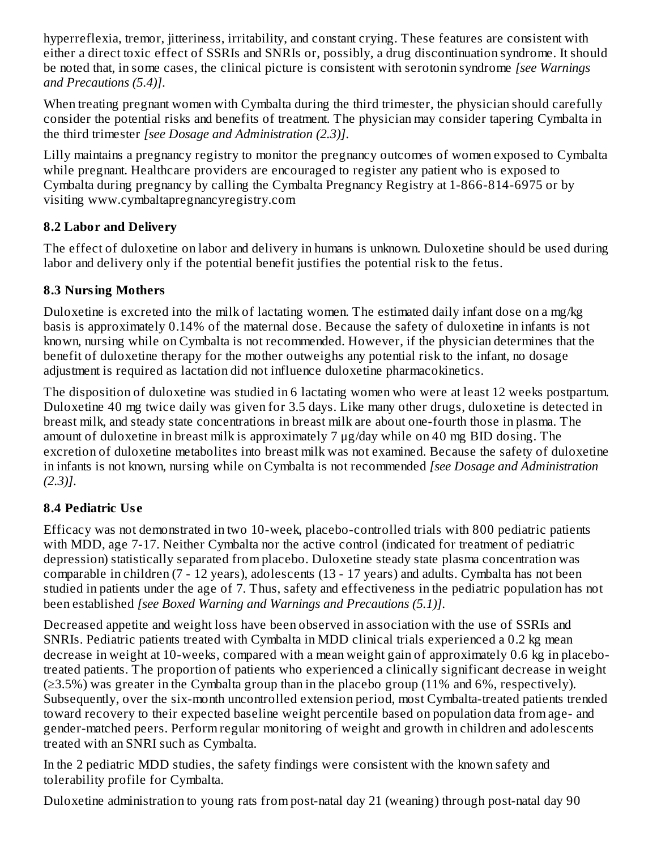hyperreflexia, tremor, jitteriness, irritability, and constant crying. These features are consistent with either a direct toxic effect of SSRIs and SNRIs or, possibly, a drug discontinuation syndrome. It should be noted that, in some cases, the clinical picture is consistent with serotonin syndrome *[see Warnings and Precautions (5.4)]*.

When treating pregnant women with Cymbalta during the third trimester, the physician should carefully consider the potential risks and benefits of treatment. The physician may consider tapering Cymbalta in the third trimester *[see Dosage and Administration (2.3)]*.

Lilly maintains a pregnancy registry to monitor the pregnancy outcomes of women exposed to Cymbalta while pregnant. Healthcare providers are encouraged to register any patient who is exposed to Cymbalta during pregnancy by calling the Cymbalta Pregnancy Registry at 1-866-814-6975 or by visiting www.cymbaltapregnancyregistry.com

### **8.2 Labor and Delivery**

The effect of duloxetine on labor and delivery in humans is unknown. Duloxetine should be used during labor and delivery only if the potential benefit justifies the potential risk to the fetus.

## **8.3 Nursing Mothers**

Duloxetine is excreted into the milk of lactating women. The estimated daily infant dose on a mg/kg basis is approximately 0.14% of the maternal dose. Because the safety of duloxetine in infants is not known, nursing while on Cymbalta is not recommended. However, if the physician determines that the benefit of duloxetine therapy for the mother outweighs any potential risk to the infant, no dosage adjustment is required as lactation did not influence duloxetine pharmacokinetics.

The disposition of duloxetine was studied in 6 lactating women who were at least 12 weeks postpartum. Duloxetine 40 mg twice daily was given for 3.5 days. Like many other drugs, duloxetine is detected in breast milk, and steady state concentrations in breast milk are about one-fourth those in plasma. The amount of duloxetine in breast milk is approximately 7 μg/day while on 40 mg BID dosing. The excretion of duloxetine metabolites into breast milk was not examined. Because the safety of duloxetine in infants is not known, nursing while on Cymbalta is not recommended *[see Dosage and Administration (2.3)]*.

## **8.4 Pediatric Us e**

Efficacy was not demonstrated in two 10-week, placebo-controlled trials with 800 pediatric patients with MDD, age 7-17. Neither Cymbalta nor the active control (indicated for treatment of pediatric depression) statistically separated from placebo. Duloxetine steady state plasma concentration was comparable in children (7 - 12 years), adolescents (13 - 17 years) and adults. Cymbalta has not been studied in patients under the age of 7. Thus, safety and effectiveness in the pediatric population has not been established *[see Boxed Warning and Warnings and Precautions (5.1)]*.

Decreased appetite and weight loss have been observed in association with the use of SSRIs and SNRIs. Pediatric patients treated with Cymbalta in MDD clinical trials experienced a 0.2 kg mean decrease in weight at 10-weeks, compared with a mean weight gain of approximately 0.6 kg in placebotreated patients. The proportion of patients who experienced a clinically significant decrease in weight (≥3.5%) was greater in the Cymbalta group than in the placebo group (11% and 6%, respectively). Subsequently, over the six-month uncontrolled extension period, most Cymbalta-treated patients trended toward recovery to their expected baseline weight percentile based on population data from age- and gender-matched peers. Perform regular monitoring of weight and growth in children and adolescents treated with an SNRI such as Cymbalta.

In the 2 pediatric MDD studies, the safety findings were consistent with the known safety and tolerability profile for Cymbalta.

Duloxetine administration to young rats from post-natal day 21 (weaning) through post-natal day 90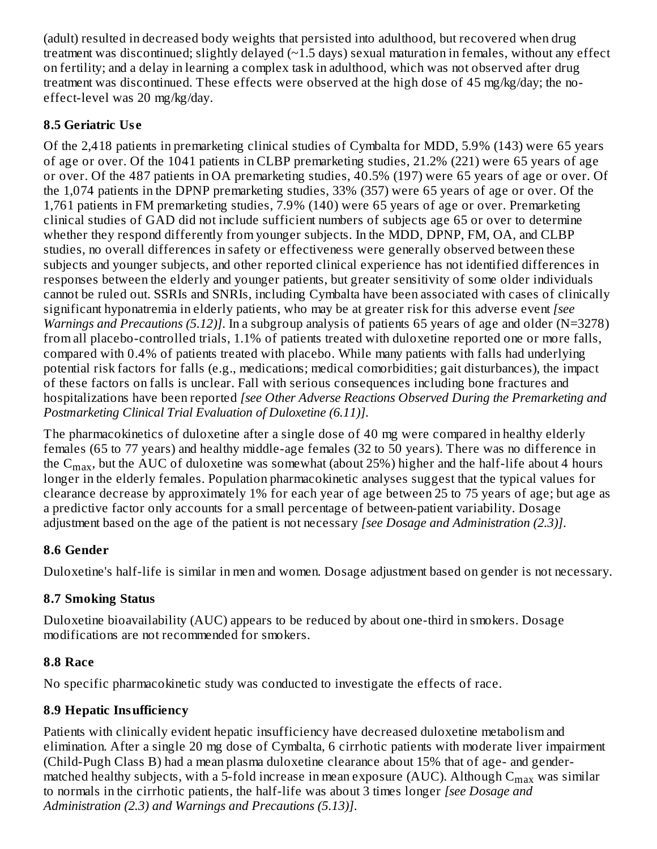(adult) resulted in decreased body weights that persisted into adulthood, but recovered when drug treatment was discontinued; slightly delayed (~1.5 days) sexual maturation in females, without any effect on fertility; and a delay in learning a complex task in adulthood, which was not observed after drug treatment was discontinued. These effects were observed at the high dose of 45 mg/kg/day; the noeffect-level was 20 mg/kg/day.

## **8.5 Geriatric Us e**

Of the 2,418 patients in premarketing clinical studies of Cymbalta for MDD, 5.9% (143) were 65 years of age or over. Of the 1041 patients in CLBP premarketing studies, 21.2% (221) were 65 years of age or over. Of the 487 patients in OA premarketing studies, 40.5% (197) were 65 years of age or over. Of the 1,074 patients in the DPNP premarketing studies, 33% (357) were 65 years of age or over. Of the 1,761 patients in FM premarketing studies, 7.9% (140) were 65 years of age or over. Premarketing clinical studies of GAD did not include sufficient numbers of subjects age 65 or over to determine whether they respond differently from younger subjects. In the MDD, DPNP, FM, OA, and CLBP studies, no overall differences in safety or effectiveness were generally observed between these subjects and younger subjects, and other reported clinical experience has not identified differences in responses between the elderly and younger patients, but greater sensitivity of some older individuals cannot be ruled out. SSRIs and SNRIs, including Cymbalta have been associated with cases of clinically significant hyponatremia in elderly patients, who may be at greater risk for this adverse event *[see Warnings and Precautions (5.12)]*. In a subgroup analysis of patients 65 years of age and older (N=3278) from all placebo-controlled trials, 1.1% of patients treated with duloxetine reported one or more falls, compared with 0.4% of patients treated with placebo. While many patients with falls had underlying potential risk factors for falls (e.g., medications; medical comorbidities; gait disturbances), the impact of these factors on falls is unclear. Fall with serious consequences including bone fractures and hospitalizations have been reported *[see Other Adverse Reactions Observed During the Premarketing and Postmarketing Clinical Trial Evaluation of Duloxetine (6.11)]*.

The pharmacokinetics of duloxetine after a single dose of 40 mg were compared in healthy elderly females (65 to 77 years) and healthy middle-age females (32 to 50 years). There was no difference in the C $_{\rm max}$ , but the AUC of duloxetine was somewhat (about 25%) higher and the half-life about 4 hours longer in the elderly females. Population pharmacokinetic analyses suggest that the typical values for clearance decrease by approximately 1% for each year of age between 25 to 75 years of age; but age as a predictive factor only accounts for a small percentage of between-patient variability. Dosage adjustment based on the age of the patient is not necessary *[see Dosage and Administration (2.3)]*.

## **8.6 Gender**

Duloxetine's half-life is similar in men and women. Dosage adjustment based on gender is not necessary.

## **8.7 Smoking Status**

Duloxetine bioavailability (AUC) appears to be reduced by about one-third in smokers. Dosage modifications are not recommended for smokers.

# **8.8 Race**

No specific pharmacokinetic study was conducted to investigate the effects of race.

# **8.9 Hepatic Insufficiency**

Patients with clinically evident hepatic insufficiency have decreased duloxetine metabolism and elimination. After a single 20 mg dose of Cymbalta, 6 cirrhotic patients with moderate liver impairment (Child-Pugh Class B) had a mean plasma duloxetine clearance about 15% that of age- and gendermatched healthy subjects, with a 5-fold increase in mean exposure (AUC). Although  $\mathsf{C}_{\max}$  was similar to normals in the cirrhotic patients, the half-life was about 3 times longer *[see Dosage and Administration (2.3) and Warnings and Precautions (5.13)]*.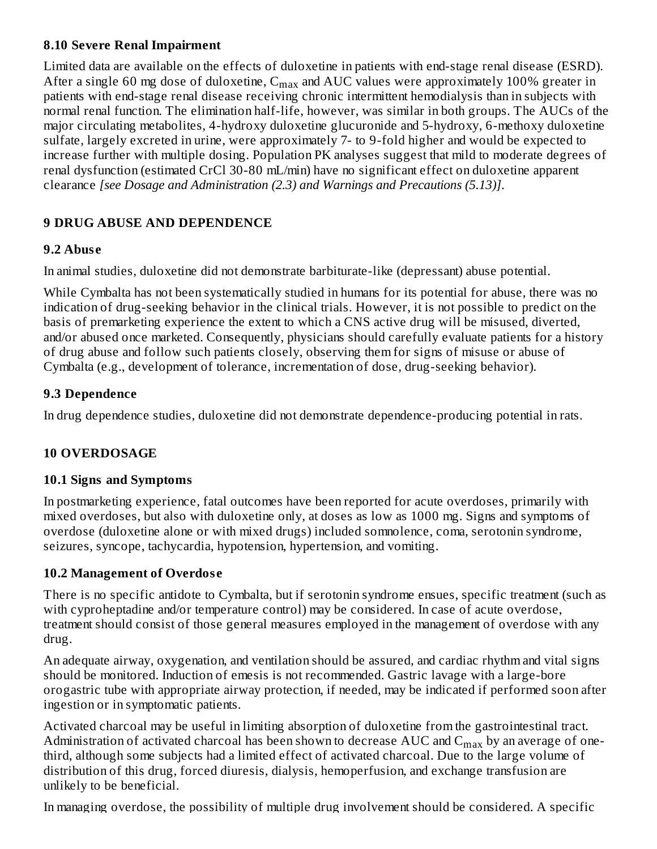#### **8.10 Severe Renal Impairment**

Limited data are available on the effects of duloxetine in patients with end-stage renal disease (ESRD). After a single 60 mg dose of duloxetine,  $\mathsf{C}_{\max}$  and AUC values were approximately 100% greater in patients with end-stage renal disease receiving chronic intermittent hemodialysis than in subjects with normal renal function. The elimination half-life, however, was similar in both groups. The AUCs of the major circulating metabolites, 4-hydroxy duloxetine glucuronide and 5-hydroxy, 6-methoxy duloxetine sulfate, largely excreted in urine, were approximately 7- to 9-fold higher and would be expected to increase further with multiple dosing. Population PK analyses suggest that mild to moderate degrees of renal dysfunction (estimated CrCl 30-80 mL/min) have no significant effect on duloxetine apparent clearance *[see Dosage and Administration (2.3) and Warnings and Precautions (5.13)]*.

### **9 DRUG ABUSE AND DEPENDENCE**

### **9.2 Abus e**

In animal studies, duloxetine did not demonstrate barbiturate-like (depressant) abuse potential.

While Cymbalta has not been systematically studied in humans for its potential for abuse, there was no indication of drug-seeking behavior in the clinical trials. However, it is not possible to predict on the basis of premarketing experience the extent to which a CNS active drug will be misused, diverted, and/or abused once marketed. Consequently, physicians should carefully evaluate patients for a history of drug abuse and follow such patients closely, observing them for signs of misuse or abuse of Cymbalta (e.g., development of tolerance, incrementation of dose, drug-seeking behavior).

### **9.3 Dependence**

In drug dependence studies, duloxetine did not demonstrate dependence-producing potential in rats.

### **10 OVERDOSAGE**

### **10.1 Signs and Symptoms**

In postmarketing experience, fatal outcomes have been reported for acute overdoses, primarily with mixed overdoses, but also with duloxetine only, at doses as low as 1000 mg. Signs and symptoms of overdose (duloxetine alone or with mixed drugs) included somnolence, coma, serotonin syndrome, seizures, syncope, tachycardia, hypotension, hypertension, and vomiting.

### **10.2 Management of Overdos e**

There is no specific antidote to Cymbalta, but if serotonin syndrome ensues, specific treatment (such as with cyproheptadine and/or temperature control) may be considered. In case of acute overdose, treatment should consist of those general measures employed in the management of overdose with any drug.

An adequate airway, oxygenation, and ventilation should be assured, and cardiac rhythm and vital signs should be monitored. Induction of emesis is not recommended. Gastric lavage with a large-bore orogastric tube with appropriate airway protection, if needed, may be indicated if performed soon after ingestion or in symptomatic patients.

Activated charcoal may be useful in limiting absorption of duloxetine from the gastrointestinal tract. Administration of activated charcoal has been shown to decrease  $\rm AUC$  and  $\rm C_{max}$  by an average of onethird, although some subjects had a limited effect of activated charcoal. Due to the large volume of distribution of this drug, forced diuresis, dialysis, hemoperfusion, and exchange transfusion are unlikely to be beneficial.

In managing overdose, the possibility of multiple drug involvement should be considered. A specific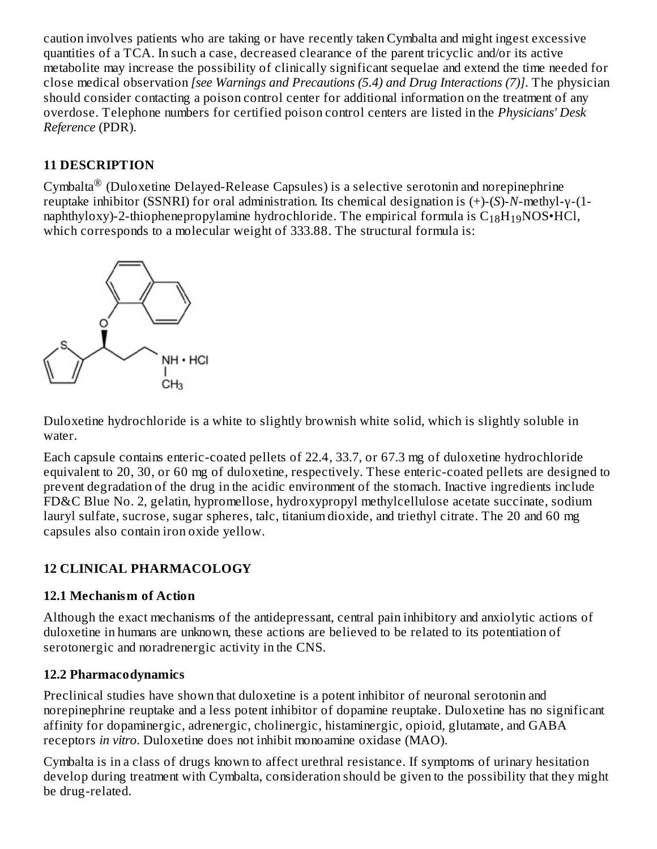caution involves patients who are taking or have recently taken Cymbalta and might ingest excessive quantities of a TCA. In such a case, decreased clearance of the parent tricyclic and/or its active metabolite may increase the possibility of clinically significant sequelae and extend the time needed for close medical observation *[see Warnings and Precautions (5.4) and Drug Interactions (7)]*. The physician should consider contacting a poison control center for additional information on the treatment of any overdose. Telephone numbers for certified poison control centers are listed in the *Physicians' Desk Reference* (PDR).

## **11 DESCRIPTION**

Cymbalta $^{\circledR}$  (Duloxetine Delayed-Release Capsules) is a selective serotonin and norepinephrine reuptake inhibitor (SSNRI) for oral administration. Its chemical designation is (+)-(*S*)-*N*-methyl-γ-(1 naphthyloxy)-2-thiophenepropylamine hydrochloride. The empirical formula is  $\rm{C_{18}H_{19}NOS\textbf{+}HCl}$ , which corresponds to a molecular weight of 333.88. The structural formula is:



Duloxetine hydrochloride is a white to slightly brownish white solid, which is slightly soluble in water.

Each capsule contains enteric-coated pellets of 22.4, 33.7, or 67.3 mg of duloxetine hydrochloride equivalent to 20, 30, or 60 mg of duloxetine, respectively. These enteric-coated pellets are designed to prevent degradation of the drug in the acidic environment of the stomach. Inactive ingredients include FD&C Blue No. 2, gelatin, hypromellose, hydroxypropyl methylcellulose acetate succinate, sodium lauryl sulfate, sucrose, sugar spheres, talc, titanium dioxide, and triethyl citrate. The 20 and 60 mg capsules also contain iron oxide yellow.

### **12 CLINICAL PHARMACOLOGY**

### **12.1 Mechanism of Action**

Although the exact mechanisms of the antidepressant, central pain inhibitory and anxiolytic actions of duloxetine in humans are unknown, these actions are believed to be related to its potentiation of serotonergic and noradrenergic activity in the CNS.

### **12.2 Pharmacodynamics**

Preclinical studies have shown that duloxetine is a potent inhibitor of neuronal serotonin and norepinephrine reuptake and a less potent inhibitor of dopamine reuptake. Duloxetine has no significant affinity for dopaminergic, adrenergic, cholinergic, histaminergic, opioid, glutamate, and GABA receptors *in vitro*. Duloxetine does not inhibit monoamine oxidase (MAO).

Cymbalta is in a class of drugs known to affect urethral resistance. If symptoms of urinary hesitation develop during treatment with Cymbalta, consideration should be given to the possibility that they might be drug-related.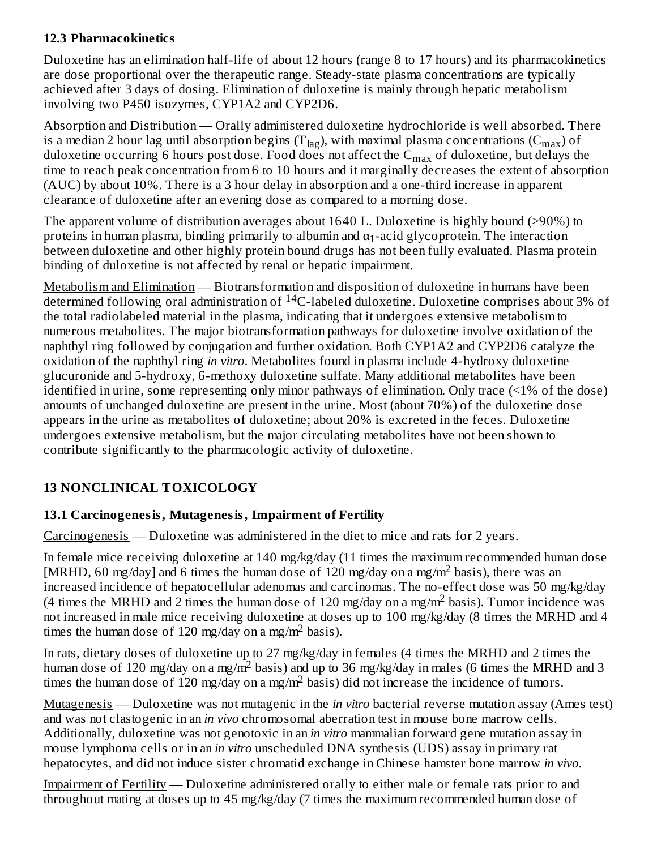### **12.3 Pharmacokinetics**

Duloxetine has an elimination half-life of about 12 hours (range 8 to 17 hours) and its pharmacokinetics are dose proportional over the therapeutic range. Steady-state plasma concentrations are typically achieved after 3 days of dosing. Elimination of duloxetine is mainly through hepatic metabolism involving two P450 isozymes, CYP1A2 and CYP2D6.

Absorption and Distribution — Orally administered duloxetine hydrochloride is well absorbed. There is a median 2 hour lag until absorption begins (T<sub>lag</sub>), with maximal plasma concentrations (C<sub>max</sub>) of duloxetine occurring 6 hours post dose. Food does not affect the  $\mathsf{C}_{\max}$  of duloxetine, but delays the time to reach peak concentration from 6 to 10 hours and it marginally decreases the extent of absorption (AUC) by about 10%. There is a 3 hour delay in absorption and a one-third increase in apparent clearance of duloxetine after an evening dose as compared to a morning dose.

The apparent volume of distribution averages about 1640 L. Duloxetine is highly bound (>90%) to proteins in human plasma, binding primarily to albumin and  $\alpha_1$ -acid glycoprotein. The interaction between duloxetine and other highly protein bound drugs has not been fully evaluated. Plasma protein binding of duloxetine is not affected by renal or hepatic impairment.

Metabolism and Elimination — Biotransformation and disposition of duloxetine in humans have been determined following oral administration of  $^{14}$ C-labeled duloxetine. Duloxetine comprises about 3% of the total radiolabeled material in the plasma, indicating that it undergoes extensive metabolism to numerous metabolites. The major biotransformation pathways for duloxetine involve oxidation of the naphthyl ring followed by conjugation and further oxidation. Both CYP1A2 and CYP2D6 catalyze the oxidation of the naphthyl ring *in vitro*. Metabolites found in plasma include 4-hydroxy duloxetine glucuronide and 5-hydroxy, 6-methoxy duloxetine sulfate. Many additional metabolites have been identified in urine, some representing only minor pathways of elimination. Only trace (<1% of the dose) amounts of unchanged duloxetine are present in the urine. Most (about 70%) of the duloxetine dose appears in the urine as metabolites of duloxetine; about 20% is excreted in the feces. Duloxetine undergoes extensive metabolism, but the major circulating metabolites have not been shown to contribute significantly to the pharmacologic activity of duloxetine.

### **13 NONCLINICAL TOXICOLOGY**

### **13.1 Carcinogenesis, Mutagenesis, Impairment of Fertility**

Carcinogenesis — Duloxetine was administered in the diet to mice and rats for 2 years.

In female mice receiving duloxetine at 140 mg/kg/day (11 times the maximum recommended human dose [MRHD, 60 mg/day] and 6 times the human dose of 120 mg/day on a mg/m<sup>2</sup> basis), there was an increased incidence of hepatocellular adenomas and carcinomas. The no-effect dose was 50 mg/kg/day (4 times the MRHD and 2 times the human dose of 120 mg/day on a mg/m<sup>2</sup> basis). Tumor incidence was not increased in male mice receiving duloxetine at doses up to 100 mg/kg/day (8 times the MRHD and 4 times the human dose of 120 mg/day on a mg/m<sup>2</sup> basis).

In rats, dietary doses of duloxetine up to 27 mg/kg/day in females (4 times the MRHD and 2 times the human dose of 120 mg/day on a mg/m<sup>2</sup> basis) and up to 36 mg/kg/day in males (6 times the MRHD and 3 times the human dose of 120 mg/day on a mg/m<sup>2</sup> basis) did not increase the incidence of tumors.

Mutagenesis — Duloxetine was not mutagenic in the *in vitro* bacterial reverse mutation assay (Ames test) and was not clastogenic in an *in vivo* chromosomal aberration test in mouse bone marrow cells. Additionally, duloxetine was not genotoxic in an *in vitro* mammalian forward gene mutation assay in mouse lymphoma cells or in an *in vitro* unscheduled DNA synthesis (UDS) assay in primary rat hepatocytes, and did not induce sister chromatid exchange in Chinese hamster bone marrow *in vivo*.

Impairment of Fertility — Duloxetine administered orally to either male or female rats prior to and throughout mating at doses up to 45 mg/kg/day (7 times the maximum recommended human dose of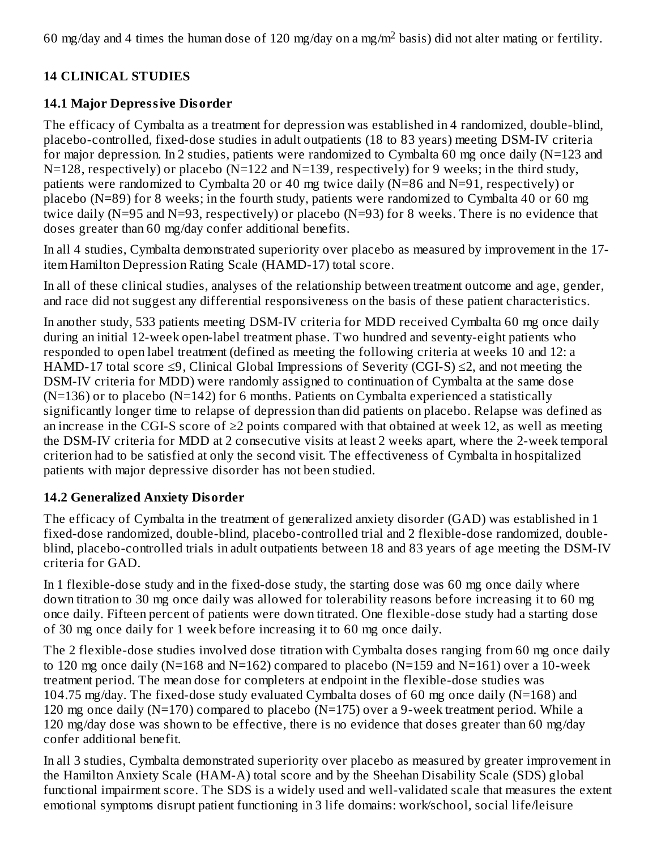60 mg/day and 4 times the human dose of 120 mg/day on a mg/m<sup>2</sup> basis) did not alter mating or fertility.

# **14 CLINICAL STUDIES**

## **14.1 Major Depressive Disorder**

The efficacy of Cymbalta as a treatment for depression was established in 4 randomized, double-blind, placebo-controlled, fixed-dose studies in adult outpatients (18 to 83 years) meeting DSM-IV criteria for major depression. In 2 studies, patients were randomized to Cymbalta 60 mg once daily (N=123 and N=128, respectively) or placebo (N=122 and N=139, respectively) for 9 weeks; in the third study, patients were randomized to Cymbalta 20 or 40 mg twice daily (N=86 and N=91, respectively) or placebo (N=89) for 8 weeks; in the fourth study, patients were randomized to Cymbalta 40 or 60 mg twice daily (N=95 and N=93, respectively) or placebo (N=93) for 8 weeks. There is no evidence that doses greater than 60 mg/day confer additional benefits.

In all 4 studies, Cymbalta demonstrated superiority over placebo as measured by improvement in the 17 item Hamilton Depression Rating Scale (HAMD-17) total score.

In all of these clinical studies, analyses of the relationship between treatment outcome and age, gender, and race did not suggest any differential responsiveness on the basis of these patient characteristics.

In another study, 533 patients meeting DSM-IV criteria for MDD received Cymbalta 60 mg once daily during an initial 12-week open-label treatment phase. Two hundred and seventy-eight patients who responded to open label treatment (defined as meeting the following criteria at weeks 10 and 12: a HAMD-17 total score ≤9, Clinical Global Impressions of Severity (CGI-S) ≤2, and not meeting the DSM-IV criteria for MDD) were randomly assigned to continuation of Cymbalta at the same dose  $(N=136)$  or to placebo  $(N=142)$  for 6 months. Patients on Cymbalta experienced a statistically significantly longer time to relapse of depression than did patients on placebo. Relapse was defined as an increase in the CGI-S score of ≥2 points compared with that obtained at week 12, as well as meeting the DSM-IV criteria for MDD at 2 consecutive visits at least 2 weeks apart, where the 2-week temporal criterion had to be satisfied at only the second visit. The effectiveness of Cymbalta in hospitalized patients with major depressive disorder has not been studied.

## **14.2 Generalized Anxiety Disorder**

The efficacy of Cymbalta in the treatment of generalized anxiety disorder (GAD) was established in 1 fixed-dose randomized, double-blind, placebo-controlled trial and 2 flexible-dose randomized, doubleblind, placebo-controlled trials in adult outpatients between 18 and 83 years of age meeting the DSM-IV criteria for GAD.

In 1 flexible-dose study and in the fixed-dose study, the starting dose was 60 mg once daily where down titration to 30 mg once daily was allowed for tolerability reasons before increasing it to 60 mg once daily. Fifteen percent of patients were down titrated. One flexible-dose study had a starting dose of 30 mg once daily for 1 week before increasing it to 60 mg once daily.

The 2 flexible-dose studies involved dose titration with Cymbalta doses ranging from 60 mg once daily to 120 mg once daily (N=168 and N=162) compared to placebo (N=159 and N=161) over a 10-week treatment period. The mean dose for completers at endpoint in the flexible-dose studies was 104.75 mg/day. The fixed-dose study evaluated Cymbalta doses of 60 mg once daily (N=168) and 120 mg once daily (N=170) compared to placebo (N=175) over a 9-week treatment period. While a 120 mg/day dose was shown to be effective, there is no evidence that doses greater than 60 mg/day confer additional benefit.

In all 3 studies, Cymbalta demonstrated superiority over placebo as measured by greater improvement in the Hamilton Anxiety Scale (HAM-A) total score and by the Sheehan Disability Scale (SDS) global functional impairment score. The SDS is a widely used and well-validated scale that measures the extent emotional symptoms disrupt patient functioning in 3 life domains: work/school, social life/leisure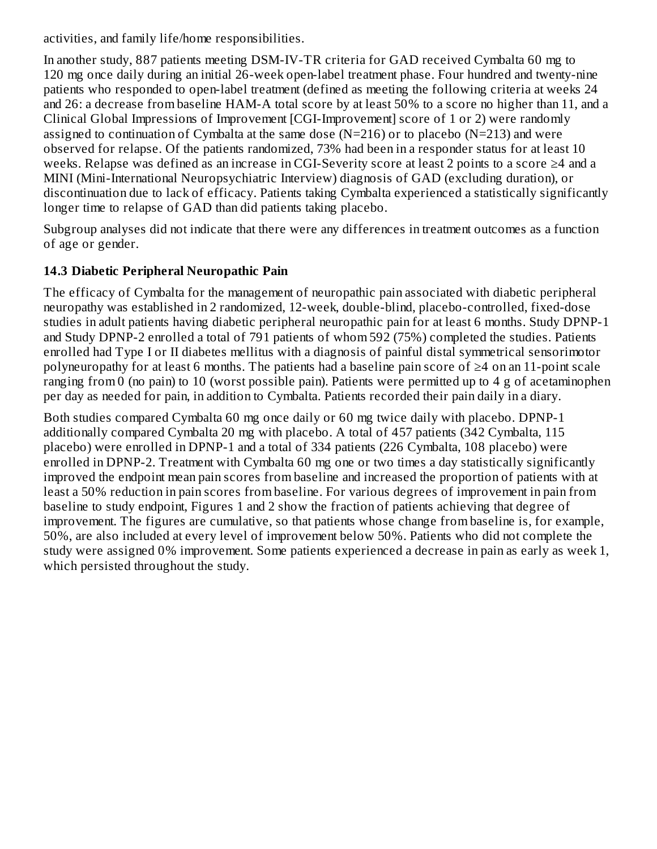activities, and family life/home responsibilities.

In another study, 887 patients meeting DSM-IV-TR criteria for GAD received Cymbalta 60 mg to 120 mg once daily during an initial 26-week open-label treatment phase. Four hundred and twenty-nine patients who responded to open-label treatment (defined as meeting the following criteria at weeks 24 and 26: a decrease from baseline HAM-A total score by at least 50% to a score no higher than 11, and a Clinical Global Impressions of Improvement [CGI-Improvement] score of 1 or 2) were randomly assigned to continuation of Cymbalta at the same dose  $(N=216)$  or to placebo  $(N=213)$  and were observed for relapse. Of the patients randomized, 73% had been in a responder status for at least 10 weeks. Relapse was defined as an increase in CGI-Severity score at least 2 points to a score ≥4 and a MINI (Mini-International Neuropsychiatric Interview) diagnosis of GAD (excluding duration), or discontinuation due to lack of efficacy. Patients taking Cymbalta experienced a statistically significantly longer time to relapse of GAD than did patients taking placebo.

Subgroup analyses did not indicate that there were any differences in treatment outcomes as a function of age or gender.

#### **14.3 Diabetic Peripheral Neuropathic Pain**

The efficacy of Cymbalta for the management of neuropathic pain associated with diabetic peripheral neuropathy was established in 2 randomized, 12-week, double-blind, placebo-controlled, fixed-dose studies in adult patients having diabetic peripheral neuropathic pain for at least 6 months. Study DPNP-1 and Study DPNP-2 enrolled a total of 791 patients of whom 592 (75%) completed the studies. Patients enrolled had Type I or II diabetes mellitus with a diagnosis of painful distal symmetrical sensorimotor polyneuropathy for at least 6 months. The patients had a baseline pain score of ≥4 on an 11-point scale ranging from 0 (no pain) to 10 (worst possible pain). Patients were permitted up to 4 g of acetaminophen per day as needed for pain, in addition to Cymbalta. Patients recorded their pain daily in a diary.

Both studies compared Cymbalta 60 mg once daily or 60 mg twice daily with placebo. DPNP-1 additionally compared Cymbalta 20 mg with placebo. A total of 457 patients (342 Cymbalta, 115 placebo) were enrolled in DPNP-1 and a total of 334 patients (226 Cymbalta, 108 placebo) were enrolled in DPNP-2. Treatment with Cymbalta 60 mg one or two times a day statistically significantly improved the endpoint mean pain scores from baseline and increased the proportion of patients with at least a 50% reduction in pain scores from baseline. For various degrees of improvement in pain from baseline to study endpoint, Figures 1 and 2 show the fraction of patients achieving that degree of improvement. The figures are cumulative, so that patients whose change from baseline is, for example, 50%, are also included at every level of improvement below 50%. Patients who did not complete the study were assigned 0% improvement. Some patients experienced a decrease in pain as early as week 1, which persisted throughout the study.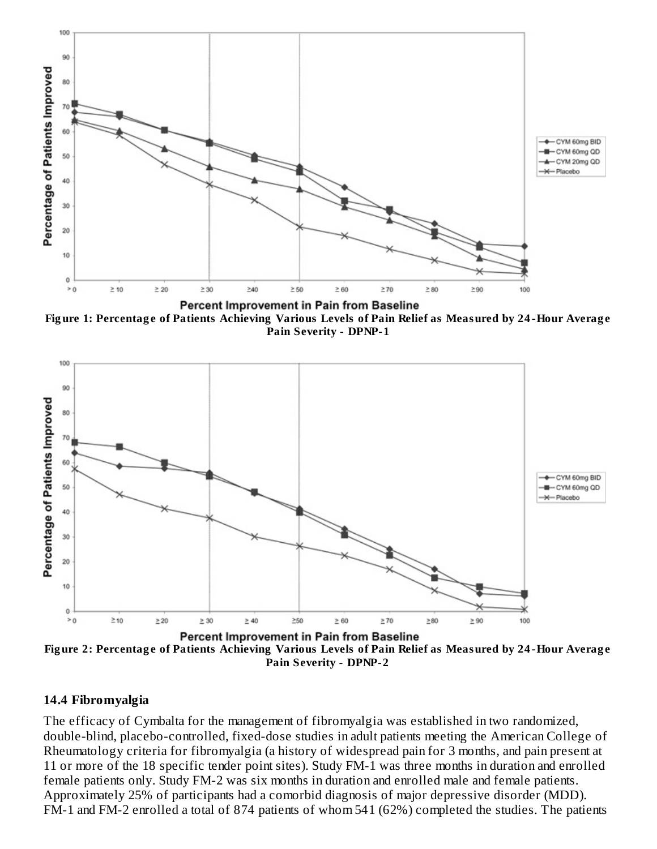

Figure 1: Percentage of Patients Achieving Various Levels of Pain Relief as Measured by 24-Hour Average **Pain Severity - DPNP-1**



**Pain Severity - DPNP-2**

#### **14.4 Fibromyalgia**

The efficacy of Cymbalta for the management of fibromyalgia was established in two randomized, double-blind, placebo-controlled, fixed-dose studies in adult patients meeting the American College of Rheumatology criteria for fibromyalgia (a history of widespread pain for 3 months, and pain present at 11 or more of the 18 specific tender point sites). Study FM-1 was three months in duration and enrolled female patients only. Study FM-2 was six months in duration and enrolled male and female patients. Approximately 25% of participants had a comorbid diagnosis of major depressive disorder (MDD). FM-1 and FM-2 enrolled a total of 874 patients of whom 541 (62%) completed the studies. The patients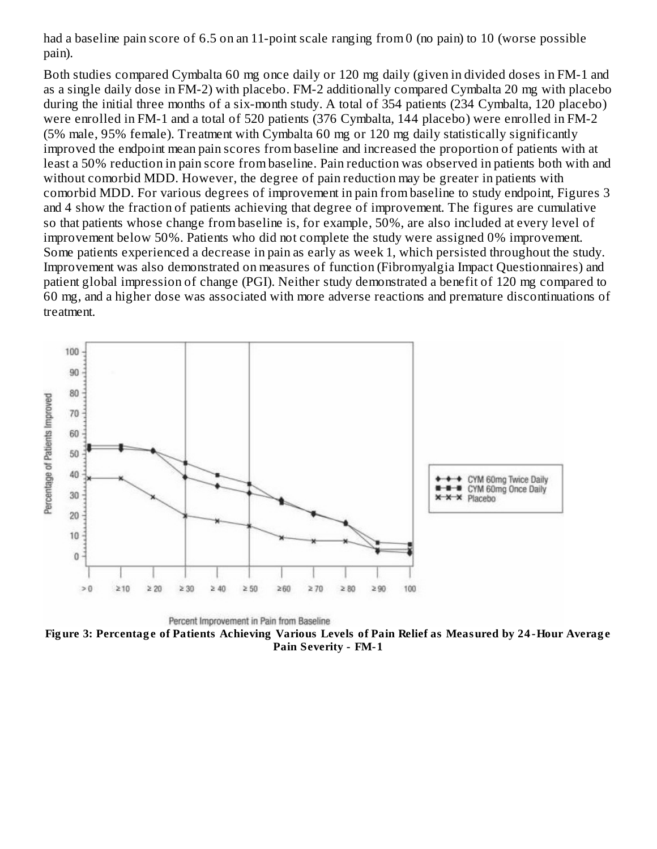had a baseline pain score of 6.5 on an 11-point scale ranging from 0 (no pain) to 10 (worse possible pain).

Both studies compared Cymbalta 60 mg once daily or 120 mg daily (given in divided doses in FM-1 and as a single daily dose in FM-2) with placebo. FM-2 additionally compared Cymbalta 20 mg with placebo during the initial three months of a six-month study. A total of 354 patients (234 Cymbalta, 120 placebo) were enrolled in FM-1 and a total of 520 patients (376 Cymbalta, 144 placebo) were enrolled in FM-2 (5% male, 95% female). Treatment with Cymbalta 60 mg or 120 mg daily statistically significantly improved the endpoint mean pain scores from baseline and increased the proportion of patients with at least a 50% reduction in pain score from baseline. Pain reduction was observed in patients both with and without comorbid MDD. However, the degree of pain reduction may be greater in patients with comorbid MDD. For various degrees of improvement in pain from baseline to study endpoint, Figures 3 and 4 show the fraction of patients achieving that degree of improvement. The figures are cumulative so that patients whose change from baseline is, for example, 50%, are also included at every level of improvement below 50%. Patients who did not complete the study were assigned 0% improvement. Some patients experienced a decrease in pain as early as week 1, which persisted throughout the study. Improvement was also demonstrated on measures of function (Fibromyalgia Impact Questionnaires) and patient global impression of change (PGI). Neither study demonstrated a benefit of 120 mg compared to 60 mg, and a higher dose was associated with more adverse reactions and premature discontinuations of treatment.



Percent Improvement in Pain from Baseline Figure 3: Percentage of Patients Achieving Various Levels of Pain Relief as Measured by 24-Hour Average **Pain Severity - FM-1**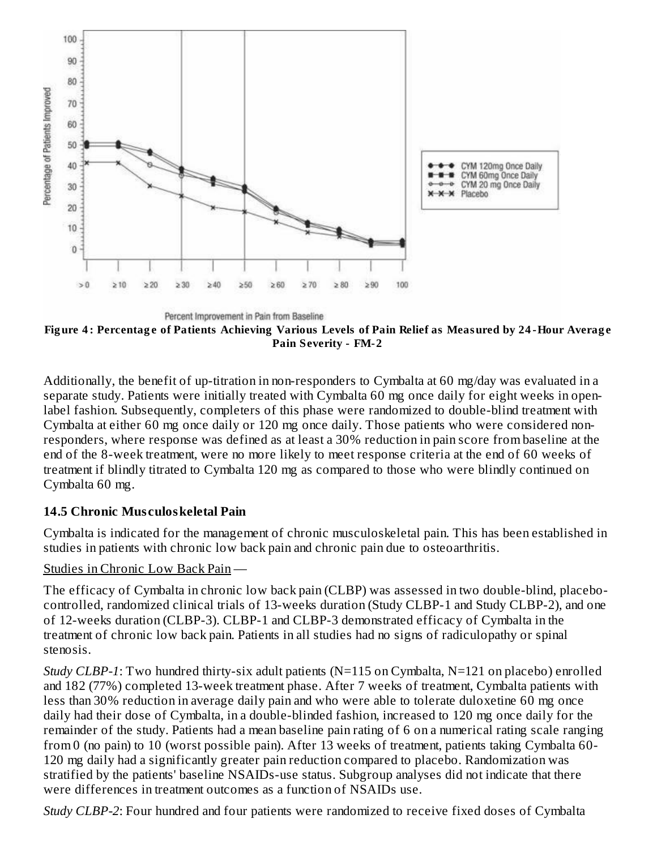

Figure 4: Percentage of Patients Achieving Various Levels of Pain Relief as Measured by 24-Hour Average **Pain Severity - FM-2**

Additionally, the benefit of up-titration in non-responders to Cymbalta at 60 mg/day was evaluated in a separate study. Patients were initially treated with Cymbalta 60 mg once daily for eight weeks in openlabel fashion. Subsequently, completers of this phase were randomized to double-blind treatment with Cymbalta at either 60 mg once daily or 120 mg once daily. Those patients who were considered nonresponders, where response was defined as at least a 30% reduction in pain score from baseline at the end of the 8-week treatment, were no more likely to meet response criteria at the end of 60 weeks of treatment if blindly titrated to Cymbalta 120 mg as compared to those who were blindly continued on Cymbalta 60 mg.

#### **14.5 Chronic Mus culoskeletal Pain**

Cymbalta is indicated for the management of chronic musculoskeletal pain. This has been established in studies in patients with chronic low back pain and chronic pain due to osteoarthritis.

#### Studies in Chronic Low Back Pain —

The efficacy of Cymbalta in chronic low back pain (CLBP) was assessed in two double-blind, placebocontrolled, randomized clinical trials of 13-weeks duration (Study CLBP-1 and Study CLBP-2), and one of 12-weeks duration (CLBP-3). CLBP-1 and CLBP-3 demonstrated efficacy of Cymbalta in the treatment of chronic low back pain. Patients in all studies had no signs of radiculopathy or spinal stenosis.

*Study CLBP-1*: Two hundred thirty-six adult patients (N=115 on Cymbalta, N=121 on placebo) enrolled and 182 (77%) completed 13-week treatment phase. After 7 weeks of treatment, Cymbalta patients with less than 30% reduction in average daily pain and who were able to tolerate duloxetine 60 mg once daily had their dose of Cymbalta, in a double-blinded fashion, increased to 120 mg once daily for the remainder of the study. Patients had a mean baseline pain rating of 6 on a numerical rating scale ranging from 0 (no pain) to 10 (worst possible pain). After 13 weeks of treatment, patients taking Cymbalta 60- 120 mg daily had a significantly greater pain reduction compared to placebo. Randomization was stratified by the patients' baseline NSAIDs-use status. Subgroup analyses did not indicate that there were differences in treatment outcomes as a function of NSAIDs use.

*Study CLBP-2*: Four hundred and four patients were randomized to receive fixed doses of Cymbalta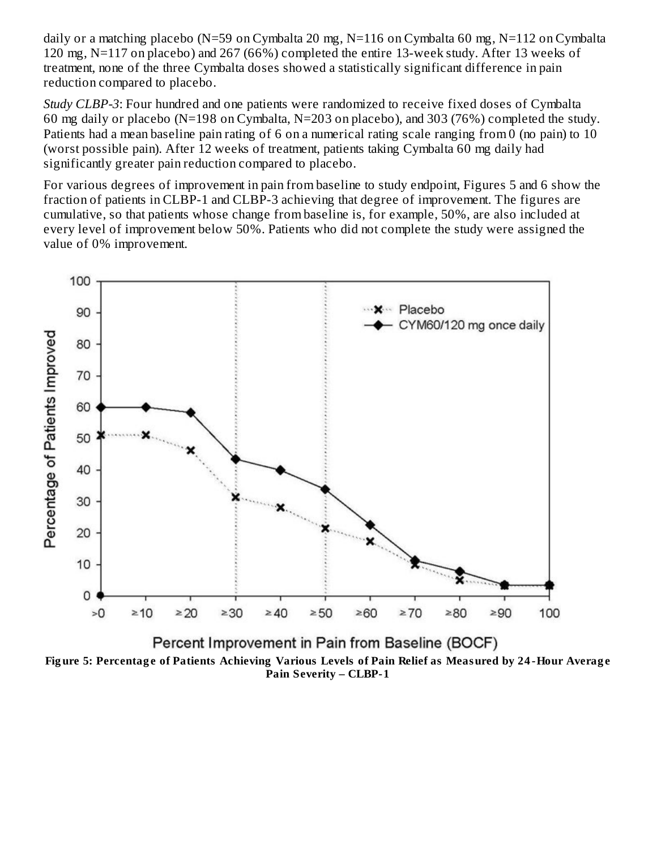daily or a matching placebo (N=59 on Cymbalta 20 mg, N=116 on Cymbalta 60 mg, N=112 on Cymbalta 120 mg, N=117 on placebo) and 267 (66%) completed the entire 13-week study. After 13 weeks of treatment, none of the three Cymbalta doses showed a statistically significant difference in pain reduction compared to placebo.

*Study CLBP-3*: Four hundred and one patients were randomized to receive fixed doses of Cymbalta 60 mg daily or placebo (N=198 on Cymbalta, N=203 on placebo), and 303 (76%) completed the study. Patients had a mean baseline pain rating of 6 on a numerical rating scale ranging from 0 (no pain) to 10 (worst possible pain). After 12 weeks of treatment, patients taking Cymbalta 60 mg daily had significantly greater pain reduction compared to placebo.

For various degrees of improvement in pain from baseline to study endpoint, Figures 5 and 6 show the fraction of patients in CLBP-1 and CLBP-3 achieving that degree of improvement. The figures are cumulative, so that patients whose change from baseline is, for example, 50%, are also included at every level of improvement below 50%. Patients who did not complete the study were assigned the value of 0% improvement.



Figure 5: Percentage of Patients Achieving Various Levels of Pain Relief as Measured by 24-Hour Average **Pain Severity – CLBP-1**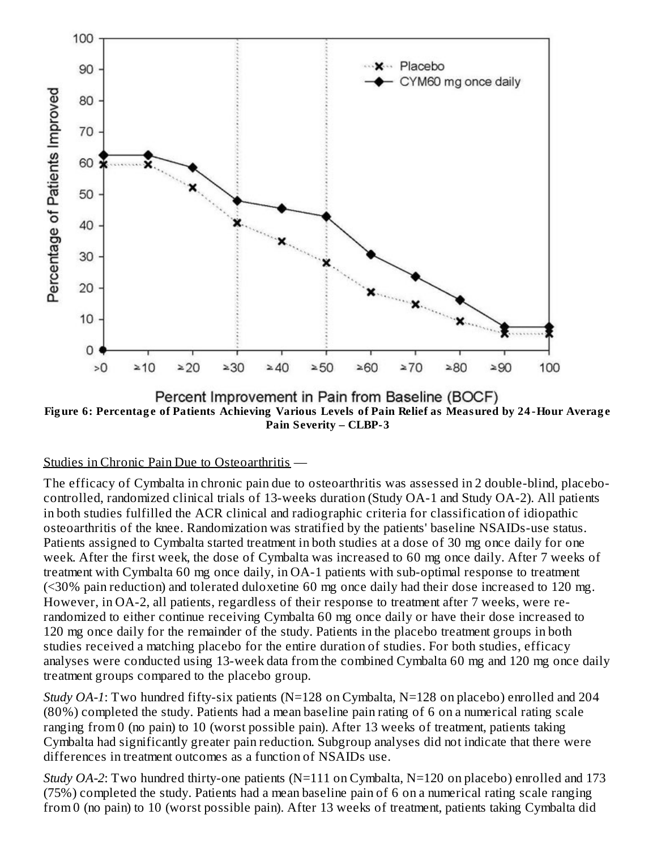

Percent Improvement in Pain from Baseline (BOCF) Figure 6: Percentage of Patients Achieving Various Levels of Pain Relief as Measured by 24-Hour Average **Pain Severity – CLBP-3**

#### Studies in Chronic Pain Due to Osteoarthritis —

The efficacy of Cymbalta in chronic pain due to osteoarthritis was assessed in 2 double-blind, placebocontrolled, randomized clinical trials of 13-weeks duration (Study OA-1 and Study OA-2). All patients in both studies fulfilled the ACR clinical and radiographic criteria for classification of idiopathic osteoarthritis of the knee. Randomization was stratified by the patients' baseline NSAIDs-use status. Patients assigned to Cymbalta started treatment in both studies at a dose of 30 mg once daily for one week. After the first week, the dose of Cymbalta was increased to 60 mg once daily. After 7 weeks of treatment with Cymbalta 60 mg once daily, in OA-1 patients with sub-optimal response to treatment (<30% pain reduction) and tolerated duloxetine 60 mg once daily had their dose increased to 120 mg. However, in OA-2, all patients, regardless of their response to treatment after 7 weeks, were rerandomized to either continue receiving Cymbalta 60 mg once daily or have their dose increased to 120 mg once daily for the remainder of the study. Patients in the placebo treatment groups in both studies received a matching placebo for the entire duration of studies. For both studies, efficacy analyses were conducted using 13-week data from the combined Cymbalta 60 mg and 120 mg once daily treatment groups compared to the placebo group.

*Study OA-1*: Two hundred fifty-six patients (N=128 on Cymbalta, N=128 on placebo) enrolled and 204 (80%) completed the study. Patients had a mean baseline pain rating of 6 on a numerical rating scale ranging from 0 (no pain) to 10 (worst possible pain). After 13 weeks of treatment, patients taking Cymbalta had significantly greater pain reduction. Subgroup analyses did not indicate that there were differences in treatment outcomes as a function of NSAIDs use.

*Study OA-2*: Two hundred thirty-one patients (N=111 on Cymbalta, N=120 on placebo) enrolled and 173 (75%) completed the study. Patients had a mean baseline pain of 6 on a numerical rating scale ranging from 0 (no pain) to 10 (worst possible pain). After 13 weeks of treatment, patients taking Cymbalta did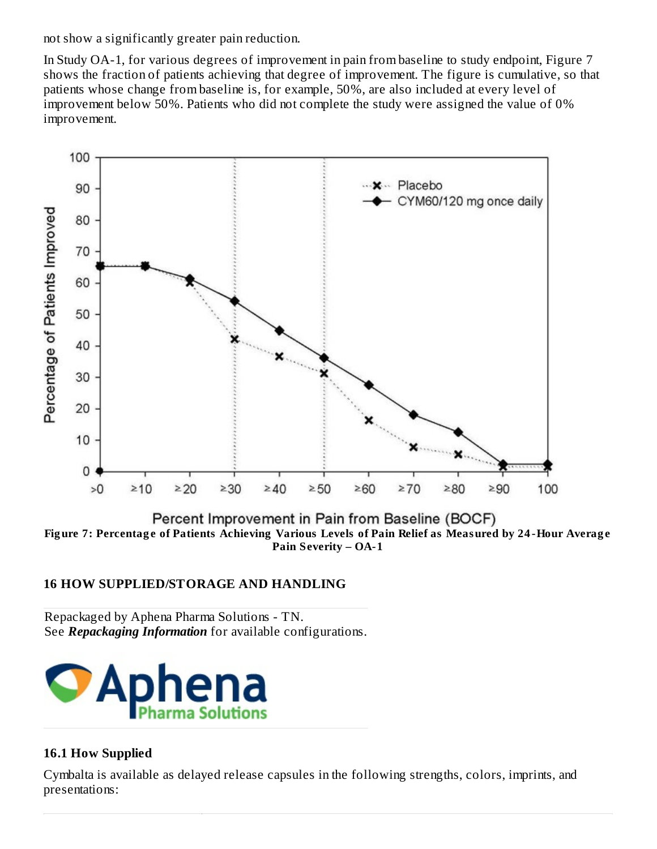not show a significantly greater pain reduction.

In Study OA-1, for various degrees of improvement in pain from baseline to study endpoint, Figure 7 shows the fraction of patients achieving that degree of improvement. The figure is cumulative, so that patients whose change from baseline is, for example, 50%, are also included at every level of improvement below 50%. Patients who did not complete the study were assigned the value of 0% improvement.



Percent Improvement in Pain from Baseline (BOCF) Figure 7: Percentage of Patients Achieving Various Levels of Pain Relief as Measured by 24-Hour Average **Pain Severity – OA-1**

#### **16 HOW SUPPLIED/STORAGE AND HANDLING**

Repackaged by Aphena Pharma Solutions - TN. See *Repackaging Information* for available configurations.



#### **16.1 How Supplied**

Cymbalta is available as delayed release capsules in the following strengths, colors, imprints, and presentations: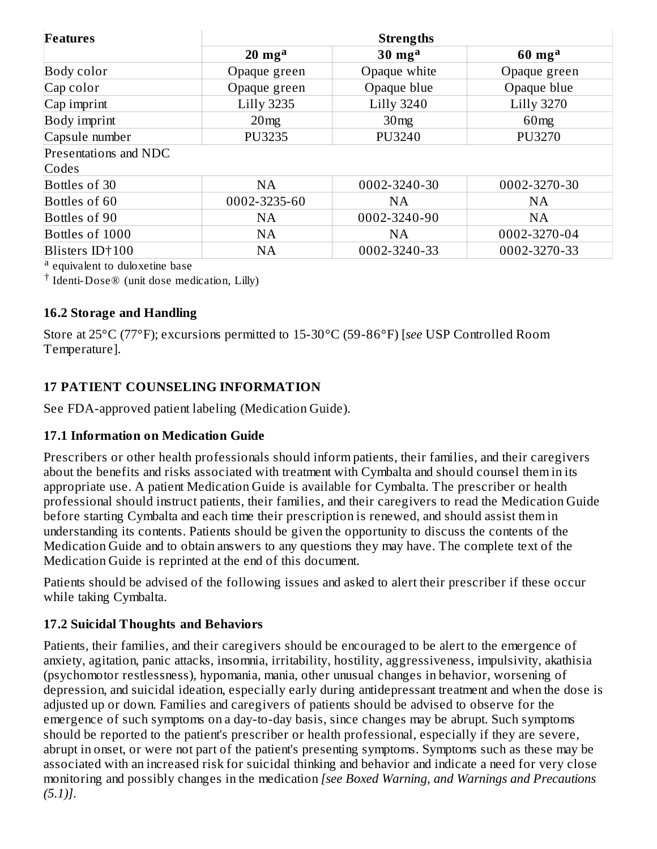| <b>Features</b>       | <b>Strengths</b>           |                            |                      |  |  |
|-----------------------|----------------------------|----------------------------|----------------------|--|--|
|                       | $20 \text{ mg}^{\text{a}}$ | $30 \text{ mg}^{\text{a}}$ | $60$ mg <sup>a</sup> |  |  |
| Body color            | Opaque green               | Opaque white               | Opaque green         |  |  |
| Cap color             | Opaque green               | Opaque blue                | Opaque blue          |  |  |
| Cap imprint           | <b>Lilly 3235</b>          | <b>Lilly 3240</b>          | <b>Lilly 3270</b>    |  |  |
| Body imprint          | 20 <sub>mg</sub>           | 30 <sub>mg</sub>           | 60 <sub>mg</sub>     |  |  |
| Capsule number        | PU3235                     | PU3240                     | PU3270               |  |  |
| Presentations and NDC |                            |                            |                      |  |  |
| Codes                 |                            |                            |                      |  |  |
| Bottles of 30         | <b>NA</b>                  | 0002-3240-30               | 0002-3270-30         |  |  |
| Bottles of 60         | 0002-3235-60               | <b>NA</b>                  | <b>NA</b>            |  |  |
| Bottles of 90         | <b>NA</b>                  | 0002-3240-90               | <b>NA</b>            |  |  |
| Bottles of 1000       | <b>NA</b>                  | <b>NA</b>                  | 0002-3270-04         |  |  |
| Blisters ID+100       | <b>NA</b>                  | 0002-3240-33               | 0002-3270-33         |  |  |

<sup>a</sup> equivalent to duloxetine base

 $^\dagger$  Identi-Dose® (unit dose medication, Lilly)

#### **16.2 Storage and Handling**

Store at 25°C (77°F); excursions permitted to 15-30°C (59-86°F) [*see* USP Controlled Room Temperature].

#### **17 PATIENT COUNSELING INFORMATION**

See FDA-approved patient labeling (Medication Guide).

#### **17.1 Information on Medication Guide**

Prescribers or other health professionals should inform patients, their families, and their caregivers about the benefits and risks associated with treatment with Cymbalta and should counsel them in its appropriate use. A patient Medication Guide is available for Cymbalta. The prescriber or health professional should instruct patients, their families, and their caregivers to read the Medication Guide before starting Cymbalta and each time their prescription is renewed, and should assist them in understanding its contents. Patients should be given the opportunity to discuss the contents of the Medication Guide and to obtain answers to any questions they may have. The complete text of the Medication Guide is reprinted at the end of this document.

Patients should be advised of the following issues and asked to alert their prescriber if these occur while taking Cymbalta.

#### **17.2 Suicidal Thoughts and Behaviors**

Patients, their families, and their caregivers should be encouraged to be alert to the emergence of anxiety, agitation, panic attacks, insomnia, irritability, hostility, aggressiveness, impulsivity, akathisia (psychomotor restlessness), hypomania, mania, other unusual changes in behavior, worsening of depression, and suicidal ideation, especially early during antidepressant treatment and when the dose is adjusted up or down. Families and caregivers of patients should be advised to observe for the emergence of such symptoms on a day-to-day basis, since changes may be abrupt. Such symptoms should be reported to the patient's prescriber or health professional, especially if they are severe, abrupt in onset, or were not part of the patient's presenting symptoms. Symptoms such as these may be associated with an increased risk for suicidal thinking and behavior and indicate a need for very close monitoring and possibly changes in the medication *[see Boxed Warning, and Warnings and Precautions (5.1)]*.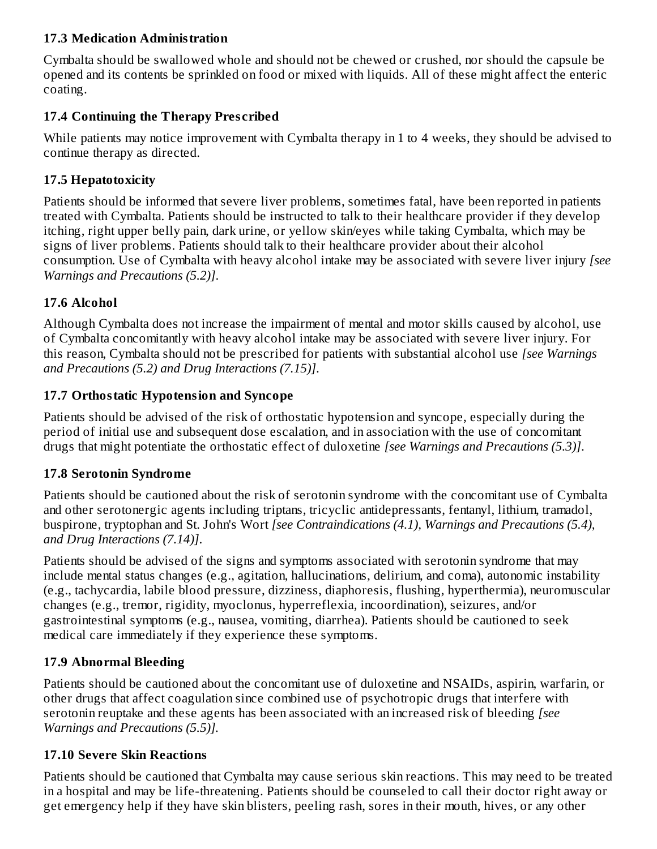#### **17.3 Medication Administration**

Cymbalta should be swallowed whole and should not be chewed or crushed, nor should the capsule be opened and its contents be sprinkled on food or mixed with liquids. All of these might affect the enteric coating.

### **17.4 Continuing the Therapy Pres cribed**

While patients may notice improvement with Cymbalta therapy in 1 to 4 weeks, they should be advised to continue therapy as directed.

### **17.5 Hepatotoxicity**

Patients should be informed that severe liver problems, sometimes fatal, have been reported in patients treated with Cymbalta. Patients should be instructed to talk to their healthcare provider if they develop itching, right upper belly pain, dark urine, or yellow skin/eyes while taking Cymbalta, which may be signs of liver problems. Patients should talk to their healthcare provider about their alcohol consumption. Use of Cymbalta with heavy alcohol intake may be associated with severe liver injury *[see Warnings and Precautions (5.2)]*.

## **17.6 Alcohol**

Although Cymbalta does not increase the impairment of mental and motor skills caused by alcohol, use of Cymbalta concomitantly with heavy alcohol intake may be associated with severe liver injury. For this reason, Cymbalta should not be prescribed for patients with substantial alcohol use *[see Warnings and Precautions (5.2) and Drug Interactions (7.15)]*.

### **17.7 Orthostatic Hypotension and Syncope**

Patients should be advised of the risk of orthostatic hypotension and syncope, especially during the period of initial use and subsequent dose escalation, and in association with the use of concomitant drugs that might potentiate the orthostatic effect of duloxetine *[see Warnings and Precautions (5.3)]*.

### **17.8 Serotonin Syndrome**

Patients should be cautioned about the risk of serotonin syndrome with the concomitant use of Cymbalta and other serotonergic agents including triptans, tricyclic antidepressants, fentanyl, lithium, tramadol, buspirone, tryptophan and St. John's Wort *[see Contraindications (4.1), Warnings and Precautions (5.4), and Drug Interactions (7.14)]*.

Patients should be advised of the signs and symptoms associated with serotonin syndrome that may include mental status changes (e.g., agitation, hallucinations, delirium, and coma), autonomic instability (e.g., tachycardia, labile blood pressure, dizziness, diaphoresis, flushing, hyperthermia), neuromuscular changes (e.g., tremor, rigidity, myoclonus, hyperreflexia, incoordination), seizures, and/or gastrointestinal symptoms (e.g., nausea, vomiting, diarrhea). Patients should be cautioned to seek medical care immediately if they experience these symptoms.

## **17.9 Abnormal Bleeding**

Patients should be cautioned about the concomitant use of duloxetine and NSAIDs, aspirin, warfarin, or other drugs that affect coagulation since combined use of psychotropic drugs that interfere with serotonin reuptake and these agents has been associated with an increased risk of bleeding *[see Warnings and Precautions (5.5)].*

### **17.10 Severe Skin Reactions**

Patients should be cautioned that Cymbalta may cause serious skin reactions. This may need to be treated in a hospital and may be life-threatening. Patients should be counseled to call their doctor right away or get emergency help if they have skin blisters, peeling rash, sores in their mouth, hives, or any other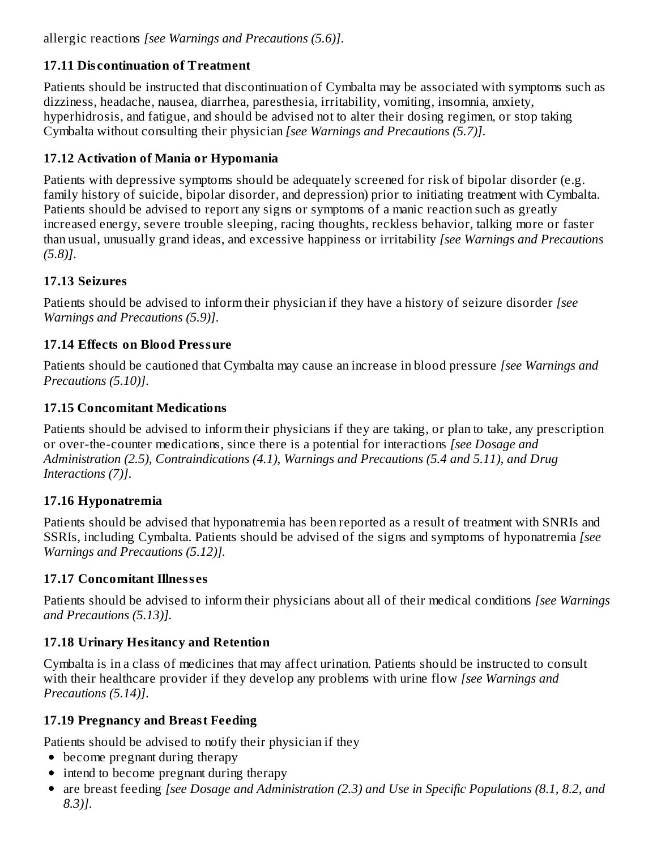allergic reactions *[see Warnings and Precautions (5.6)]*.

## **17.11 Dis continuation of Treatment**

Patients should be instructed that discontinuation of Cymbalta may be associated with symptoms such as dizziness, headache, nausea, diarrhea, paresthesia, irritability, vomiting, insomnia, anxiety, hyperhidrosis, and fatigue, and should be advised not to alter their dosing regimen, or stop taking Cymbalta without consulting their physician *[see Warnings and Precautions (5.7)]*.

## **17.12 Activation of Mania or Hypomania**

Patients with depressive symptoms should be adequately screened for risk of bipolar disorder (e.g. family history of suicide, bipolar disorder, and depression) prior to initiating treatment with Cymbalta. Patients should be advised to report any signs or symptoms of a manic reaction such as greatly increased energy, severe trouble sleeping, racing thoughts, reckless behavior, talking more or faster than usual, unusually grand ideas, and excessive happiness or irritability *[see Warnings and Precautions (5.8)]*.

### **17.13 Seizures**

Patients should be advised to inform their physician if they have a history of seizure disorder *[see Warnings and Precautions (5.9)]*.

## **17.14 Effects on Blood Pressure**

Patients should be cautioned that Cymbalta may cause an increase in blood pressure *[see Warnings and Precautions (5.10)]*.

### **17.15 Concomitant Medications**

Patients should be advised to inform their physicians if they are taking, or plan to take, any prescription or over-the-counter medications, since there is a potential for interactions *[see Dosage and Administration (2.5), Contraindications (4.1), Warnings and Precautions (5.4 and 5.11), and Drug Interactions (7)]*.

## **17.16 Hyponatremia**

Patients should be advised that hyponatremia has been reported as a result of treatment with SNRIs and SSRIs, including Cymbalta. Patients should be advised of the signs and symptoms of hyponatremia *[see Warnings and Precautions (5.12)].*

### **17.17 Concomitant Illness es**

Patients should be advised to inform their physicians about all of their medical conditions *[see Warnings and Precautions (5.13)].*

## **17.18 Urinary Hesitancy and Retention**

Cymbalta is in a class of medicines that may affect urination. Patients should be instructed to consult with their healthcare provider if they develop any problems with urine flow *[see Warnings and Precautions (5.14)]*.

## **17.19 Pregnancy and Breast Feeding**

Patients should be advised to notify their physician if they

- become pregnant during therapy
- intend to become pregnant during therapy
- are breast feeding *[see Dosage and Administration (2.3) and Use in Specific Populations (8.1, 8.2, and 8.3)]*.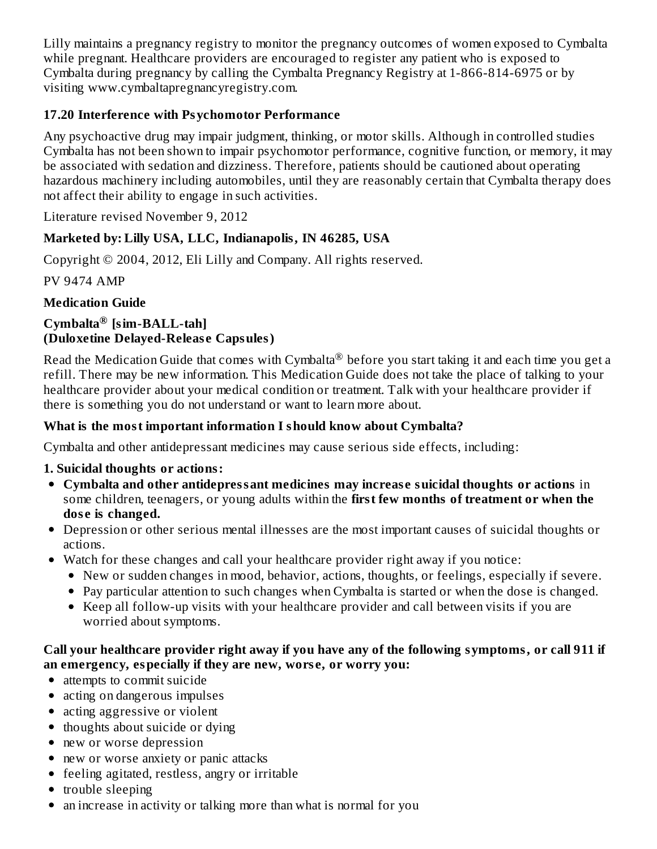Lilly maintains a pregnancy registry to monitor the pregnancy outcomes of women exposed to Cymbalta while pregnant. Healthcare providers are encouraged to register any patient who is exposed to Cymbalta during pregnancy by calling the Cymbalta Pregnancy Registry at 1-866-814-6975 or by visiting www.cymbaltapregnancyregistry.com.

### **17.20 Interference with Psychomotor Performance**

Any psychoactive drug may impair judgment, thinking, or motor skills. Although in controlled studies Cymbalta has not been shown to impair psychomotor performance, cognitive function, or memory, it may be associated with sedation and dizziness. Therefore, patients should be cautioned about operating hazardous machinery including automobiles, until they are reasonably certain that Cymbalta therapy does not affect their ability to engage in such activities.

Literature revised November 9, 2012

### **Marketed by: Lilly USA, LLC, Indianapolis, IN 46285, USA**

Copyright © 2004, 2012, Eli Lilly and Company. All rights reserved.

PV 9474 AMP

### **Medication Guide**

### **Cymbalta [sim-BALL-tah] ® (Duloxetine Delayed-Releas e Capsules)**

Read the Medication Guide that comes with Cymbalta $^\circledR$  before you start taking it and each time you get a refill. There may be new information. This Medication Guide does not take the place of talking to your healthcare provider about your medical condition or treatment. Talk with your healthcare provider if there is something you do not understand or want to learn more about.

### **What is the most important information I should know about Cymbalta?**

Cymbalta and other antidepressant medicines may cause serious side effects, including:

## **1. Suicidal thoughts or actions:**

- **Cymbalta and other antidepressant medicines may increas e suicidal thoughts or actions** in some children, teenagers, or young adults within the **first few months of treatment or when the dos e is changed.**
- Depression or other serious mental illnesses are the most important causes of suicidal thoughts or actions.
- Watch for these changes and call your healthcare provider right away if you notice:
	- New or sudden changes in mood, behavior, actions, thoughts, or feelings, especially if severe.
	- Pay particular attention to such changes when Cymbalta is started or when the dose is changed.
	- Keep all follow-up visits with your healthcare provider and call between visits if you are worried about symptoms.

#### **Call your healthcare provider right away if you have any of the following symptoms, or call 911 if an emergency, especially if they are new, wors e, or worry you:**

- attempts to commit suicide
- acting on dangerous impulses
- acting aggressive or violent
- $\bullet$  thoughts about suicide or dying
- new or worse depression
- new or worse anxiety or panic attacks
- feeling agitated, restless, angry or irritable
- trouble sleeping
- an increase in activity or talking more than what is normal for you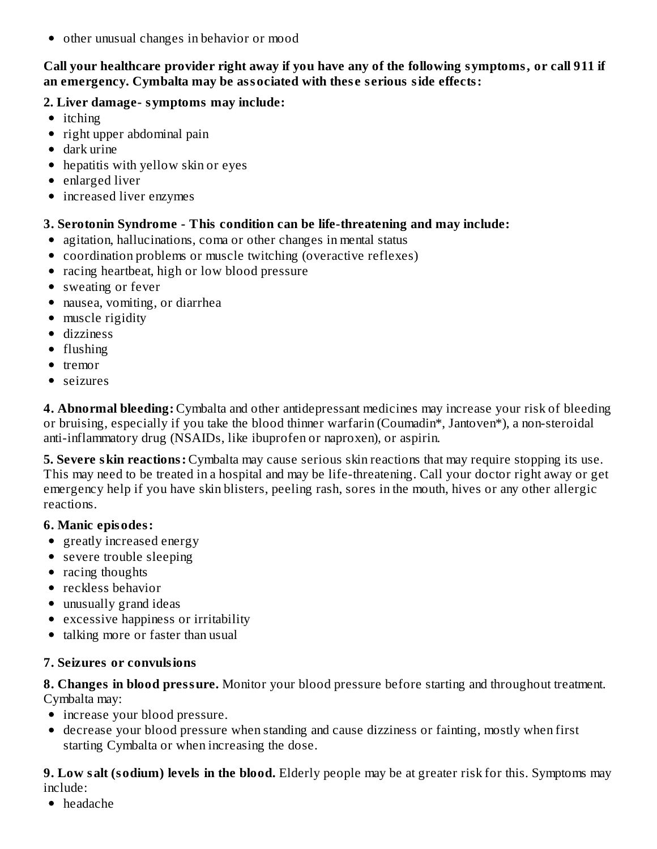other unusual changes in behavior or mood

#### **Call your healthcare provider right away if you have any of the following symptoms, or call 911 if an emergency. Cymbalta may be associated with thes e s erious side effects:**

#### **2. Liver damage- symptoms may include:**

- itching
- right upper abdominal pain
- dark urine
- hepatitis with yellow skin or eyes
- enlarged liver
- increased liver enzymes

#### **3. Serotonin Syndrome - This condition can be life-threatening and may include:**

- agitation, hallucinations, coma or other changes in mental status
- coordination problems or muscle twitching (overactive reflexes)
- racing heartbeat, high or low blood pressure
- sweating or fever
- nausea, vomiting, or diarrhea
- muscle rigidity
- dizziness
- $\bullet$  flushing
- $\bullet$  tremor
- seizures

**4. Abnormal bleeding:** Cymbalta and other antidepressant medicines may increase your risk of bleeding or bruising, especially if you take the blood thinner warfarin (Coumadin\*, Jantoven\*), a non-steroidal anti-inflammatory drug (NSAIDs, like ibuprofen or naproxen), or aspirin.

**5. Severe skin reactions:** Cymbalta may cause serious skin reactions that may require stopping its use. This may need to be treated in a hospital and may be life-threatening. Call your doctor right away or get emergency help if you have skin blisters, peeling rash, sores in the mouth, hives or any other allergic reactions.

### **6. Manic episodes:**

- greatly increased energy
- severe trouble sleeping
- racing thoughts
- reckless behavior
- unusually grand ideas
- excessive happiness or irritability
- talking more or faster than usual  $\bullet$

### **7. Seizures or convulsions**

**8. Changes in blood pressure.** Monitor your blood pressure before starting and throughout treatment. Cymbalta may:

- increase your blood pressure.
- decrease your blood pressure when standing and cause dizziness or fainting, mostly when first starting Cymbalta or when increasing the dose.

**9. Low salt (sodium) levels in the blood.** Elderly people may be at greater risk for this. Symptoms may include:

headache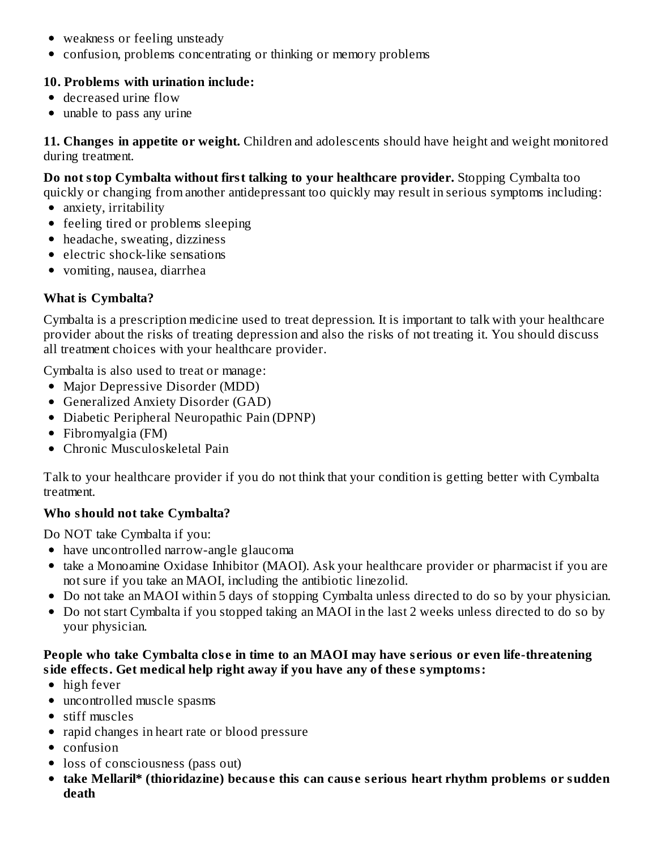- weakness or feeling unsteady
- confusion, problems concentrating or thinking or memory problems

#### **10. Problems with urination include:**

- decreased urine flow
- unable to pass any urine

**11. Changes in appetite or weight.** Children and adolescents should have height and weight monitored during treatment.

**Do not stop Cymbalta without first talking to your healthcare provider.** Stopping Cymbalta too

quickly or changing from another antidepressant too quickly may result in serious symptoms including:

- anxiety, irritability
- feeling tired or problems sleeping
- headache, sweating, dizziness
- electric shock-like sensations
- vomiting, nausea, diarrhea

#### **What is Cymbalta?**

Cymbalta is a prescription medicine used to treat depression. It is important to talk with your healthcare provider about the risks of treating depression and also the risks of not treating it. You should discuss all treatment choices with your healthcare provider.

Cymbalta is also used to treat or manage:

- Major Depressive Disorder (MDD)
- Generalized Anxiety Disorder (GAD)
- Diabetic Peripheral Neuropathic Pain (DPNP)
- $\bullet$  Fibromyalgia (FM)
- Chronic Musculoskeletal Pain

Talk to your healthcare provider if you do not think that your condition is getting better with Cymbalta treatment.

#### **Who should not take Cymbalta?**

Do NOT take Cymbalta if you:

- have uncontrolled narrow-angle glaucoma
- take a Monoamine Oxidase Inhibitor (MAOI). Ask your healthcare provider or pharmacist if you are not sure if you take an MAOI, including the antibiotic linezolid.
- Do not take an MAOI within 5 days of stopping Cymbalta unless directed to do so by your physician.
- Do not start Cymbalta if you stopped taking an MAOI in the last 2 weeks unless directed to do so by your physician.

#### **People who take Cymbalta clos e in time to an MAOI may have s erious or even life-threatening side effects. Get medical help right away if you have any of thes e symptoms:**

- high fever
- uncontrolled muscle spasms
- stiff muscles
- rapid changes in heart rate or blood pressure
- $\bullet$  confusion
- loss of consciousness (pass out)
- **take Mellaril\* (thioridazine) becaus e this can caus e s erious heart rhythm problems or sudden death**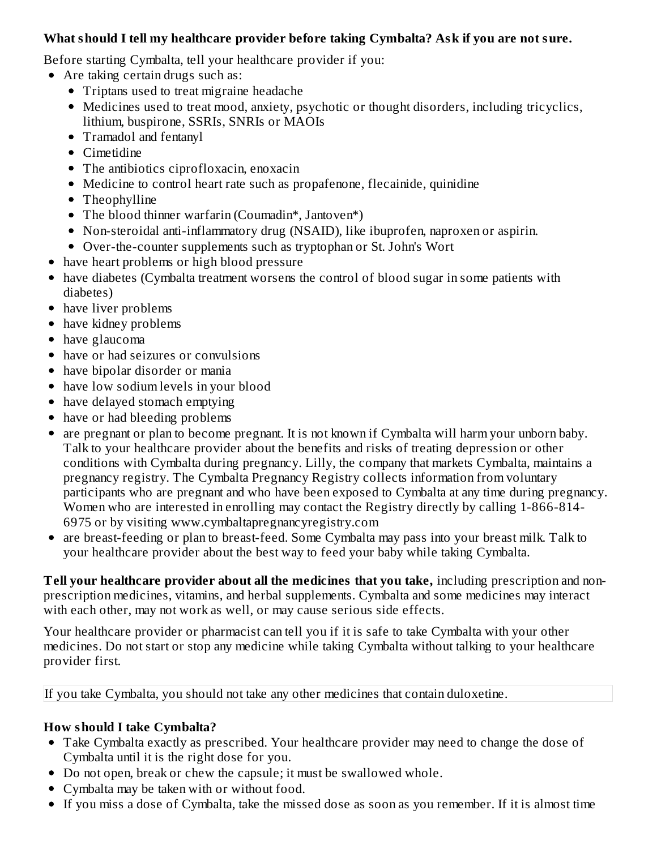### **What should I tell my healthcare provider before taking Cymbalta? Ask if you are not sure.**

Before starting Cymbalta, tell your healthcare provider if you:

- Are taking certain drugs such as:
	- Triptans used to treat migraine headache
	- Medicines used to treat mood, anxiety, psychotic or thought disorders, including tricyclics, lithium, buspirone, SSRIs, SNRIs or MAOIs
	- Tramadol and fentanyl
	- Cimetidine
	- The antibiotics ciprofloxacin, enoxacin
	- Medicine to control heart rate such as propafenone, flecainide, quinidine
	- Theophylline
	- The blood thinner warfarin (Coumadin\*, Jantoven\*)
	- Non-steroidal anti-inflammatory drug (NSAID), like ibuprofen, naproxen or aspirin.
	- Over-the-counter supplements such as tryptophan or St. John's Wort
- have heart problems or high blood pressure
- have diabetes (Cymbalta treatment worsens the control of blood sugar in some patients with diabetes)
- have liver problems
- have kidney problems
- have glaucoma
- have or had seizures or convulsions
- have bipolar disorder or mania
- have low sodium levels in your blood
- have delayed stomach emptying
- have or had bleeding problems
- are pregnant or plan to become pregnant. It is not known if Cymbalta will harm your unborn baby. Talk to your healthcare provider about the benefits and risks of treating depression or other conditions with Cymbalta during pregnancy. Lilly, the company that markets Cymbalta, maintains a pregnancy registry. The Cymbalta Pregnancy Registry collects information from voluntary participants who are pregnant and who have been exposed to Cymbalta at any time during pregnancy. Women who are interested in enrolling may contact the Registry directly by calling 1-866-814- 6975 or by visiting www.cymbaltapregnancyregistry.com
- are breast-feeding or plan to breast-feed. Some Cymbalta may pass into your breast milk. Talk to your healthcare provider about the best way to feed your baby while taking Cymbalta.

**Tell your healthcare provider about all the medicines that you take,** including prescription and nonprescription medicines, vitamins, and herbal supplements. Cymbalta and some medicines may interact with each other, may not work as well, or may cause serious side effects.

Your healthcare provider or pharmacist can tell you if it is safe to take Cymbalta with your other medicines. Do not start or stop any medicine while taking Cymbalta without talking to your healthcare provider first.

#### If you take Cymbalta, you should not take any other medicines that contain duloxetine.

### **How should I take Cymbalta?**

- Take Cymbalta exactly as prescribed. Your healthcare provider may need to change the dose of Cymbalta until it is the right dose for you.
- Do not open, break or chew the capsule; it must be swallowed whole.
- Cymbalta may be taken with or without food.
- If you miss a dose of Cymbalta, take the missed dose as soon as you remember. If it is almost time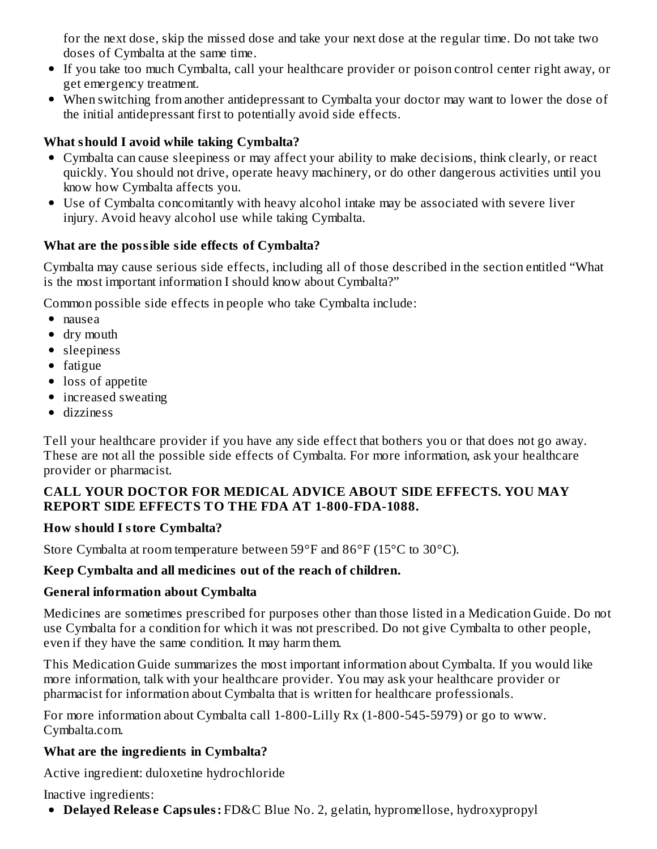for the next dose, skip the missed dose and take your next dose at the regular time. Do not take two doses of Cymbalta at the same time.

- If you take too much Cymbalta, call your healthcare provider or poison control center right away, or get emergency treatment.
- When switching from another antidepressant to Cymbalta your doctor may want to lower the dose of the initial antidepressant first to potentially avoid side effects.

### **What should I avoid while taking Cymbalta?**

- Cymbalta can cause sleepiness or may affect your ability to make decisions, think clearly, or react quickly. You should not drive, operate heavy machinery, or do other dangerous activities until you know how Cymbalta affects you.
- Use of Cymbalta concomitantly with heavy alcohol intake may be associated with severe liver injury. Avoid heavy alcohol use while taking Cymbalta.

#### **What are the possible side effects of Cymbalta?**

Cymbalta may cause serious side effects, including all of those described in the section entitled "What is the most important information I should know about Cymbalta?"

Common possible side effects in people who take Cymbalta include:

- nausea
- dry mouth
- sleepiness
- fatigue
- loss of appetite
- increased sweating
- dizziness

Tell your healthcare provider if you have any side effect that bothers you or that does not go away. These are not all the possible side effects of Cymbalta. For more information, ask your healthcare provider or pharmacist.

#### **CALL YOUR DOCTOR FOR MEDICAL ADVICE ABOUT SIDE EFFECTS. YOU MAY REPORT SIDE EFFECTS TO THE FDA AT 1-800-FDA-1088.**

#### **How should I store Cymbalta?**

Store Cymbalta at room temperature between 59°F and 86°F (15°C to 30°C).

#### **Keep Cymbalta and all medicines out of the reach of children.**

#### **General information about Cymbalta**

Medicines are sometimes prescribed for purposes other than those listed in a Medication Guide. Do not use Cymbalta for a condition for which it was not prescribed. Do not give Cymbalta to other people, even if they have the same condition. It may harm them.

This Medication Guide summarizes the most important information about Cymbalta. If you would like more information, talk with your healthcare provider. You may ask your healthcare provider or pharmacist for information about Cymbalta that is written for healthcare professionals.

For more information about Cymbalta call 1-800-Lilly Rx (1-800-545-5979) or go to www. Cymbalta.com.

#### **What are the ingredients in Cymbalta?**

Active ingredient: duloxetine hydrochloride

Inactive ingredients:

**Delayed Releas e Capsules:** FD&C Blue No. 2, gelatin, hypromellose, hydroxypropyl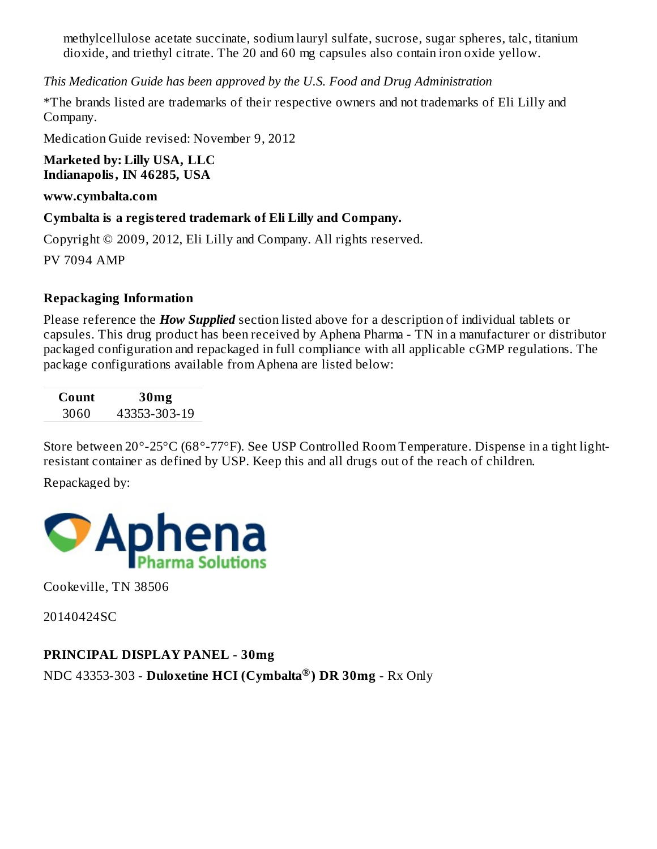methylcellulose acetate succinate, sodium lauryl sulfate, sucrose, sugar spheres, talc, titanium dioxide, and triethyl citrate. The 20 and 60 mg capsules also contain iron oxide yellow.

*This Medication Guide has been approved by the U.S. Food and Drug Administration*

\*The brands listed are trademarks of their respective owners and not trademarks of Eli Lilly and Company.

Medication Guide revised: November 9, 2012

#### **Marketed by: Lilly USA, LLC Indianapolis, IN 46285, USA**

#### **www.cymbalta.com**

#### **Cymbalta is a registered trademark of Eli Lilly and Company.**

Copyright © 2009, 2012, Eli Lilly and Company. All rights reserved. PV 7094 AMP

#### **Repackaging Information**

Please reference the *How Supplied* section listed above for a description of individual tablets or capsules. This drug product has been received by Aphena Pharma - TN in a manufacturer or distributor packaged configuration and repackaged in full compliance with all applicable cGMP regulations. The package configurations available from Aphena are listed below:

**Count 30mg** 3060 43353-303-19

Store between 20°-25°C (68°-77°F). See USP Controlled Room Temperature. Dispense in a tight lightresistant container as defined by USP. Keep this and all drugs out of the reach of children.

Repackaged by:



Cookeville, TN 38506

20140424SC

#### **PRINCIPAL DISPLAY PANEL - 30mg**

NDC 43353-303 - **Duloxetine HCI (Cymbalta ) DR 30mg** - Rx Only **®**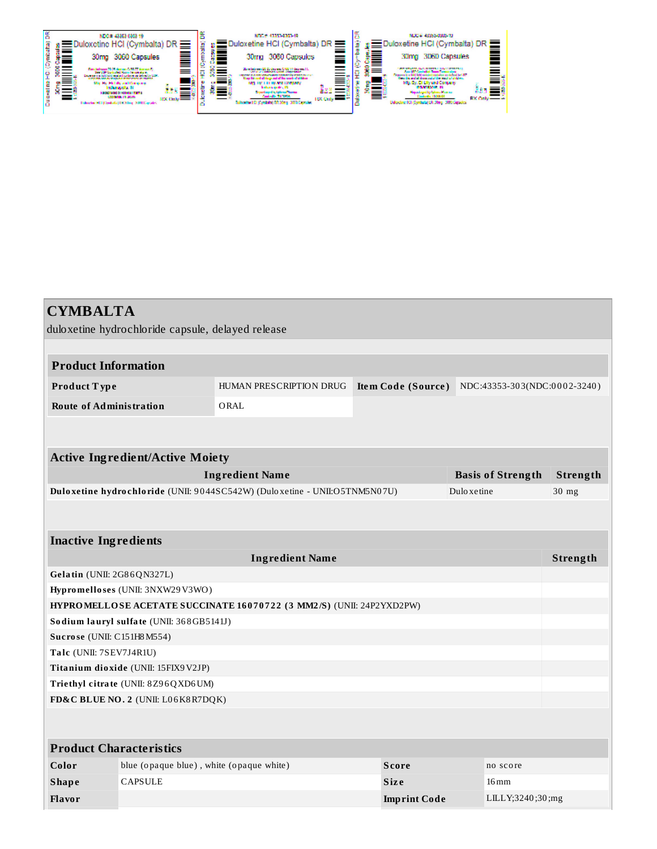| <b>CYMBALTA</b>                                   |                                                                           |                                                                            |                                                 |                    |                          |          |
|---------------------------------------------------|---------------------------------------------------------------------------|----------------------------------------------------------------------------|-------------------------------------------------|--------------------|--------------------------|----------|
| duloxetine hydrochloride capsule, delayed release |                                                                           |                                                                            |                                                 |                    |                          |          |
|                                                   |                                                                           |                                                                            |                                                 |                    |                          |          |
| <b>Product Information</b>                        |                                                                           |                                                                            |                                                 |                    |                          |          |
| Product Type                                      |                                                                           | HUMAN PRESCRIPTION DRUG                                                    | Item Code (Source) NDC:43353-303(NDC:0002-3240) |                    |                          |          |
| <b>Route of Administration</b>                    |                                                                           | ORAL                                                                       |                                                 |                    |                          |          |
|                                                   |                                                                           |                                                                            |                                                 |                    |                          |          |
|                                                   |                                                                           |                                                                            |                                                 |                    |                          |          |
|                                                   | <b>Active Ingredient/Active Moiety</b>                                    |                                                                            |                                                 |                    |                          |          |
|                                                   |                                                                           | <b>Ingredient Name</b>                                                     |                                                 |                    | <b>Basis of Strength</b> | Strength |
|                                                   |                                                                           | Duloxetine hydrochloride (UNII: 9044SC542W) (Duloxetine - UNII:O5TNM5N07U) |                                                 | <b>Dulo</b> xetine |                          | $30$ mg  |
|                                                   |                                                                           |                                                                            |                                                 |                    |                          |          |
|                                                   |                                                                           |                                                                            |                                                 |                    |                          |          |
| <b>Inactive Ingredients</b>                       |                                                                           |                                                                            |                                                 |                    |                          |          |
|                                                   |                                                                           | <b>Ingredient Name</b>                                                     |                                                 |                    |                          | Strength |
| Gelatin (UNII: 2G86QN327L)                        |                                                                           |                                                                            |                                                 |                    |                          |          |
|                                                   | Hypromelloses (UNII: 3NXW29V3WO)                                          |                                                                            |                                                 |                    |                          |          |
|                                                   | HYPROMELLOSE ACETATE SUCCINATE 16070722 (3 MM2/S) (UNII: 24P2YXD2PW)      |                                                                            |                                                 |                    |                          |          |
|                                                   | Sodium lauryl sulfate (UNII: 368GB5141J)                                  |                                                                            |                                                 |                    |                          |          |
|                                                   | Sucrose (UNII: C151H8M554)                                                |                                                                            |                                                 |                    |                          |          |
|                                                   | Talc (UNII: 7SEV7J4R1U)                                                   |                                                                            |                                                 |                    |                          |          |
|                                                   | Titanium dioxide (UNII: 15FIX9V2JP)                                       |                                                                            |                                                 |                    |                          |          |
|                                                   | Triethyl citrate (UNII: 8Z96QXD6UM)<br>FD&C BLUE NO. 2 (UNII: L06K8R7DQK) |                                                                            |                                                 |                    |                          |          |
|                                                   |                                                                           |                                                                            |                                                 |                    |                          |          |
|                                                   |                                                                           |                                                                            |                                                 |                    |                          |          |
| <b>Product Characteristics</b>                    |                                                                           |                                                                            |                                                 |                    |                          |          |
| Color                                             | blue (opaque blue), white (opaque white)                                  |                                                                            | <b>Score</b>                                    |                    | no score                 |          |
| <b>Shape</b>                                      | <b>CAPSULE</b>                                                            |                                                                            | <b>Size</b>                                     |                    | $16 \,\mathrm{mm}$       |          |
| Flavor                                            |                                                                           |                                                                            | <b>Imprint Code</b>                             |                    | LILLY;3240;30;mg         |          |
|                                                   |                                                                           |                                                                            |                                                 |                    |                          |          |